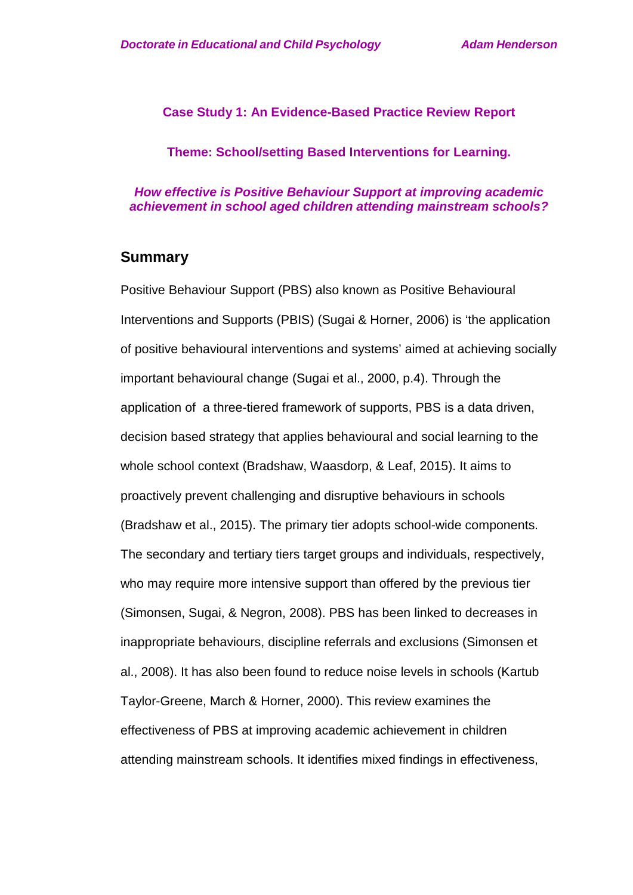### **Case Study 1: An Evidence-Based Practice Review Report**

**Theme: School/setting Based Interventions for Learning.**

*How effective is Positive Behaviour Support at improving academic achievement in school aged children attending mainstream schools?*

## **Summary**

Positive Behaviour Support (PBS) also known as Positive Behavioural Interventions and Supports (PBIS) (Sugai & Horner, 2006) is 'the application of positive behavioural interventions and systems' aimed at achieving socially important behavioural change (Sugai et al., 2000, p.4). Through the application of a three-tiered framework of supports, PBS is a data driven, decision based strategy that applies behavioural and social learning to the whole school context (Bradshaw, Waasdorp, & Leaf, 2015). It aims to proactively prevent challenging and disruptive behaviours in schools (Bradshaw et al., 2015). The primary tier adopts school-wide components. The secondary and tertiary tiers target groups and individuals, respectively, who may require more intensive support than offered by the previous tier (Simonsen, Sugai, & Negron, 2008). PBS has been linked to decreases in inappropriate behaviours, discipline referrals and exclusions (Simonsen et al., 2008). It has also been found to reduce noise levels in schools (Kartub Taylor-Greene, March & Horner, 2000). This review examines the effectiveness of PBS at improving academic achievement in children attending mainstream schools. It identifies mixed findings in effectiveness,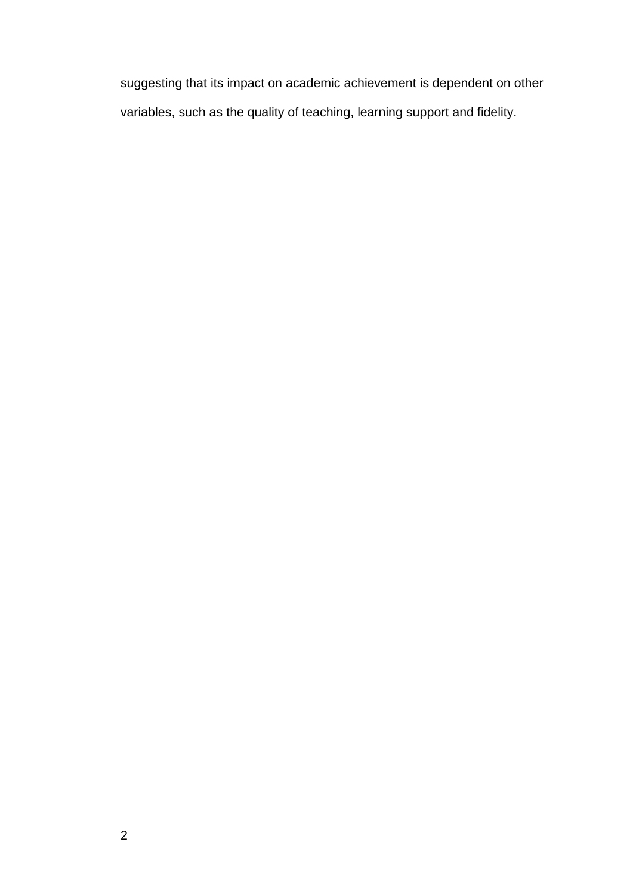suggesting that its impact on academic achievement is dependent on other variables, such as the quality of teaching, learning support and fidelity.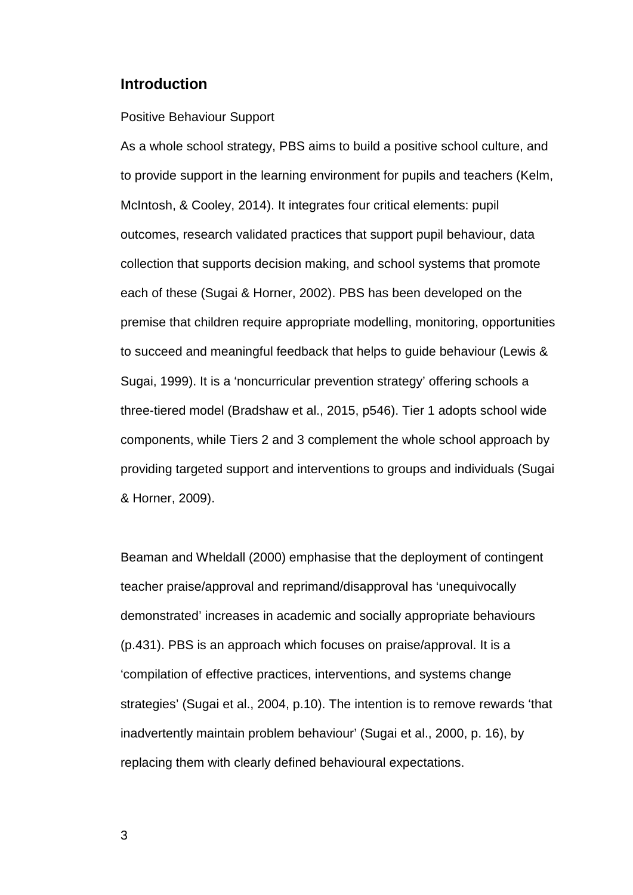## **Introduction**

### Positive Behaviour Support

As a whole school strategy, PBS aims to build a positive school culture, and to provide support in the learning environment for pupils and teachers (Kelm, McIntosh, & Cooley, 2014). It integrates four critical elements: pupil outcomes, research validated practices that support pupil behaviour, data collection that supports decision making, and school systems that promote each of these (Sugai & Horner, 2002). PBS has been developed on the premise that children require appropriate modelling, monitoring, opportunities to succeed and meaningful feedback that helps to guide behaviour (Lewis & Sugai, 1999). It is a 'noncurricular prevention strategy' offering schools a three-tiered model (Bradshaw et al., 2015, p546). Tier 1 adopts school wide components, while Tiers 2 and 3 complement the whole school approach by providing targeted support and interventions to groups and individuals (Sugai & Horner, 2009).

Beaman and Wheldall (2000) emphasise that the deployment of contingent teacher praise/approval and reprimand/disapproval has 'unequivocally demonstrated' increases in academic and socially appropriate behaviours (p.431). PBS is an approach which focuses on praise/approval. It is a 'compilation of effective practices, interventions, and systems change strategies' (Sugai et al., 2004, p.10). The intention is to remove rewards 'that inadvertently maintain problem behaviour' (Sugai et al., 2000, p. 16), by replacing them with clearly defined behavioural expectations.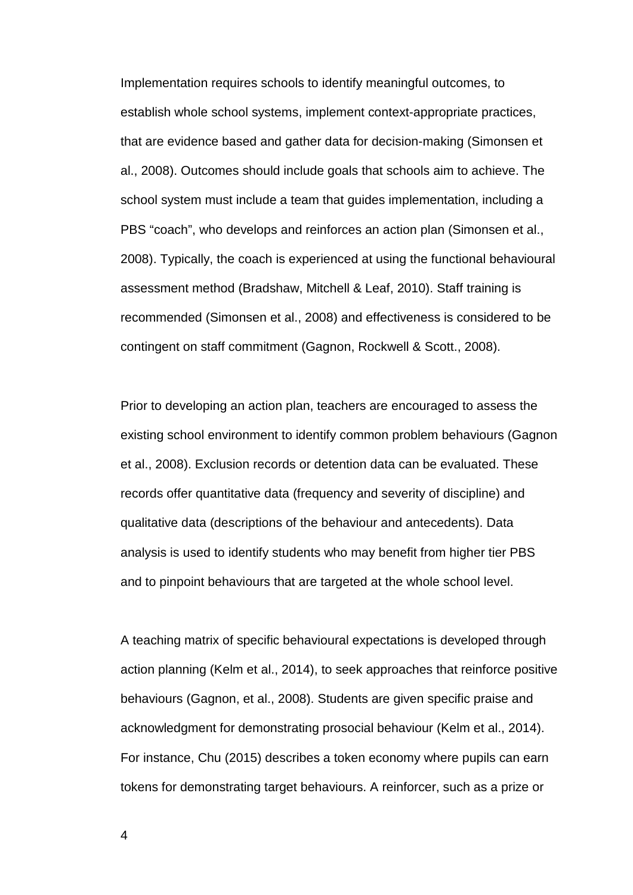Implementation requires schools to identify meaningful outcomes, to establish whole school systems, implement context-appropriate practices, that are evidence based and gather data for decision-making (Simonsen et al., 2008). Outcomes should include goals that schools aim to achieve. The school system must include a team that guides implementation, including a PBS "coach", who develops and reinforces an action plan (Simonsen et al., 2008). Typically, the coach is experienced at using the functional behavioural assessment method (Bradshaw, Mitchell & Leaf, 2010). Staff training is recommended (Simonsen et al., 2008) and effectiveness is considered to be contingent on staff commitment (Gagnon, Rockwell & Scott., 2008).

Prior to developing an action plan, teachers are encouraged to assess the existing school environment to identify common problem behaviours (Gagnon et al., 2008). Exclusion records or detention data can be evaluated. These records offer quantitative data (frequency and severity of discipline) and qualitative data (descriptions of the behaviour and antecedents). Data analysis is used to identify students who may benefit from higher tier PBS and to pinpoint behaviours that are targeted at the whole school level.

A teaching matrix of specific behavioural expectations is developed through action planning (Kelm et al., 2014), to seek approaches that reinforce positive behaviours (Gagnon, et al., 2008). Students are given specific praise and acknowledgment for demonstrating prosocial behaviour (Kelm et al., 2014). For instance, Chu (2015) describes a token economy where pupils can earn tokens for demonstrating target behaviours. A reinforcer, such as a prize or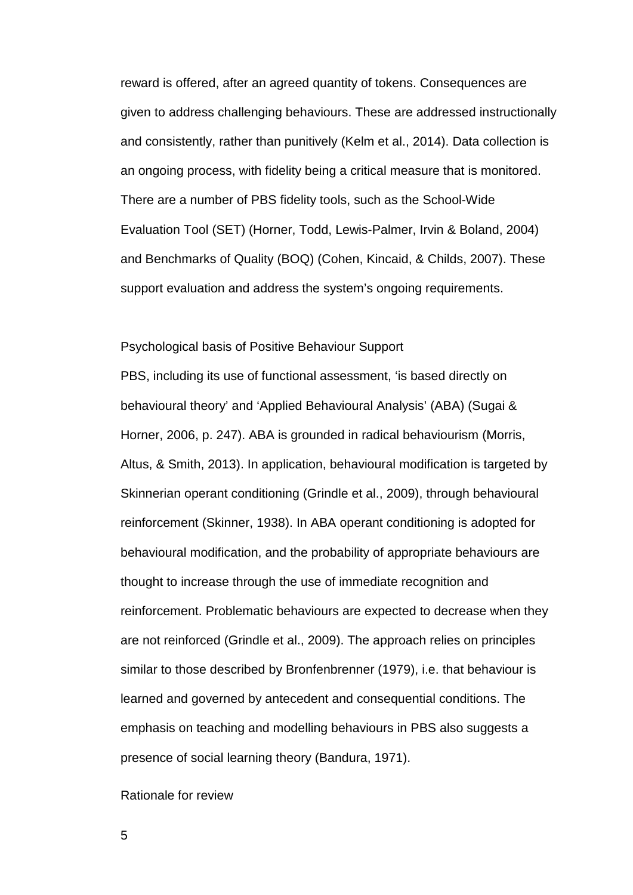reward is offered, after an agreed quantity of tokens. Consequences are given to address challenging behaviours. These are addressed instructionally and consistently, rather than punitively (Kelm et al., 2014). Data collection is an ongoing process, with fidelity being a critical measure that is monitored. There are a number of PBS fidelity tools, such as the School-Wide Evaluation Tool (SET) (Horner, Todd, Lewis-Palmer, Irvin & Boland, 2004) and Benchmarks of Quality (BOQ) (Cohen, Kincaid, & Childs, 2007). These support evaluation and address the system's ongoing requirements.

### Psychological basis of Positive Behaviour Support

PBS, including its use of functional assessment, 'is based directly on behavioural theory' and 'Applied Behavioural Analysis' (ABA) (Sugai & Horner, 2006, p. 247). ABA is grounded in radical behaviourism (Morris, Altus, & Smith, 2013). In application, behavioural modification is targeted by Skinnerian operant conditioning (Grindle et al., 2009), through behavioural reinforcement (Skinner, 1938). In ABA operant conditioning is adopted for behavioural modification, and the probability of appropriate behaviours are thought to increase through the use of immediate recognition and reinforcement. Problematic behaviours are expected to decrease when they are not reinforced (Grindle et al., 2009). The approach relies on principles similar to those described by Bronfenbrenner (1979), i.e. that behaviour is learned and governed by antecedent and consequential conditions. The emphasis on teaching and modelling behaviours in PBS also suggests a presence of social learning theory (Bandura, 1971).

### Rationale for review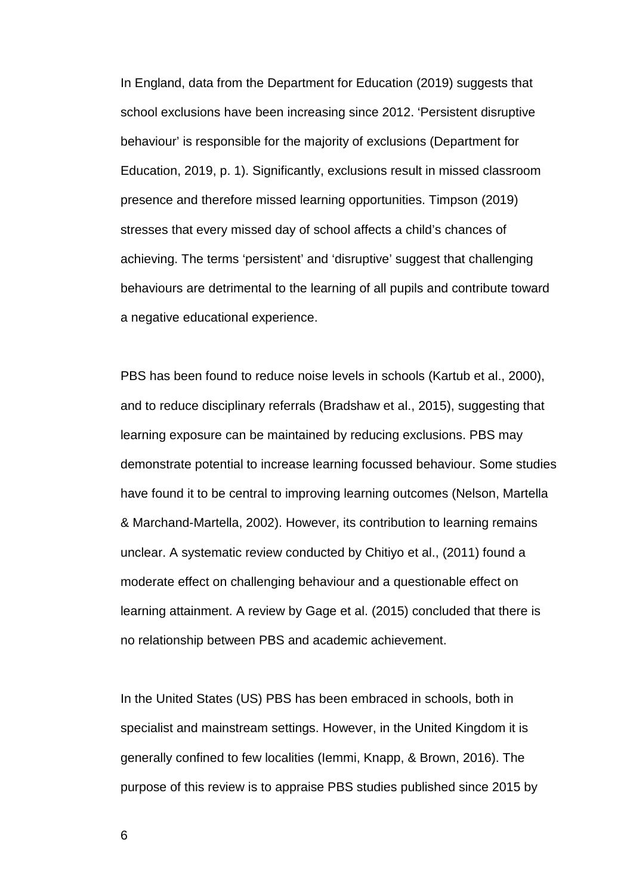In England, data from the Department for Education (2019) suggests that school exclusions have been increasing since 2012. 'Persistent disruptive behaviour' is responsible for the majority of exclusions (Department for Education, 2019, p. 1). Significantly, exclusions result in missed classroom presence and therefore missed learning opportunities. Timpson (2019) stresses that every missed day of school affects a child's chances of achieving. The terms 'persistent' and 'disruptive' suggest that challenging behaviours are detrimental to the learning of all pupils and contribute toward a negative educational experience.

PBS has been found to reduce noise levels in schools (Kartub et al., 2000), and to reduce disciplinary referrals (Bradshaw et al., 2015), suggesting that learning exposure can be maintained by reducing exclusions. PBS may demonstrate potential to increase learning focussed behaviour. Some studies have found it to be central to improving learning outcomes (Nelson, Martella & Marchand-Martella, 2002). However, its contribution to learning remains unclear. A systematic review conducted by Chitiyo et al., (2011) found a moderate effect on challenging behaviour and a questionable effect on learning attainment. A review by Gage et al. (2015) concluded that there is no relationship between PBS and academic achievement.

In the United States (US) PBS has been embraced in schools, both in specialist and mainstream settings. However, in the United Kingdom it is generally confined to few localities (Iemmi, Knapp, & Brown, 2016). The purpose of this review is to appraise PBS studies published since 2015 by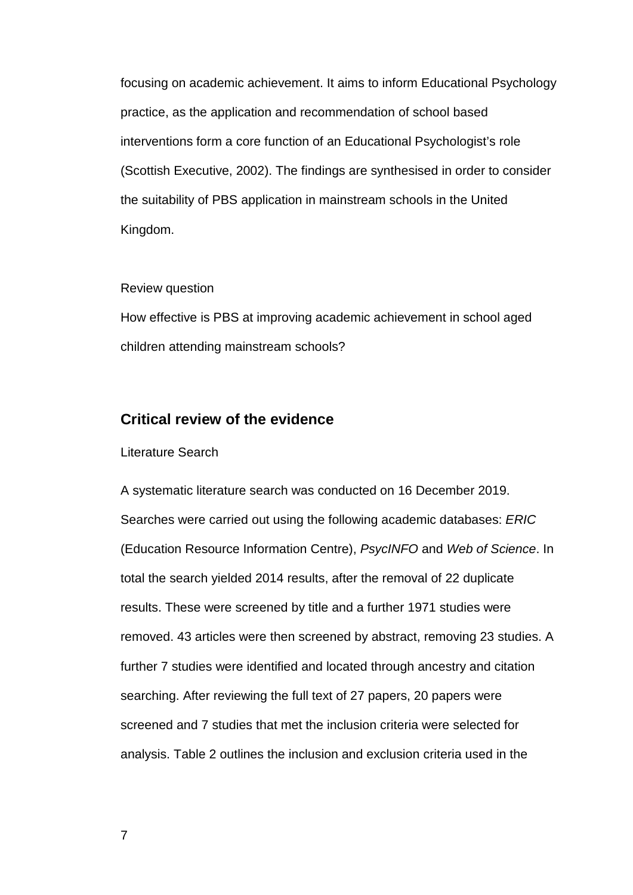focusing on academic achievement. It aims to inform Educational Psychology practice, as the application and recommendation of school based interventions form a core function of an Educational Psychologist's role (Scottish Executive, 2002). The findings are synthesised in order to consider the suitability of PBS application in mainstream schools in the United Kingdom.

#### Review question

How effective is PBS at improving academic achievement in school aged children attending mainstream schools?

## **Critical review of the evidence**

#### Literature Search

A systematic literature search was conducted on 16 December 2019. Searches were carried out using the following academic databases: *ERIC* (Education Resource Information Centre), *PsycINFO* and *Web of Science*. In total the search yielded 2014 results, after the removal of 22 duplicate results. These were screened by title and a further 1971 studies were removed. 43 articles were then screened by abstract, removing 23 studies. A further 7 studies were identified and located through ancestry and citation searching. After reviewing the full text of 27 papers, 20 papers were screened and 7 studies that met the inclusion criteria were selected for analysis. Table 2 outlines the inclusion and exclusion criteria used in the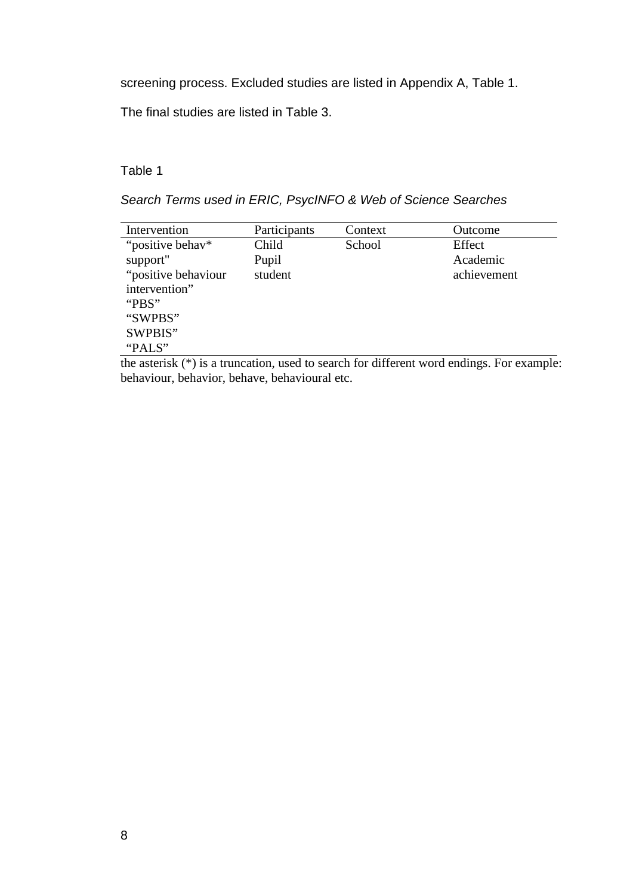screening process. Excluded studies are listed in Appendix A, Table 1.

The final studies are listed in Table 3.

## Table 1

*Search Terms used in ERIC, PsycINFO & Web of Science Searches*

| Intervention        | Participants | Context | Outcome     |
|---------------------|--------------|---------|-------------|
| "positive behav*    | Child        | School  | Effect      |
| support"            | Pupil        |         | Academic    |
| "positive behaviour | student      |         | achievement |
| intervention"       |              |         |             |
| "PBS"               |              |         |             |
| "SWPBS"             |              |         |             |
| SWPBIS"             |              |         |             |
| "PALS"              |              |         |             |

the asterisk (\*) is a truncation, used to search for different word endings. For example: behaviour, behavior, behave, behavioural etc.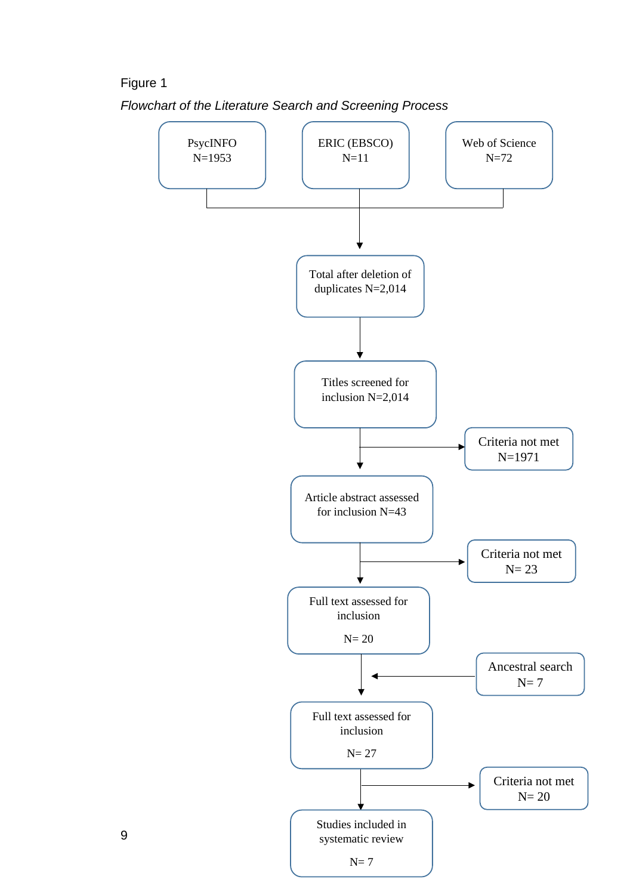## Figure 1



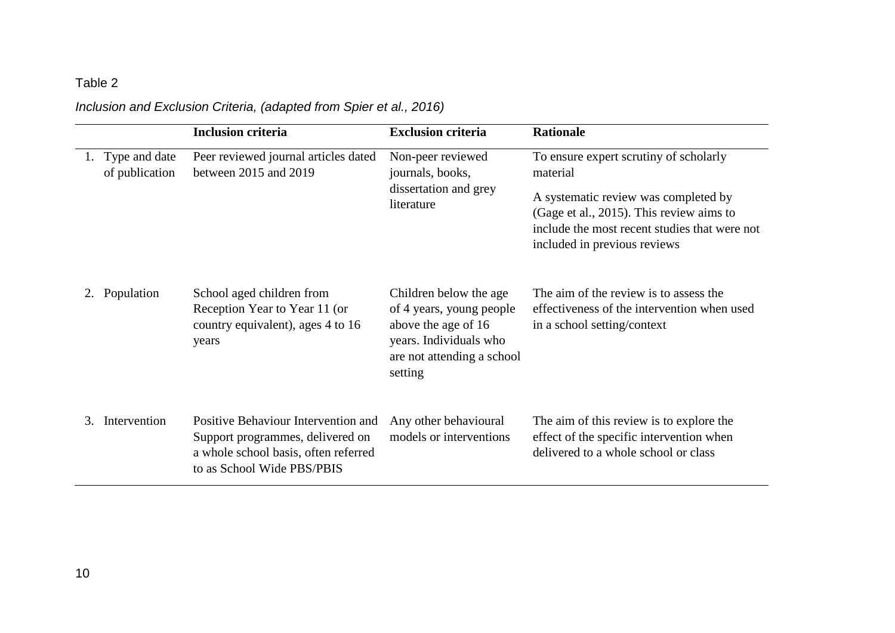# *Inclusion and Exclusion Criteria, (adapted from Spier et al., 2016)*

|    |                                 | <b>Inclusion criteria</b>                                                                                                                     | <b>Exclusion criteria</b>                                                                                                                    | <b>Rationale</b>                                                                                                                                                                                                        |
|----|---------------------------------|-----------------------------------------------------------------------------------------------------------------------------------------------|----------------------------------------------------------------------------------------------------------------------------------------------|-------------------------------------------------------------------------------------------------------------------------------------------------------------------------------------------------------------------------|
|    | Type and date<br>of publication | Peer reviewed journal articles dated<br>between 2015 and 2019                                                                                 | Non-peer reviewed<br>journals, books,<br>dissertation and grey<br>literature                                                                 | To ensure expert scrutiny of scholarly<br>material<br>A systematic review was completed by<br>(Gage et al., 2015). This review aims to<br>include the most recent studies that were not<br>included in previous reviews |
| 2. | Population                      | School aged children from<br>Reception Year to Year 11 (or<br>country equivalent), ages 4 to 16<br>years                                      | Children below the age<br>of 4 years, young people<br>above the age of 16<br>years. Individuals who<br>are not attending a school<br>setting | The aim of the review is to assess the<br>effectiveness of the intervention when used<br>in a school setting/context                                                                                                    |
| 3  | Intervention                    | Positive Behaviour Intervention and<br>Support programmes, delivered on<br>a whole school basis, often referred<br>to as School Wide PBS/PBIS | Any other behavioural<br>models or interventions                                                                                             | The aim of this review is to explore the<br>effect of the specific intervention when<br>delivered to a whole school or class                                                                                            |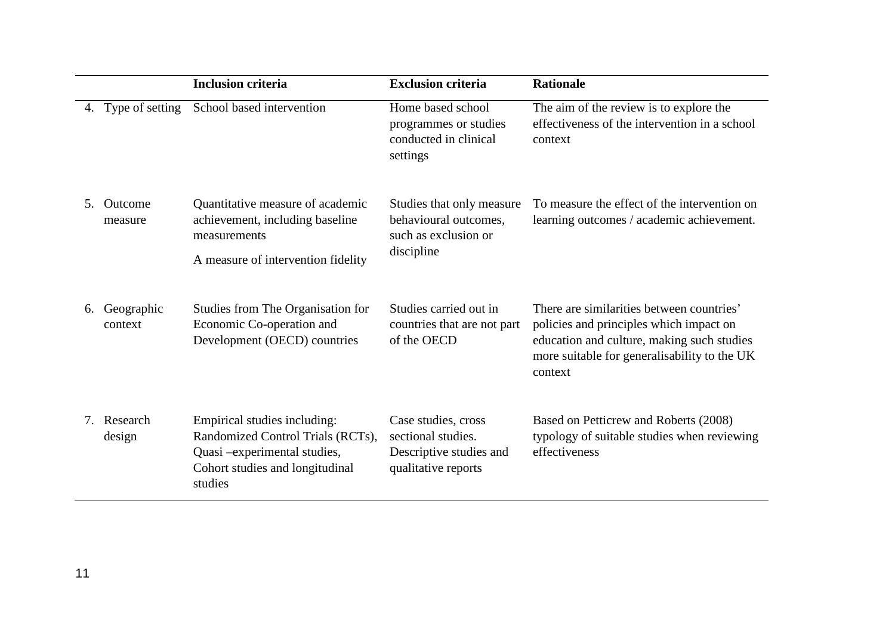|                                  |                       | <b>Inclusion criteria</b>                                                                                                                       | <b>Exclusion criteria</b>                                                                   | <b>Rationale</b>                                                                                                                                                                              |
|----------------------------------|-----------------------|-------------------------------------------------------------------------------------------------------------------------------------------------|---------------------------------------------------------------------------------------------|-----------------------------------------------------------------------------------------------------------------------------------------------------------------------------------------------|
| 4.                               | Type of setting       | School based intervention                                                                                                                       | Home based school<br>programmes or studies<br>conducted in clinical<br>settings             | The aim of the review is to explore the<br>effectiveness of the intervention in a school<br>context                                                                                           |
| 5.                               | Outcome<br>measure    | Quantitative measure of academic<br>achievement, including baseline<br>measurements<br>A measure of intervention fidelity                       | Studies that only measure<br>behavioural outcomes,<br>such as exclusion or<br>discipline    | To measure the effect of the intervention on<br>learning outcomes / academic achievement.                                                                                                     |
| 6.                               | Geographic<br>context | Studies from The Organisation for<br>Economic Co-operation and<br>Development (OECD) countries                                                  | Studies carried out in<br>countries that are not part<br>of the OECD                        | There are similarities between countries'<br>policies and principles which impact on<br>education and culture, making such studies<br>more suitable for generalisability to the UK<br>context |
| $7_{\scriptscriptstyle{\ddots}}$ | Research<br>design    | Empirical studies including:<br>Randomized Control Trials (RCTs),<br>Quasi -experimental studies,<br>Cohort studies and longitudinal<br>studies | Case studies, cross<br>sectional studies.<br>Descriptive studies and<br>qualitative reports | Based on Petticrew and Roberts (2008)<br>typology of suitable studies when reviewing<br>effectiveness                                                                                         |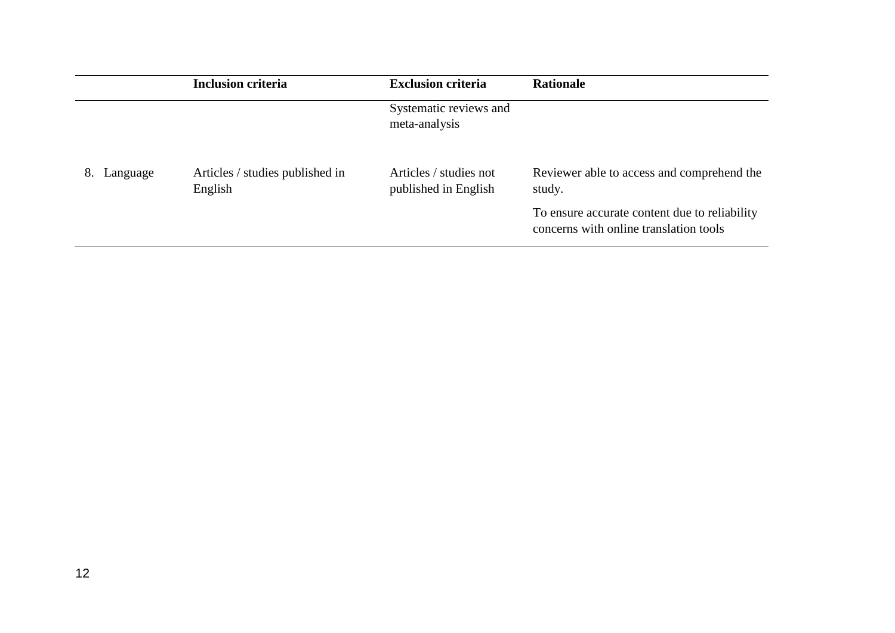|                | <b>Inclusion criteria</b>                  | <b>Exclusion criteria</b>                      | <b>Rationale</b>                                                                        |
|----------------|--------------------------------------------|------------------------------------------------|-----------------------------------------------------------------------------------------|
|                |                                            | Systematic reviews and<br>meta-analysis        |                                                                                         |
| Language<br>8. | Articles / studies published in<br>English | Articles / studies not<br>published in English | Reviewer able to access and comprehend the<br>study.                                    |
|                |                                            |                                                | To ensure accurate content due to reliability<br>concerns with online translation tools |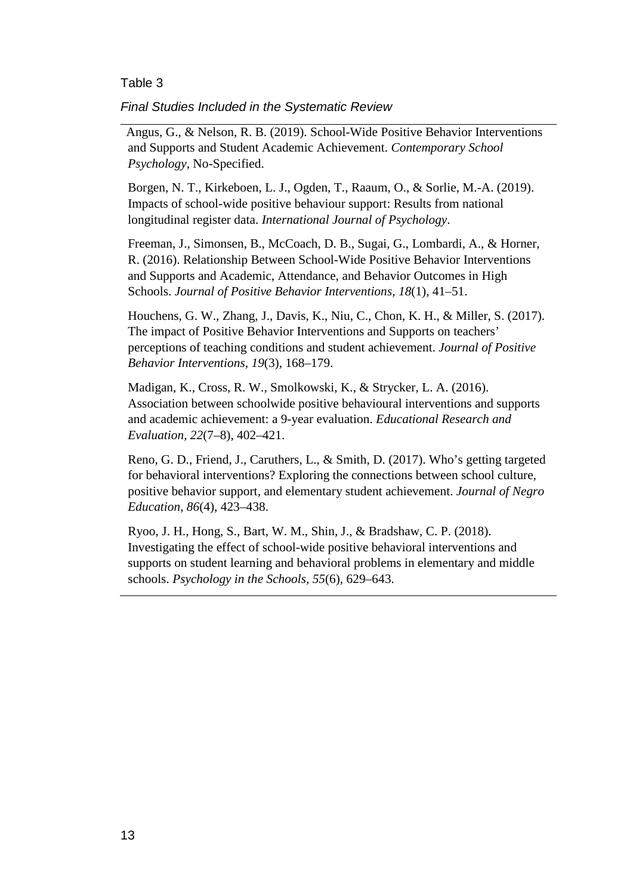*Final Studies Included in the Systematic Review*

Angus, G., & Nelson, R. B. (2019). School-Wide Positive Behavior Interventions and Supports and Student Academic Achievement. *Contemporary School Psychology*, No-Specified.

Borgen, N. T., Kirkeboen, L. J., Ogden, T., Raaum, O., & Sorlie, M.-A. (2019). Impacts of school-wide positive behaviour support: Results from national longitudinal register data. *International Journal of Psychology*.

Freeman, J., Simonsen, B., McCoach, D. B., Sugai, G., Lombardi, A., & Horner, R. (2016). Relationship Between School-Wide Positive Behavior Interventions and Supports and Academic, Attendance, and Behavior Outcomes in High Schools. *Journal of Positive Behavior Interventions*, *18*(1), 41–51.

Houchens, G. W., Zhang, J., Davis, K., Niu, C., Chon, K. H., & Miller, S. (2017). The impact of Positive Behavior Interventions and Supports on teachers' perceptions of teaching conditions and student achievement. *Journal of Positive Behavior Interventions*, *19*(3), 168–179.

Madigan, K., Cross, R. W., Smolkowski, K., & Strycker, L. A. (2016). Association between schoolwide positive behavioural interventions and supports and academic achievement: a 9-year evaluation. *Educational Research and Evaluation*, *22*(7–8), 402–421.

Reno, G. D., Friend, J., Caruthers, L., & Smith, D. (2017). Who's getting targeted for behavioral interventions? Exploring the connections between school culture, positive behavior support, and elementary student achievement. *Journal of Negro Education*, *86*(4), 423–438.

Ryoo, J. H., Hong, S., Bart, W. M., Shin, J., & Bradshaw, C. P. (2018). Investigating the effect of school-wide positive behavioral interventions and supports on student learning and behavioral problems in elementary and middle schools. *Psychology in the Schools*, *55*(6), 629–643.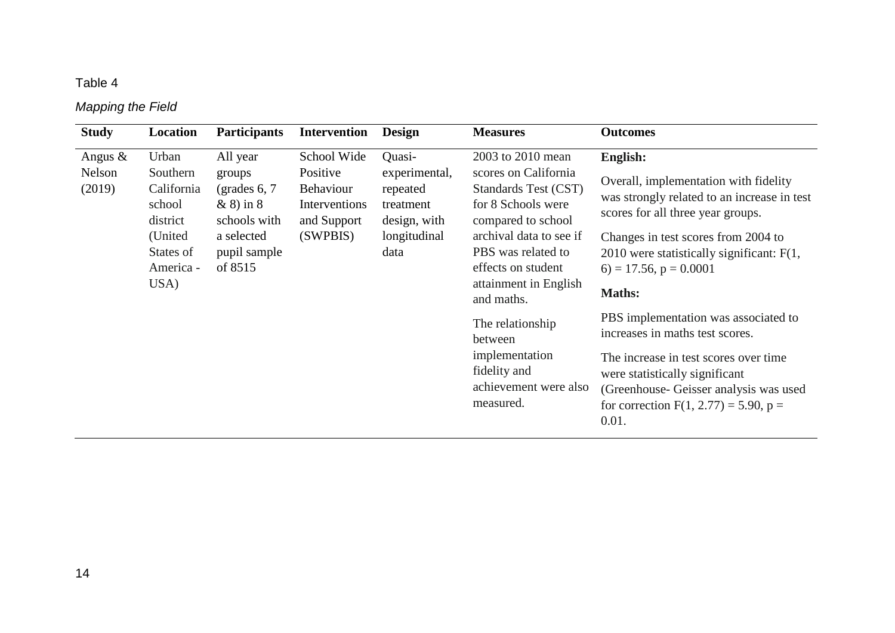# *Mapping the Field*

| <b>Study</b>                   | Location                                                                                           | <b>Participants</b>                                                                                           | <b>Intervention</b>                                                              | <b>Design</b>                                                                            | <b>Measures</b>                                                                                                                                                                                                                                                                                                                    | <b>Outcomes</b>                                                                                                                                                                                                                                                                                                                                                                                                                                                                                                                             |
|--------------------------------|----------------------------------------------------------------------------------------------------|---------------------------------------------------------------------------------------------------------------|----------------------------------------------------------------------------------|------------------------------------------------------------------------------------------|------------------------------------------------------------------------------------------------------------------------------------------------------------------------------------------------------------------------------------------------------------------------------------------------------------------------------------|---------------------------------------------------------------------------------------------------------------------------------------------------------------------------------------------------------------------------------------------------------------------------------------------------------------------------------------------------------------------------------------------------------------------------------------------------------------------------------------------------------------------------------------------|
| Angus $\&$<br>Nelson<br>(2019) | Urban<br>Southern<br>California<br>school<br>district<br>(United<br>States of<br>America -<br>USA) | All year<br>groups<br>(grades $6, 7$<br>$\&$ 8) in 8<br>schools with<br>a selected<br>pupil sample<br>of 8515 | School Wide<br>Positive<br>Behaviour<br>Interventions<br>and Support<br>(SWPBIS) | Quasi-<br>experimental,<br>repeated<br>treatment<br>design, with<br>longitudinal<br>data | 2003 to 2010 mean<br>scores on California<br>Standards Test (CST)<br>for 8 Schools were<br>compared to school<br>archival data to see if<br>PBS was related to<br>effects on student<br>attainment in English<br>and maths.<br>The relationship<br>between<br>implementation<br>fidelity and<br>achievement were also<br>measured. | <b>English:</b><br>Overall, implementation with fidelity<br>was strongly related to an increase in test<br>scores for all three year groups.<br>Changes in test scores from 2004 to<br>2010 were statistically significant: $F(1, 1)$<br>$6) = 17.56$ , $p = 0.0001$<br><b>Maths:</b><br>PBS implementation was associated to<br>increases in maths test scores.<br>The increase in test scores over time<br>were statistically significant<br>(Greenhouse-Geisser analysis was used<br>for correction $F(1, 2.77) = 5.90$ , $p =$<br>0.01. |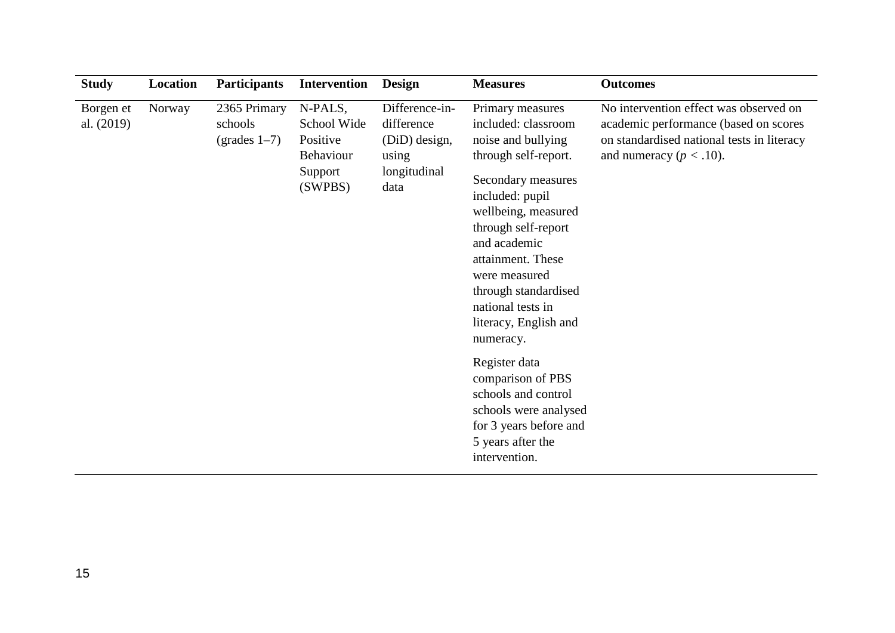| <b>Study</b>            | Location | <b>Participants</b>                               | <b>Intervention</b>                                                          | <b>Design</b>                                                                  | <b>Measures</b>                                                                                                                                                                                                                                                                                                                                                                                                                                                             | <b>Outcomes</b>                                                                                                                                              |
|-------------------------|----------|---------------------------------------------------|------------------------------------------------------------------------------|--------------------------------------------------------------------------------|-----------------------------------------------------------------------------------------------------------------------------------------------------------------------------------------------------------------------------------------------------------------------------------------------------------------------------------------------------------------------------------------------------------------------------------------------------------------------------|--------------------------------------------------------------------------------------------------------------------------------------------------------------|
| Borgen et<br>al. (2019) | Norway   | 2365 Primary<br>schools<br>$\text{(grades 1--7)}$ | N-PALS,<br>School Wide<br>Positive<br><b>Behaviour</b><br>Support<br>(SWPBS) | Difference-in-<br>difference<br>(DiD) design,<br>using<br>longitudinal<br>data | Primary measures<br>included: classroom<br>noise and bullying<br>through self-report.<br>Secondary measures<br>included: pupil<br>wellbeing, measured<br>through self-report<br>and academic<br>attainment. These<br>were measured<br>through standardised<br>national tests in<br>literacy, English and<br>numeracy.<br>Register data<br>comparison of PBS<br>schools and control<br>schools were analysed<br>for 3 years before and<br>5 years after the<br>intervention. | No intervention effect was observed on<br>academic performance (based on scores<br>on standardised national tests in literacy<br>and numeracy ( $p < .10$ ). |
|                         |          |                                                   |                                                                              |                                                                                |                                                                                                                                                                                                                                                                                                                                                                                                                                                                             |                                                                                                                                                              |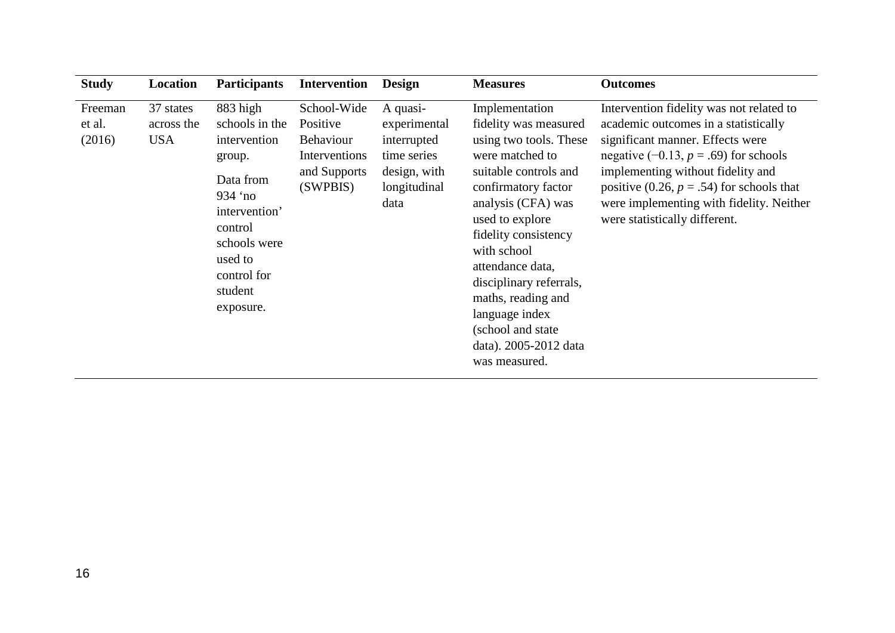| <b>Study</b>                | Location                              | <b>Participants</b>                                                                                                                                                                  | <b>Intervention</b>                                                               | <b>Design</b>                                                                                  | <b>Measures</b>                                                                                                                                                                                                                                                                                                                                                             | <b>Outcomes</b>                                                                                                                                                                                                                                                                                                                   |
|-----------------------------|---------------------------------------|--------------------------------------------------------------------------------------------------------------------------------------------------------------------------------------|-----------------------------------------------------------------------------------|------------------------------------------------------------------------------------------------|-----------------------------------------------------------------------------------------------------------------------------------------------------------------------------------------------------------------------------------------------------------------------------------------------------------------------------------------------------------------------------|-----------------------------------------------------------------------------------------------------------------------------------------------------------------------------------------------------------------------------------------------------------------------------------------------------------------------------------|
| Freeman<br>et al.<br>(2016) | 37 states<br>across the<br><b>USA</b> | 883 high<br>schools in the<br>intervention<br>group.<br>Data from<br>934 $^{\circ}$ no<br>intervention'<br>control<br>schools were<br>used to<br>control for<br>student<br>exposure. | School-Wide<br>Positive<br>Behaviour<br>Interventions<br>and Supports<br>(SWPBIS) | A quasi-<br>experimental<br>interrupted<br>time series<br>design, with<br>longitudinal<br>data | Implementation<br>fidelity was measured<br>using two tools. These<br>were matched to<br>suitable controls and<br>confirmatory factor<br>analysis (CFA) was<br>used to explore<br>fidelity consistency<br>with school<br>attendance data,<br>disciplinary referrals,<br>maths, reading and<br>language index<br>(school and state)<br>data). 2005-2012 data<br>was measured. | Intervention fidelity was not related to<br>academic outcomes in a statistically<br>significant manner. Effects were<br>negative $(-0.13, p = .69)$ for schools<br>implementing without fidelity and<br>positive (0.26, $p = .54$ ) for schools that<br>were implementing with fidelity. Neither<br>were statistically different. |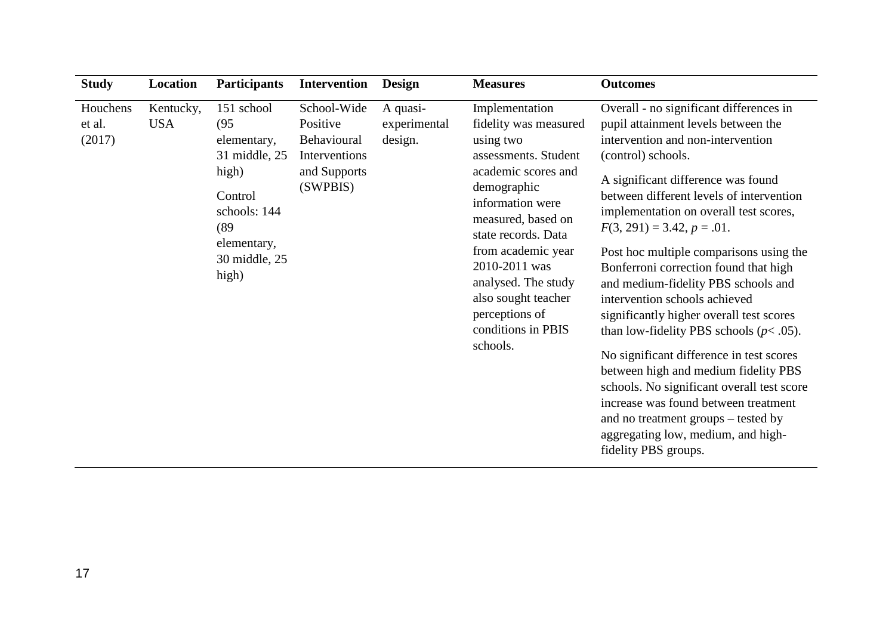| <b>Study</b>                 | Location                | <b>Participants</b>                                                                                                                     | <b>Intervention</b>                                                                 | <b>Design</b>                       | <b>Measures</b>                                                                                                                                                                                                                                                                                                              | <b>Outcomes</b>                                                                                                                                                                                                                                                                                                                                                                                                                                                                                                                                                                                                                                                                                                                                                                                                                             |
|------------------------------|-------------------------|-----------------------------------------------------------------------------------------------------------------------------------------|-------------------------------------------------------------------------------------|-------------------------------------|------------------------------------------------------------------------------------------------------------------------------------------------------------------------------------------------------------------------------------------------------------------------------------------------------------------------------|---------------------------------------------------------------------------------------------------------------------------------------------------------------------------------------------------------------------------------------------------------------------------------------------------------------------------------------------------------------------------------------------------------------------------------------------------------------------------------------------------------------------------------------------------------------------------------------------------------------------------------------------------------------------------------------------------------------------------------------------------------------------------------------------------------------------------------------------|
| Houchens<br>et al.<br>(2017) | Kentucky,<br><b>USA</b> | 151 school<br>(95)<br>elementary,<br>31 middle, 25<br>high)<br>Control<br>schools: 144<br>(89)<br>elementary,<br>30 middle, 25<br>high) | School-Wide<br>Positive<br>Behavioural<br>Interventions<br>and Supports<br>(SWPBIS) | A quasi-<br>experimental<br>design. | Implementation<br>fidelity was measured<br>using two<br>assessments. Student<br>academic scores and<br>demographic<br>information were<br>measured, based on<br>state records. Data<br>from academic year<br>2010-2011 was<br>analysed. The study<br>also sought teacher<br>perceptions of<br>conditions in PBIS<br>schools. | Overall - no significant differences in<br>pupil attainment levels between the<br>intervention and non-intervention<br>(control) schools.<br>A significant difference was found<br>between different levels of intervention<br>implementation on overall test scores,<br>$F(3, 291) = 3.42, p = .01.$<br>Post hoc multiple comparisons using the<br>Bonferroni correction found that high<br>and medium-fidelity PBS schools and<br>intervention schools achieved<br>significantly higher overall test scores<br>than low-fidelity PBS schools ( $p$ < .05).<br>No significant difference in test scores<br>between high and medium fidelity PBS<br>schools. No significant overall test score<br>increase was found between treatment<br>and no treatment groups - tested by<br>aggregating low, medium, and high-<br>fidelity PBS groups. |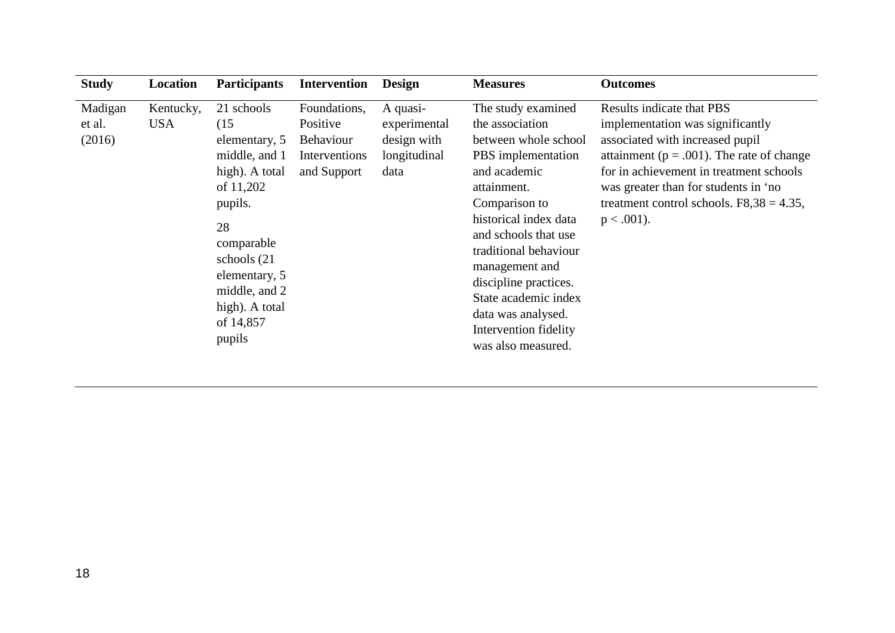| <b>Study</b>                | Location         | <b>Participants</b>                                                                                                                                                                                           | <b>Intervention</b>                                                          | <b>Design</b>                                                   | <b>Measures</b>                                                                                                                                                                                                                                                                                                                                       | <b>Outcomes</b>                                                                                                                                                                                                                                                                                      |
|-----------------------------|------------------|---------------------------------------------------------------------------------------------------------------------------------------------------------------------------------------------------------------|------------------------------------------------------------------------------|-----------------------------------------------------------------|-------------------------------------------------------------------------------------------------------------------------------------------------------------------------------------------------------------------------------------------------------------------------------------------------------------------------------------------------------|------------------------------------------------------------------------------------------------------------------------------------------------------------------------------------------------------------------------------------------------------------------------------------------------------|
| Madigan<br>et al.<br>(2016) | Kentucky,<br>USA | 21 schools<br>(15)<br>elementary, 5<br>middle, and 1<br>high). A total<br>of 11,202<br>pupils.<br>28<br>comparable<br>schools (21)<br>elementary, 5<br>middle, and 2<br>high). A total<br>of 14,857<br>pupils | Foundations,<br>Positive<br><b>Behaviour</b><br>Interventions<br>and Support | A quasi-<br>experimental<br>design with<br>longitudinal<br>data | The study examined<br>the association<br>between whole school<br>PBS implementation<br>and academic<br>attainment.<br>Comparison to<br>historical index data<br>and schools that use<br>traditional behaviour<br>management and<br>discipline practices.<br>State academic index<br>data was analysed.<br>Intervention fidelity<br>was also measured. | Results indicate that PBS<br>implementation was significantly<br>associated with increased pupil<br>attainment ( $p = .001$ ). The rate of change<br>for in achievement in treatment schools<br>was greater than for students in 'no<br>treatment control schools. $F8,38 = 4.35$ ,<br>$p < .001$ ). |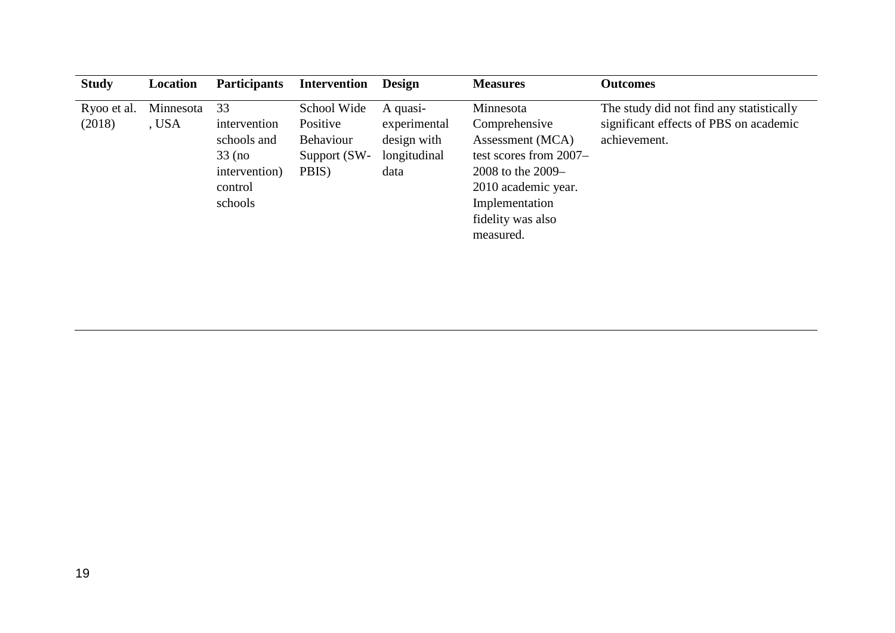| <b>Study</b>          | Location           | <b>Participants</b>                                                                  | <b>Intervention</b>                                                  | <b>Design</b>                                                   | <b>Measures</b>                                                                                                                                                          | <b>Outcomes</b>                                                                                    |
|-----------------------|--------------------|--------------------------------------------------------------------------------------|----------------------------------------------------------------------|-----------------------------------------------------------------|--------------------------------------------------------------------------------------------------------------------------------------------------------------------------|----------------------------------------------------------------------------------------------------|
| Ryoo et al.<br>(2018) | Minnesota<br>, USA | 33<br>intervention<br>schools and<br>$33$ (no<br>intervention)<br>control<br>schools | School Wide<br>Positive<br><b>Behaviour</b><br>Support (SW-<br>PBIS) | A quasi-<br>experimental<br>design with<br>longitudinal<br>data | Minnesota<br>Comprehensive<br>Assessment (MCA)<br>test scores from 2007–<br>2008 to the 2009–<br>2010 academic year.<br>Implementation<br>fidelity was also<br>measured. | The study did not find any statistically<br>significant effects of PBS on academic<br>achievement. |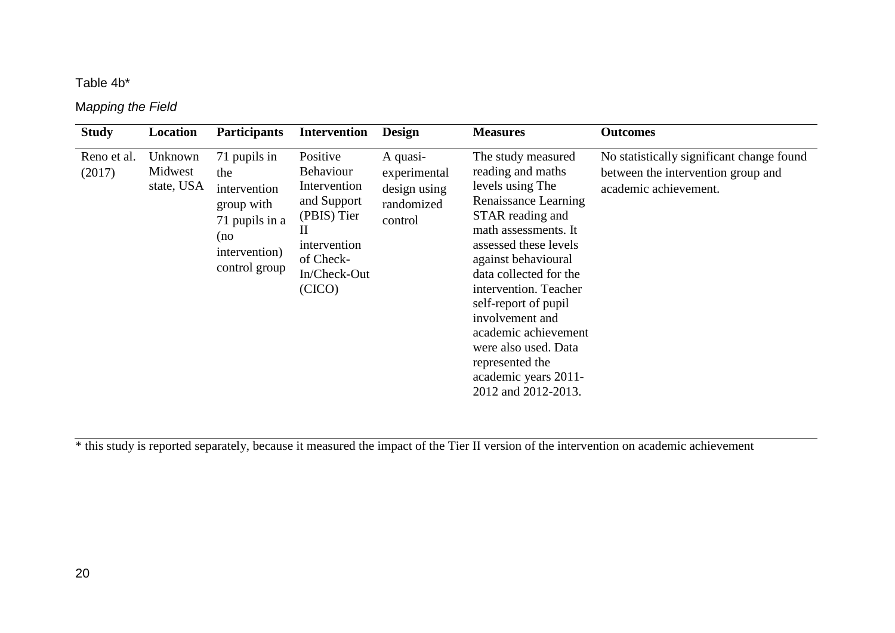## Table 4b\*

## M*apping the Field*

| <b>Study</b>          | Location                         | <b>Participants</b>                                                                                          | <b>Intervention</b>                                                                                                        | Design                                                            | <b>Measures</b>                                                                                                                                                                                                                                                                                                                                                                                 | <b>Outcomes</b>                                                                                          |
|-----------------------|----------------------------------|--------------------------------------------------------------------------------------------------------------|----------------------------------------------------------------------------------------------------------------------------|-------------------------------------------------------------------|-------------------------------------------------------------------------------------------------------------------------------------------------------------------------------------------------------------------------------------------------------------------------------------------------------------------------------------------------------------------------------------------------|----------------------------------------------------------------------------------------------------------|
| Reno et al.<br>(2017) | Unknown<br>Midwest<br>state, USA | 71 pupils in<br>the<br>intervention<br>group with<br>71 pupils in a<br>(no<br>intervention)<br>control group | Positive<br>Behaviour<br>Intervention<br>and Support<br>(PBIS) Tier<br>intervention<br>of Check-<br>In/Check-Out<br>(CICO) | A quasi-<br>experimental<br>design using<br>randomized<br>control | The study measured<br>reading and maths<br>levels using The<br>Renaissance Learning<br>STAR reading and<br>math assessments. It<br>assessed these levels<br>against behavioural<br>data collected for the<br>intervention. Teacher<br>self-report of pupil<br>involvement and<br>academic achievement<br>were also used. Data<br>represented the<br>academic years 2011-<br>2012 and 2012-2013. | No statistically significant change found<br>between the intervention group and<br>academic achievement. |

\* this study is reported separately, because it measured the impact of the Tier II version of the intervention on academic achievement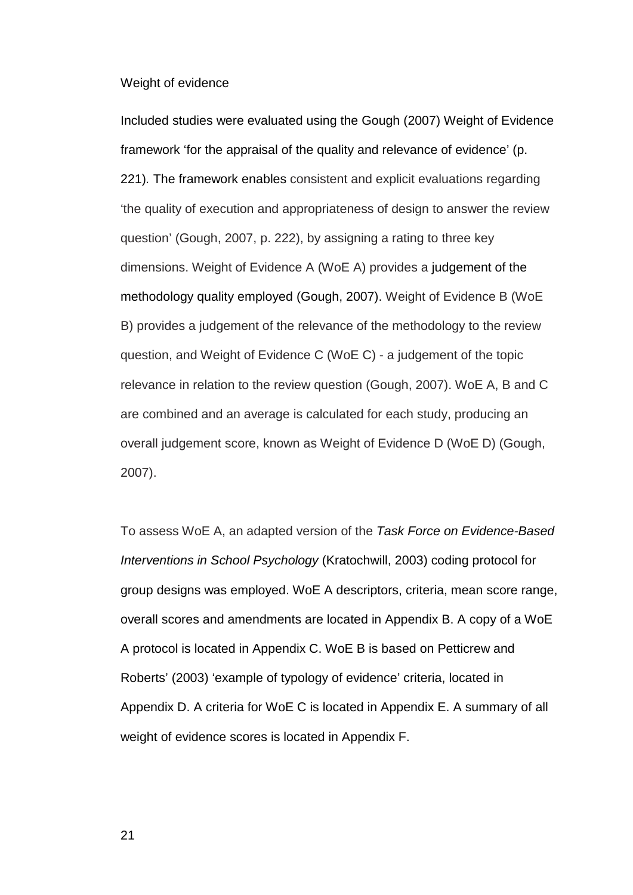### Weight of evidence

Included studies were evaluated using the Gough (2007) Weight of Evidence framework 'for the appraisal of the quality and relevance of evidence' (p. 221)*.* The framework enables consistent and explicit evaluations regarding 'the quality of execution and appropriateness of design to answer the review question' (Gough, 2007, p. 222), by assigning a rating to three key dimensions. Weight of Evidence A (WoE A) provides a judgement of the methodology quality employed (Gough, 2007). Weight of Evidence B (WoE B) provides a judgement of the relevance of the methodology to the review question, and Weight of Evidence C (WoE C) - a judgement of the topic relevance in relation to the review question (Gough, 2007). WoE A, B and C are combined and an average is calculated for each study, producing an overall judgement score, known as Weight of Evidence D (WoE D) (Gough, 2007).

To assess WoE A, an adapted version of the *Task Force on Evidence-Based Interventions in School Psychology* (Kratochwill, 2003) coding protocol for group designs was employed. WoE A descriptors, criteria, mean score range, overall scores and amendments are located in Appendix B. A copy of a WoE A protocol is located in Appendix C. WoE B is based on Petticrew and Roberts' (2003) 'example of typology of evidence' criteria, located in Appendix D. A criteria for WoE C is located in Appendix E. A summary of all weight of evidence scores is located in Appendix F.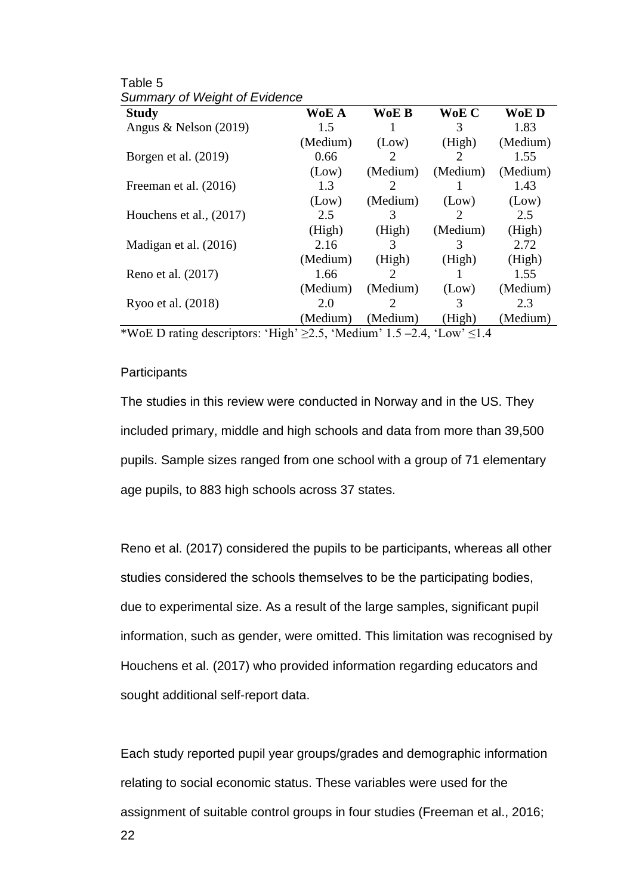| <b>Study</b>              | WoE A    | WoE B                       | WoE C    | WoE D    |
|---------------------------|----------|-----------------------------|----------|----------|
| Angus & Nelson $(2019)$   | 1.5      |                             | 3        | 1.83     |
|                           | (Medium) | (Low)                       | (High)   | (Medium) |
| Borgen et al. (2019)      | 0.66     | 2                           | 2        | 1.55     |
|                           | (Low)    | (Medium)                    | (Medium) | (Medium) |
| Freeman et al. (2016)     | 1.3      | $\mathcal{D}_{\mathcal{L}}$ |          | 1.43     |
|                           | (Low)    | (Medium)                    | (Low)    | (Low)    |
| Houchens et al., $(2017)$ | 2.5      | 3                           | 2        | 2.5      |
|                           | (High)   | (High)                      | (Medium) | (High)   |
| Madigan et al. (2016)     | 2.16     | 3                           | 3        | 2.72     |
|                           | (Medium) | (High)                      | (High)   | (High)   |
| Reno et al. (2017)        | 1.66     | 2                           |          | 1.55     |
|                           | (Medium) | (Medium)                    | (Low)    | (Medium) |
| Ryoo et al. (2018)        | 2.0      |                             | 3        | 2.3      |
|                           | (Medium) | (Medium)                    | (High)   | (Medium) |

Table 5 *Summary of Weight of Evidence* 

\*WoE D rating descriptors: 'High'  $\geq$ 2.5, 'Medium' 1.5 –2.4, 'Low'  $\leq$ 1.4

### **Participants**

The studies in this review were conducted in Norway and in the US. They included primary, middle and high schools and data from more than 39,500 pupils. Sample sizes ranged from one school with a group of 71 elementary age pupils, to 883 high schools across 37 states.

Reno et al. (2017) considered the pupils to be participants, whereas all other studies considered the schools themselves to be the participating bodies, due to experimental size. As a result of the large samples, significant pupil information, such as gender, were omitted. This limitation was recognised by Houchens et al. (2017) who provided information regarding educators and sought additional self-report data.

22 Each study reported pupil year groups/grades and demographic information relating to social economic status. These variables were used for the assignment of suitable control groups in four studies (Freeman et al., 2016;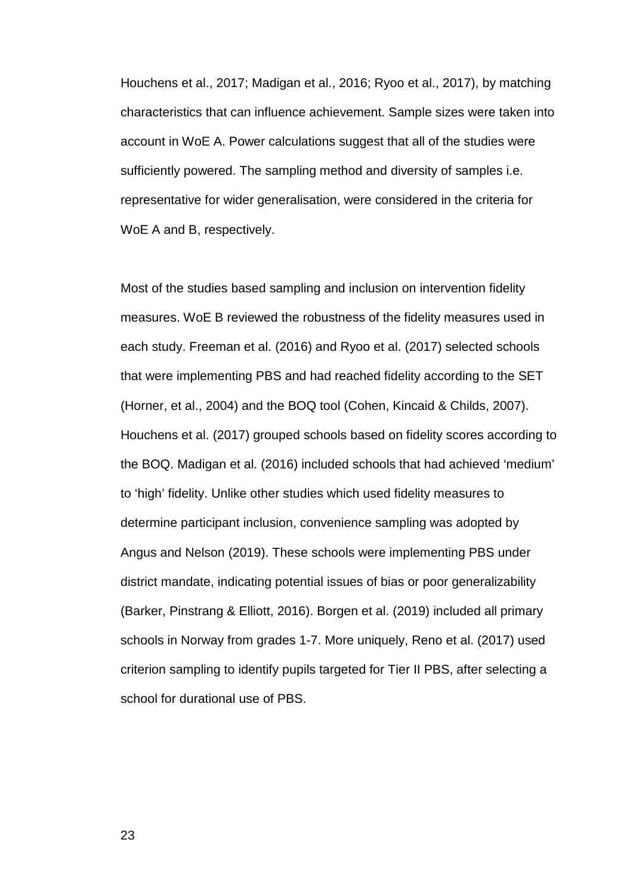Houchens et al., 2017; Madigan et al., 2016; Ryoo et al., 2017), by matching characteristics that can influence achievement. Sample sizes were taken into account in WoE A. Power calculations suggest that all of the studies were sufficiently powered. The sampling method and diversity of samples i.e. representative for wider generalisation, were considered in the criteria for WoE A and B, respectively.

Most of the studies based sampling and inclusion on intervention fidelity measures. WoE B reviewed the robustness of the fidelity measures used in each study. Freeman et al. (2016) and Ryoo et al. (2017) selected schools that were implementing PBS and had reached fidelity according to the SET (Horner, et al., 2004) and the BOQ tool (Cohen, Kincaid & Childs, 2007). Houchens et al. (2017) grouped schools based on fidelity scores according to the BOQ. Madigan et al. (2016) included schools that had achieved 'medium' to 'high' fidelity. Unlike other studies which used fidelity measures to determine participant inclusion, convenience sampling was adopted by Angus and Nelson (2019). These schools were implementing PBS under district mandate, indicating potential issues of bias or poor generalizability (Barker, Pinstrang & Elliott, 2016). Borgen et al. (2019) included all primary schools in Norway from grades 1-7. More uniquely, Reno et al. (2017) used criterion sampling to identify pupils targeted for Tier II PBS, after selecting a school for durational use of PBS.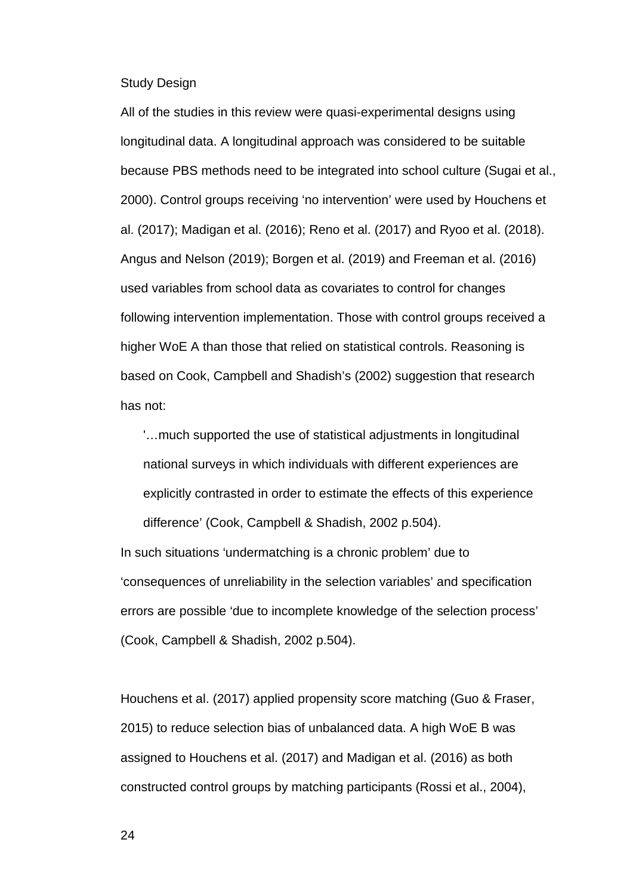Study Design

All of the studies in this review were quasi-experimental designs using longitudinal data. A longitudinal approach was considered to be suitable because PBS methods need to be integrated into school culture (Sugai et al., 2000). Control groups receiving 'no intervention' were used by Houchens et al. (2017); Madigan et al. (2016); Reno et al. (2017) and Ryoo et al. (2018). Angus and Nelson (2019); Borgen et al. (2019) and Freeman et al. (2016) used variables from school data as covariates to control for changes following intervention implementation. Those with control groups received a higher WoE A than those that relied on statistical controls. Reasoning is based on Cook, Campbell and Shadish's (2002) suggestion that research has not:

'…much supported the use of statistical adjustments in longitudinal national surveys in which individuals with different experiences are explicitly contrasted in order to estimate the effects of this experience difference' (Cook, Campbell & Shadish, 2002 p.504).

In such situations 'undermatching is a chronic problem' due to 'consequences of unreliability in the selection variables' and specification errors are possible 'due to incomplete knowledge of the selection process' (Cook, Campbell & Shadish, 2002 p.504).

Houchens et al. (2017) applied propensity score matching (Guo & Fraser, 2015) to reduce selection bias of unbalanced data. A high WoE B was assigned to Houchens et al. (2017) and Madigan et al. (2016) as both constructed control groups by matching participants (Rossi et al., 2004),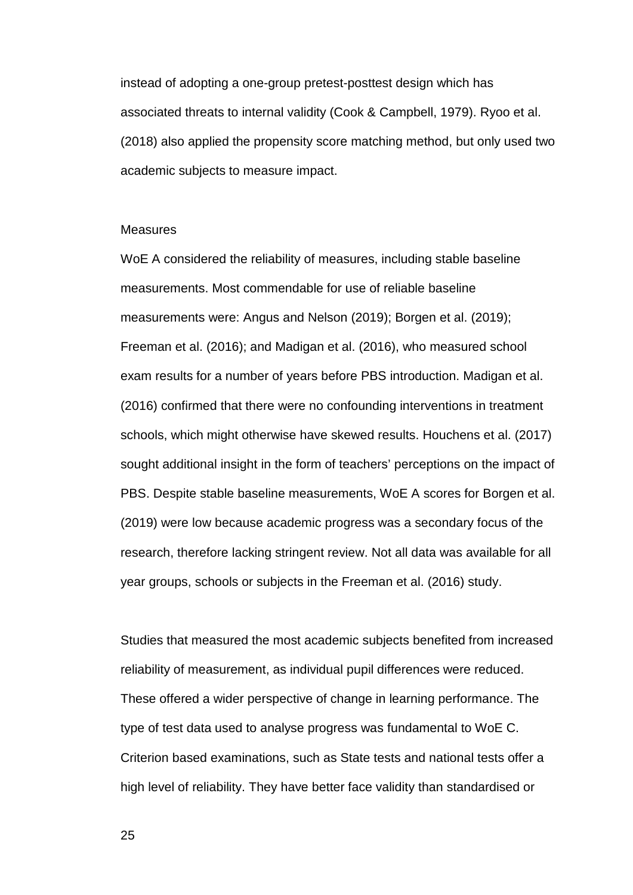instead of adopting a one-group pretest-posttest design which has associated threats to internal validity (Cook & Campbell, 1979). Ryoo et al. (2018) also applied the propensity score matching method, but only used two academic subjects to measure impact.

#### **Measures**

WoE A considered the reliability of measures, including stable baseline measurements. Most commendable for use of reliable baseline measurements were: Angus and Nelson (2019); Borgen et al. (2019); Freeman et al. (2016); and Madigan et al. (2016), who measured school exam results for a number of years before PBS introduction. Madigan et al. (2016) confirmed that there were no confounding interventions in treatment schools, which might otherwise have skewed results. Houchens et al. (2017) sought additional insight in the form of teachers' perceptions on the impact of PBS. Despite stable baseline measurements, WoE A scores for Borgen et al. (2019) were low because academic progress was a secondary focus of the research, therefore lacking stringent review. Not all data was available for all year groups, schools or subjects in the Freeman et al. (2016) study.

Studies that measured the most academic subjects benefited from increased reliability of measurement, as individual pupil differences were reduced. These offered a wider perspective of change in learning performance. The type of test data used to analyse progress was fundamental to WoE C. Criterion based examinations, such as State tests and national tests offer a high level of reliability. They have better face validity than standardised or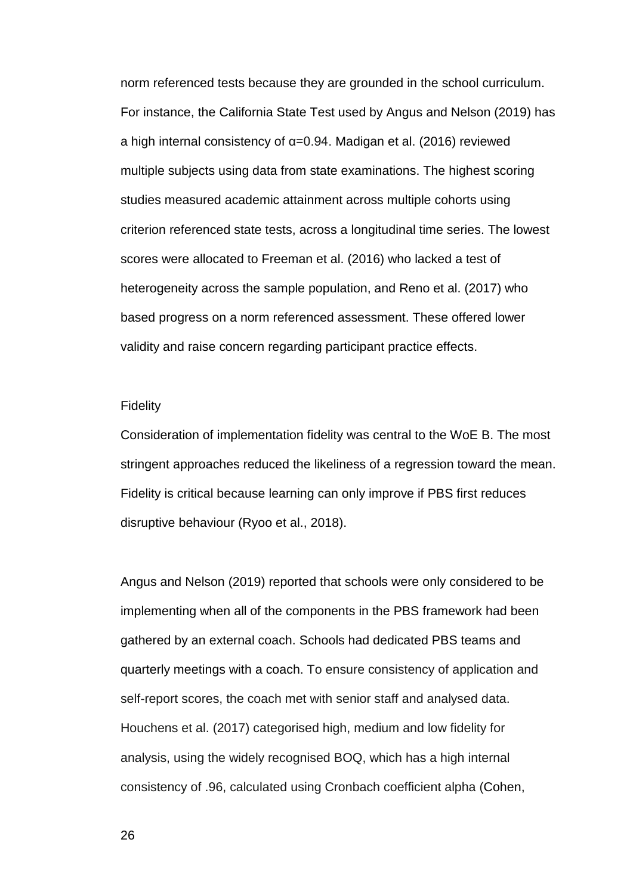norm referenced tests because they are grounded in the school curriculum. For instance, the California State Test used by Angus and Nelson (2019) has a high internal consistency of α=0.94. Madigan et al. (2016) reviewed multiple subjects using data from state examinations. The highest scoring studies measured academic attainment across multiple cohorts using criterion referenced state tests, across a longitudinal time series. The lowest scores were allocated to Freeman et al. (2016) who lacked a test of heterogeneity across the sample population, and Reno et al. (2017) who based progress on a norm referenced assessment. These offered lower validity and raise concern regarding participant practice effects.

#### **Fidelity**

Consideration of implementation fidelity was central to the WoE B. The most stringent approaches reduced the likeliness of a regression toward the mean. Fidelity is critical because learning can only improve if PBS first reduces disruptive behaviour (Ryoo et al., 2018).

Angus and Nelson (2019) reported that schools were only considered to be implementing when all of the components in the PBS framework had been gathered by an external coach. Schools had dedicated PBS teams and quarterly meetings with a coach. To ensure consistency of application and self-report scores, the coach met with senior staff and analysed data. Houchens et al. (2017) categorised high, medium and low fidelity for analysis, using the widely recognised BOQ, which has a high internal consistency of .96, calculated using Cronbach coefficient alpha (Cohen,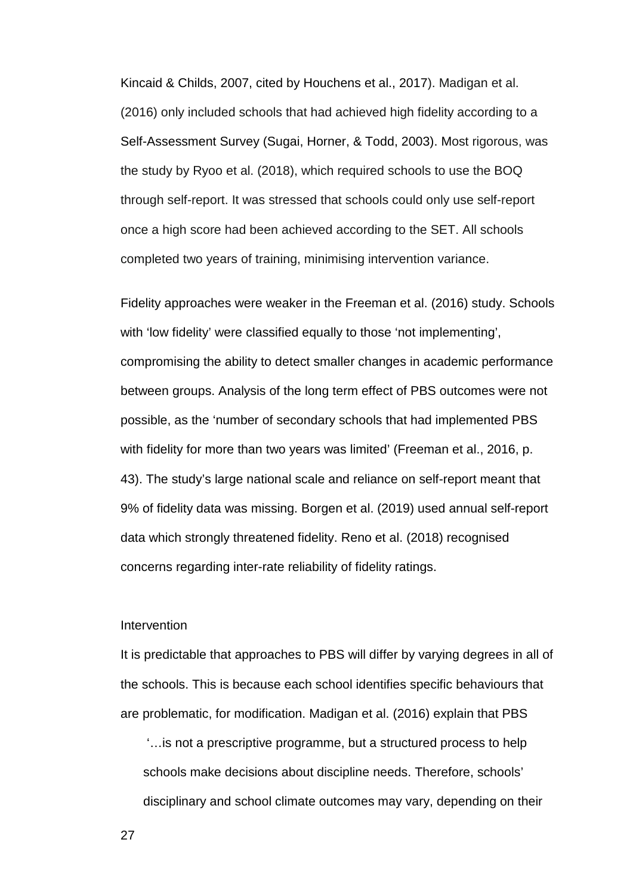Kincaid & Childs, 2007, cited by Houchens et al., 2017). Madigan et al. (2016) only included schools that had achieved high fidelity according to a Self-Assessment Survey (Sugai, Horner, & Todd, 2003). Most rigorous, was the study by Ryoo et al. (2018), which required schools to use the BOQ through self-report. It was stressed that schools could only use self-report once a high score had been achieved according to the SET. All schools completed two years of training, minimising intervention variance.

Fidelity approaches were weaker in the Freeman et al. (2016) study. Schools with 'low fidelity' were classified equally to those 'not implementing', compromising the ability to detect smaller changes in academic performance between groups. Analysis of the long term effect of PBS outcomes were not possible, as the 'number of secondary schools that had implemented PBS with fidelity for more than two years was limited' (Freeman et al., 2016, p. 43). The study's large national scale and reliance on self-report meant that 9% of fidelity data was missing. Borgen et al. (2019) used annual self-report data which strongly threatened fidelity. Reno et al. (2018) recognised concerns regarding inter-rate reliability of fidelity ratings.

### **Intervention**

It is predictable that approaches to PBS will differ by varying degrees in all of the schools. This is because each school identifies specific behaviours that are problematic, for modification. Madigan et al. (2016) explain that PBS

'…is not a prescriptive programme, but a structured process to help schools make decisions about discipline needs. Therefore, schools' disciplinary and school climate outcomes may vary, depending on their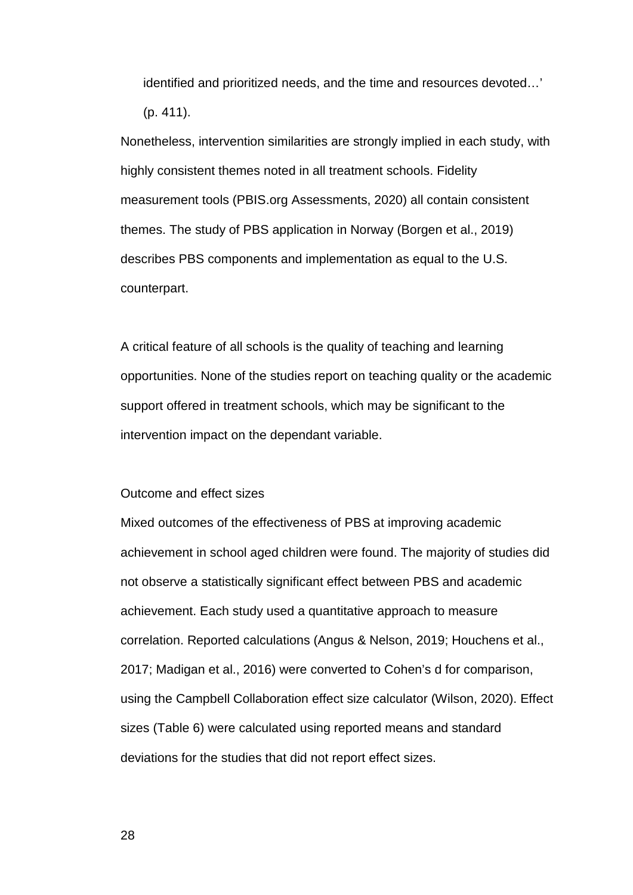identified and prioritized needs, and the time and resources devoted…' (p. 411).

Nonetheless, intervention similarities are strongly implied in each study, with highly consistent themes noted in all treatment schools. Fidelity measurement tools (PBIS.org Assessments, 2020) all contain consistent themes. The study of PBS application in Norway (Borgen et al., 2019) describes PBS components and implementation as equal to the U.S. counterpart.

A critical feature of all schools is the quality of teaching and learning opportunities. None of the studies report on teaching quality or the academic support offered in treatment schools, which may be significant to the intervention impact on the dependant variable.

### Outcome and effect sizes

Mixed outcomes of the effectiveness of PBS at improving academic achievement in school aged children were found. The majority of studies did not observe a statistically significant effect between PBS and academic achievement. Each study used a quantitative approach to measure correlation. Reported calculations (Angus & Nelson, 2019; Houchens et al., 2017; Madigan et al., 2016) were converted to Cohen's d for comparison, using the Campbell Collaboration effect size calculator (Wilson, 2020). Effect sizes (Table 6) were calculated using reported means and standard deviations for the studies that did not report effect sizes.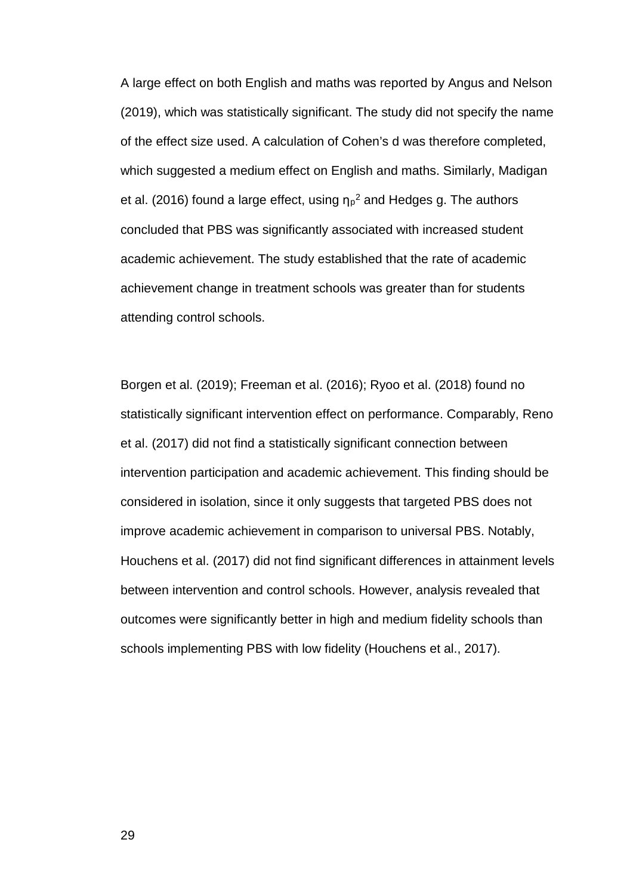A large effect on both English and maths was reported by Angus and Nelson (2019), which was statistically significant. The study did not specify the name of the effect size used. A calculation of Cohen's d was therefore completed, which suggested a medium effect on English and maths. Similarly, Madigan et al. (2016) found a large effect, using  $\eta_P^2$  and Hedges g. The authors concluded that PBS was significantly associated with increased student academic achievement. The study established that the rate of academic achievement change in treatment schools was greater than for students attending control schools.

Borgen et al. (2019); Freeman et al. (2016); Ryoo et al. (2018) found no statistically significant intervention effect on performance. Comparably, Reno et al. (2017) did not find a statistically significant connection between intervention participation and academic achievement. This finding should be considered in isolation, since it only suggests that targeted PBS does not improve academic achievement in comparison to universal PBS. Notably, Houchens et al. (2017) did not find significant differences in attainment levels between intervention and control schools. However, analysis revealed that outcomes were significantly better in high and medium fidelity schools than schools implementing PBS with low fidelity (Houchens et al., 2017).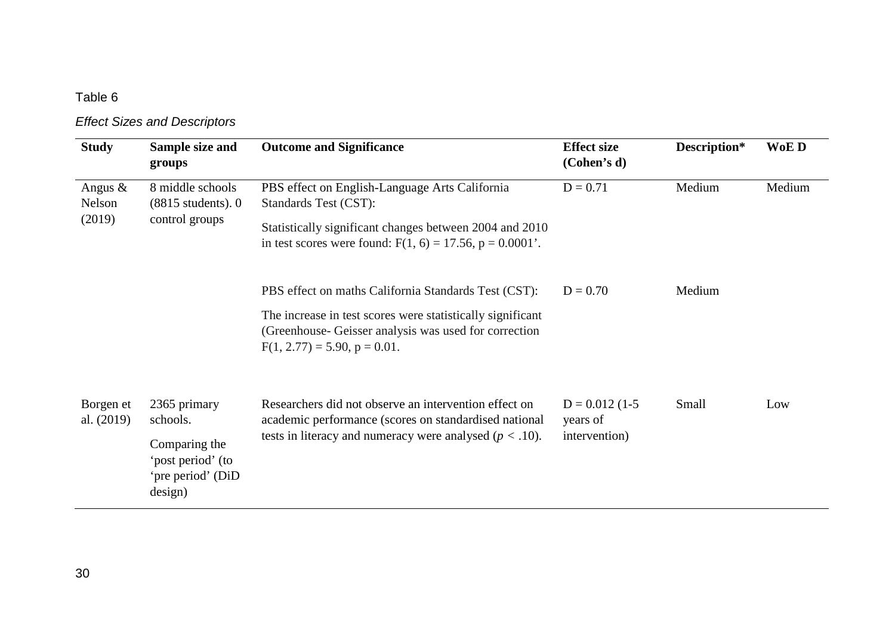# *Effect Sizes and Descriptors*

| <b>Study</b>                   | Sample size and<br>groups                                                                      | <b>Outcome and Significance</b>                                                                                                                                                                              | <b>Effect size</b><br>(Cohen's d)             | Description* | WoE D  |
|--------------------------------|------------------------------------------------------------------------------------------------|--------------------------------------------------------------------------------------------------------------------------------------------------------------------------------------------------------------|-----------------------------------------------|--------------|--------|
| Angus $\&$<br>Nelson<br>(2019) | 8 middle schools<br>$(8815$ students). $0$<br>control groups                                   | PBS effect on English-Language Arts California<br>Standards Test (CST):<br>Statistically significant changes between 2004 and 2010<br>in test scores were found: $F(1, 6) = 17.56$ , $p = 0.0001'$ .         | $D = 0.71$                                    | Medium       | Medium |
|                                |                                                                                                | PBS effect on maths California Standards Test (CST):<br>The increase in test scores were statistically significant<br>(Greenhouse-Geisser analysis was used for correction<br>$F(1, 2.77) = 5.90, p = 0.01.$ | $D = 0.70$                                    | Medium       |        |
| Borgen et<br>al. (2019)        | 2365 primary<br>schools.<br>Comparing the<br>'post period' (to<br>'pre period' (DiD<br>design) | Researchers did not observe an intervention effect on<br>academic performance (scores on standardised national<br>tests in literacy and numeracy were analysed ( $p < .10$ ).                                | $D = 0.012(1-5)$<br>years of<br>intervention) | Small        | Low    |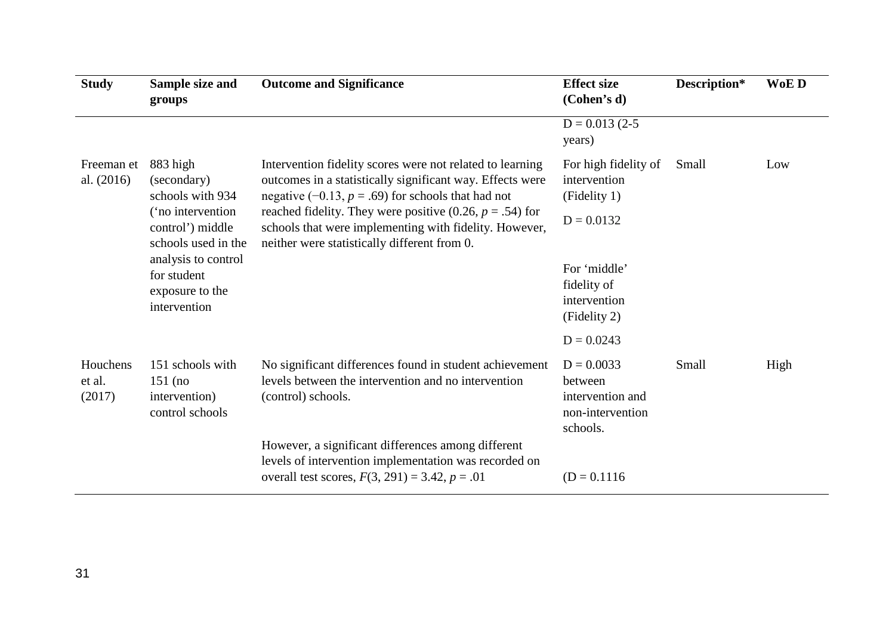| <b>Study</b>                 | Sample size and<br>groups                                                                                                                                                            | <b>Outcome and Significance</b>                                                                                                                                                                                                                                                                                                                         | <b>Effect size</b><br>(Cohen's d)                                           | Description* | WoE D |
|------------------------------|--------------------------------------------------------------------------------------------------------------------------------------------------------------------------------------|---------------------------------------------------------------------------------------------------------------------------------------------------------------------------------------------------------------------------------------------------------------------------------------------------------------------------------------------------------|-----------------------------------------------------------------------------|--------------|-------|
|                              |                                                                                                                                                                                      |                                                                                                                                                                                                                                                                                                                                                         | $D = 0.013(2-5)$<br>years)                                                  |              |       |
| Freeman et<br>al. $(2016)$   | 883 high<br>(secondary)<br>schools with 934<br>('no intervention<br>control') middle<br>schools used in the<br>analysis to control<br>for student<br>exposure to the<br>intervention | Intervention fidelity scores were not related to learning<br>outcomes in a statistically significant way. Effects were<br>negative $(-0.13, p = .69)$ for schools that had not<br>reached fidelity. They were positive (0.26, $p = .54$ ) for<br>schools that were implementing with fidelity. However,<br>neither were statistically different from 0. | For high fidelity of<br>intervention<br>(Fidelity 1)                        | Small        | Low   |
|                              |                                                                                                                                                                                      |                                                                                                                                                                                                                                                                                                                                                         | $D = 0.0132$                                                                |              |       |
|                              |                                                                                                                                                                                      |                                                                                                                                                                                                                                                                                                                                                         | For 'middle'<br>fidelity of<br>intervention<br>(Fidelity 2)                 |              |       |
|                              |                                                                                                                                                                                      |                                                                                                                                                                                                                                                                                                                                                         | $D = 0.0243$                                                                |              |       |
| Houchens<br>et al.<br>(2017) | 151 schools with<br>$151$ (no<br>intervention)<br>control schools                                                                                                                    | No significant differences found in student achievement<br>levels between the intervention and no intervention<br>(control) schools.                                                                                                                                                                                                                    | $D = 0.0033$<br>between<br>intervention and<br>non-intervention<br>schools. | Small        | High  |
|                              |                                                                                                                                                                                      | However, a significant differences among different<br>levels of intervention implementation was recorded on<br>overall test scores, $F(3, 291) = 3.42$ , $p = .01$                                                                                                                                                                                      | $(D = 0.1116)$                                                              |              |       |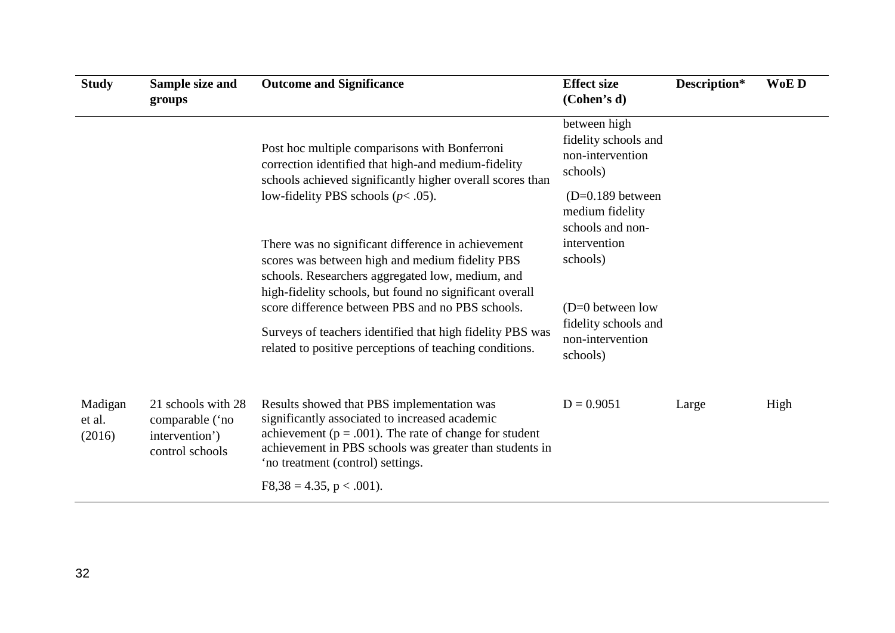| <b>Study</b>                | Sample size and<br>groups                                                  | <b>Outcome and Significance</b>                                                                                                                                                                                                                                                                                                                                                                  | <b>Effect size</b><br>(Cohen's d)                                                                                                  | Description* | WoE D |
|-----------------------------|----------------------------------------------------------------------------|--------------------------------------------------------------------------------------------------------------------------------------------------------------------------------------------------------------------------------------------------------------------------------------------------------------------------------------------------------------------------------------------------|------------------------------------------------------------------------------------------------------------------------------------|--------------|-------|
|                             |                                                                            | Post hoc multiple comparisons with Bonferroni<br>correction identified that high-and medium-fidelity<br>schools achieved significantly higher overall scores than<br>low-fidelity PBS schools ( $p$ < .05).                                                                                                                                                                                      | between high<br>fidelity schools and<br>non-intervention<br>schools)<br>$(D=0.189)$ between<br>medium fidelity<br>schools and non- |              |       |
|                             |                                                                            | There was no significant difference in achievement<br>scores was between high and medium fidelity PBS<br>schools. Researchers aggregated low, medium, and<br>high-fidelity schools, but found no significant overall<br>score difference between PBS and no PBS schools.<br>Surveys of teachers identified that high fidelity PBS was<br>related to positive perceptions of teaching conditions. | intervention<br>schools)<br>$(D=0)$ between low<br>fidelity schools and<br>non-intervention<br>schools)                            |              |       |
| Madigan<br>et al.<br>(2016) | 21 schools with 28<br>comparable ('no<br>intervention')<br>control schools | Results showed that PBS implementation was<br>significantly associated to increased academic<br>achievement ( $p = .001$ ). The rate of change for student<br>achievement in PBS schools was greater than students in<br>'no treatment (control) settings.<br>$F8,38 = 4.35, p < .001$ ).                                                                                                        | $D = 0.9051$                                                                                                                       | Large        | High  |
|                             |                                                                            |                                                                                                                                                                                                                                                                                                                                                                                                  |                                                                                                                                    |              |       |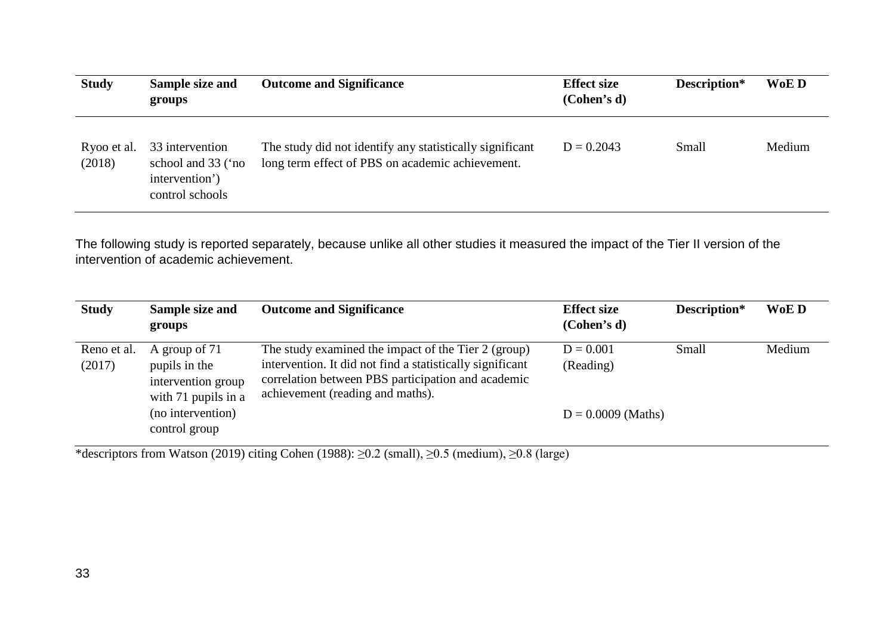| <b>Study</b>          | Sample size and<br>groups                                                  | <b>Outcome and Significance</b>                                                                              | <b>Effect size</b><br>(Cohen's d) | Description* | WoE D  |
|-----------------------|----------------------------------------------------------------------------|--------------------------------------------------------------------------------------------------------------|-----------------------------------|--------------|--------|
| Ryoo et al.<br>(2018) | 33 intervention<br>school and 33 ('no<br>intervention')<br>control schools | The study did not identify any statistically significant<br>long term effect of PBS on academic achievement. | $D = 0.2043$                      | Small        | Medium |

The following study is reported separately, because unlike all other studies it measured the impact of the Tier II version of the intervention of academic achievement.

| <b>Study</b>          | Sample size and<br>groups                                                   | <b>Outcome and Significance</b>                                                                                                                                                                            | <b>Effect size</b><br>(Cohen's d) | Description* | WoE D  |
|-----------------------|-----------------------------------------------------------------------------|------------------------------------------------------------------------------------------------------------------------------------------------------------------------------------------------------------|-----------------------------------|--------------|--------|
| Reno et al.<br>(2017) | A group of 71<br>pupils in the<br>intervention group<br>with 71 pupils in a | The study examined the impact of the Tier 2 (group)<br>intervention. It did not find a statistically significant<br>correlation between PBS participation and academic<br>achievement (reading and maths). | $D = 0.001$<br>(Reading)          | Small        | Medium |
|                       | (no intervention)<br>control group                                          |                                                                                                                                                                                                            | $D = 0.0009$ (Maths)              |              |        |

\*descriptors from Watson (2019) citing Cohen (1988): ≥0.2 (small), ≥0.5 (medium), ≥0.8 (large)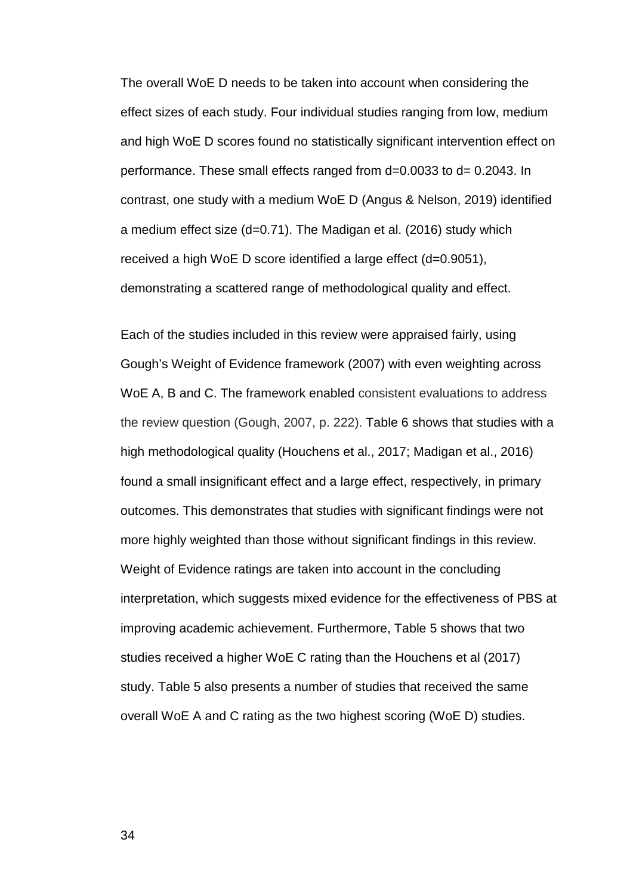The overall WoE D needs to be taken into account when considering the effect sizes of each study. Four individual studies ranging from low, medium and high WoE D scores found no statistically significant intervention effect on performance. These small effects ranged from d=0.0033 to d= 0.2043. In contrast, one study with a medium WoE D (Angus & Nelson, 2019) identified a medium effect size (d=0.71). The Madigan et al. (2016) study which received a high WoE D score identified a large effect (d=0.9051), demonstrating a scattered range of methodological quality and effect.

Each of the studies included in this review were appraised fairly, using Gough's Weight of Evidence framework (2007) with even weighting across WoE A, B and C. The framework enabled consistent evaluations to address the review question (Gough, 2007, p. 222). Table 6 shows that studies with a high methodological quality (Houchens et al., 2017; Madigan et al., 2016) found a small insignificant effect and a large effect, respectively, in primary outcomes. This demonstrates that studies with significant findings were not more highly weighted than those without significant findings in this review. Weight of Evidence ratings are taken into account in the concluding interpretation, which suggests mixed evidence for the effectiveness of PBS at improving academic achievement. Furthermore, Table 5 shows that two studies received a higher WoE C rating than the Houchens et al (2017) study. Table 5 also presents a number of studies that received the same overall WoE A and C rating as the two highest scoring (WoE D) studies.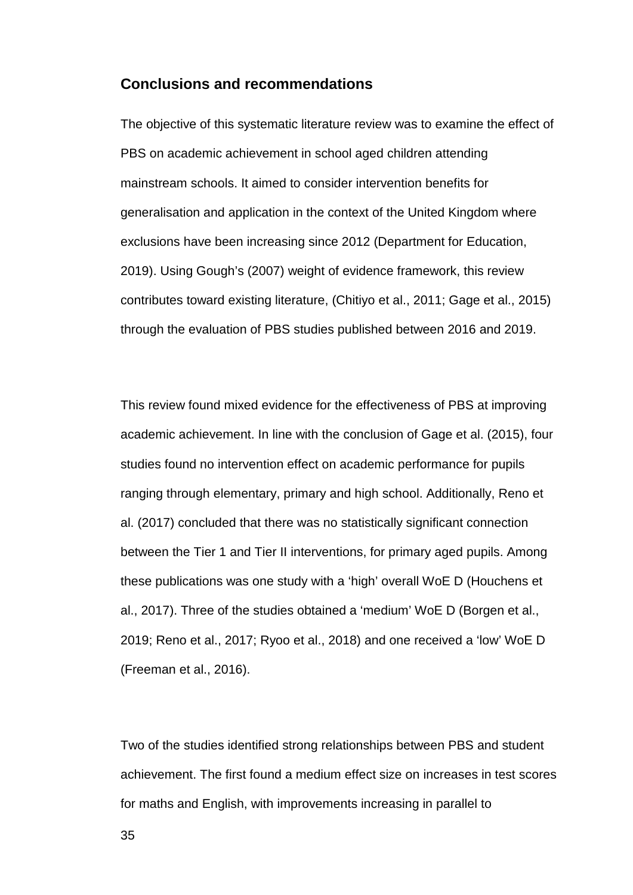## **Conclusions and recommendations**

The objective of this systematic literature review was to examine the effect of PBS on academic achievement in school aged children attending mainstream schools. It aimed to consider intervention benefits for generalisation and application in the context of the United Kingdom where exclusions have been increasing since 2012 (Department for Education, 2019). Using Gough's (2007) weight of evidence framework, this review contributes toward existing literature, (Chitiyo et al., 2011; Gage et al., 2015) through the evaluation of PBS studies published between 2016 and 2019.

This review found mixed evidence for the effectiveness of PBS at improving academic achievement. In line with the conclusion of Gage et al. (2015), four studies found no intervention effect on academic performance for pupils ranging through elementary, primary and high school. Additionally, Reno et al. (2017) concluded that there was no statistically significant connection between the Tier 1 and Tier II interventions, for primary aged pupils. Among these publications was one study with a 'high' overall WoE D (Houchens et al., 2017). Three of the studies obtained a 'medium' WoE D (Borgen et al., 2019; Reno et al., 2017; Ryoo et al., 2018) and one received a 'low' WoE D (Freeman et al., 2016).

Two of the studies identified strong relationships between PBS and student achievement. The first found a medium effect size on increases in test scores for maths and English, with improvements increasing in parallel to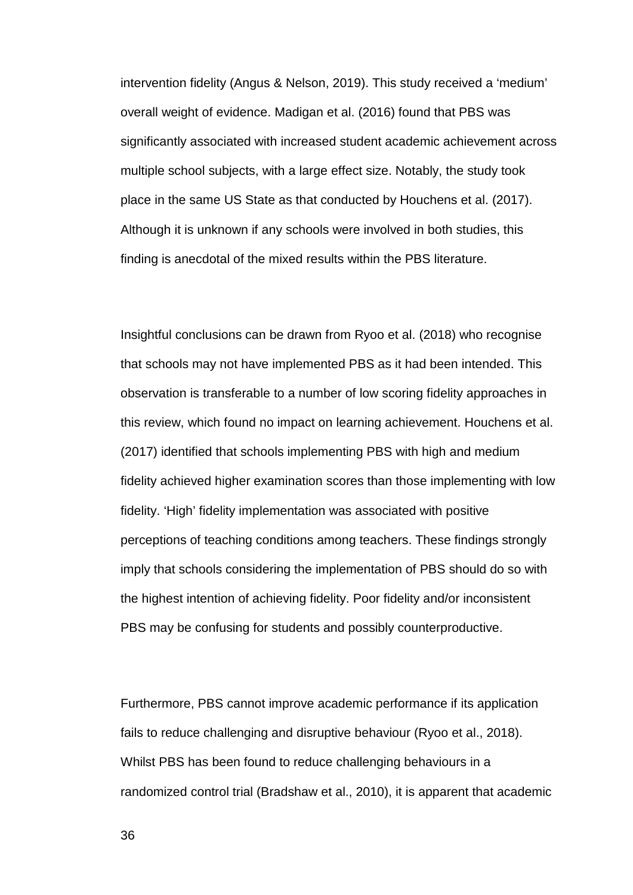intervention fidelity (Angus & Nelson, 2019). This study received a 'medium' overall weight of evidence. Madigan et al. (2016) found that PBS was significantly associated with increased student academic achievement across multiple school subjects, with a large effect size. Notably, the study took place in the same US State as that conducted by Houchens et al. (2017). Although it is unknown if any schools were involved in both studies, this finding is anecdotal of the mixed results within the PBS literature.

Insightful conclusions can be drawn from Ryoo et al. (2018) who recognise that schools may not have implemented PBS as it had been intended. This observation is transferable to a number of low scoring fidelity approaches in this review, which found no impact on learning achievement. Houchens et al. (2017) identified that schools implementing PBS with high and medium fidelity achieved higher examination scores than those implementing with low fidelity. 'High' fidelity implementation was associated with positive perceptions of teaching conditions among teachers. These findings strongly imply that schools considering the implementation of PBS should do so with the highest intention of achieving fidelity. Poor fidelity and/or inconsistent PBS may be confusing for students and possibly counterproductive.

Furthermore, PBS cannot improve academic performance if its application fails to reduce challenging and disruptive behaviour (Ryoo et al., 2018). Whilst PBS has been found to reduce challenging behaviours in a randomized control trial (Bradshaw et al., 2010), it is apparent that academic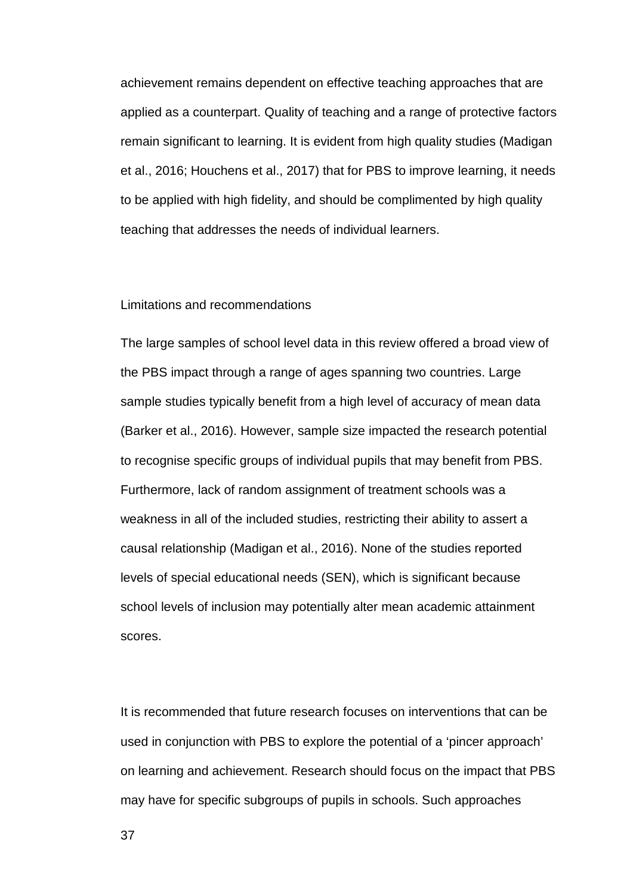achievement remains dependent on effective teaching approaches that are applied as a counterpart. Quality of teaching and a range of protective factors remain significant to learning. It is evident from high quality studies (Madigan et al., 2016; Houchens et al., 2017) that for PBS to improve learning, it needs to be applied with high fidelity, and should be complimented by high quality teaching that addresses the needs of individual learners.

#### Limitations and recommendations

The large samples of school level data in this review offered a broad view of the PBS impact through a range of ages spanning two countries. Large sample studies typically benefit from a high level of accuracy of mean data (Barker et al., 2016). However, sample size impacted the research potential to recognise specific groups of individual pupils that may benefit from PBS. Furthermore, lack of random assignment of treatment schools was a weakness in all of the included studies, restricting their ability to assert a causal relationship (Madigan et al., 2016). None of the studies reported levels of special educational needs (SEN), which is significant because school levels of inclusion may potentially alter mean academic attainment scores.

It is recommended that future research focuses on interventions that can be used in conjunction with PBS to explore the potential of a 'pincer approach' on learning and achievement. Research should focus on the impact that PBS may have for specific subgroups of pupils in schools. Such approaches

37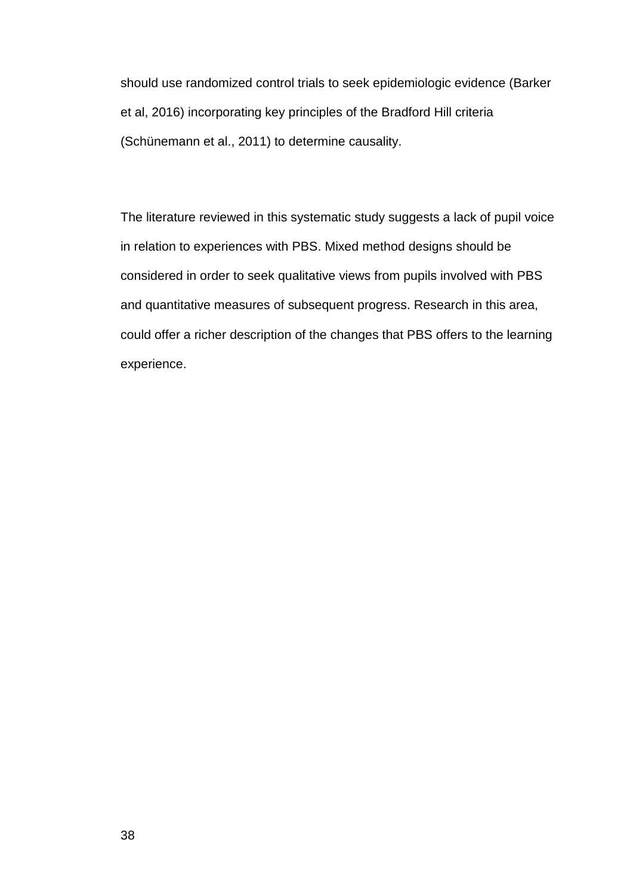should use randomized control trials to seek epidemiologic evidence (Barker et al, 2016) incorporating key principles of the Bradford Hill criteria (Schünemann et al., 2011) to determine causality.

The literature reviewed in this systematic study suggests a lack of pupil voice in relation to experiences with PBS. Mixed method designs should be considered in order to seek qualitative views from pupils involved with PBS and quantitative measures of subsequent progress. Research in this area, could offer a richer description of the changes that PBS offers to the learning experience.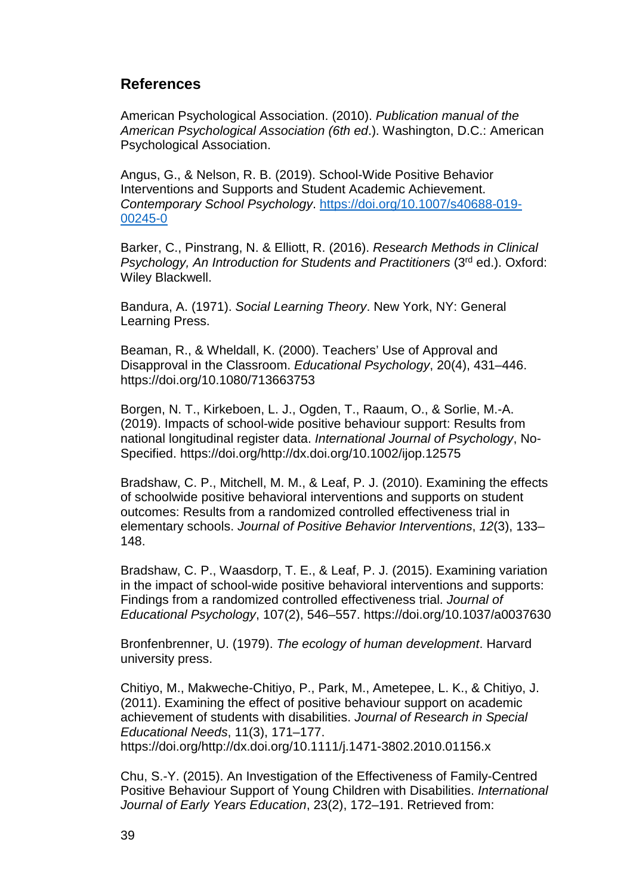## **References**

American Psychological Association. (2010). *Publication manual of the American Psychological Association (6th ed*.). Washington, D.C.: American Psychological Association.

Angus, G., & Nelson, R. B. (2019). School-Wide Positive Behavior Interventions and Supports and Student Academic Achievement. *Contemporary School Psychology*. [https://doi.org/10.1007/s40688-019-](https://doi.org/10.1007/s40688-019-00245-0) [00245-0](https://doi.org/10.1007/s40688-019-00245-0)

Barker, C., Pinstrang, N. & Elliott, R. (2016). *Research Methods in Clinical Psychology, An Introduction for Students and Practitioners* (3<sup>rd</sup> ed.). Oxford: Wiley Blackwell.

Bandura, A. (1971). *Social Learning Theory*. New York, NY: General Learning Press.

Beaman, R., & Wheldall, K. (2000). Teachers' Use of Approval and Disapproval in the Classroom. *Educational Psychology*, 20(4), 431–446. https://doi.org/10.1080/713663753

Borgen, N. T., Kirkeboen, L. J., Ogden, T., Raaum, O., & Sorlie, M.-A. (2019). Impacts of school-wide positive behaviour support: Results from national longitudinal register data. *International Journal of Psychology*, No-Specified. https://doi.org/http://dx.doi.org/10.1002/ijop.12575

Bradshaw, C. P., Mitchell, M. M., & Leaf, P. J. (2010). Examining the effects of schoolwide positive behavioral interventions and supports on student outcomes: Results from a randomized controlled effectiveness trial in elementary schools. *Journal of Positive Behavior Interventions*, *12*(3), 133– 148.

Bradshaw, C. P., Waasdorp, T. E., & Leaf, P. J. (2015). Examining variation in the impact of school-wide positive behavioral interventions and supports: Findings from a randomized controlled effectiveness trial. *Journal of Educational Psychology*, 107(2), 546–557. https://doi.org/10.1037/a0037630

Bronfenbrenner, U. (1979). *The ecology of human development*. Harvard university press.

Chitiyo, M., Makweche-Chitiyo, P., Park, M., Ametepee, L. K., & Chitiyo, J. (2011). Examining the effect of positive behaviour support on academic achievement of students with disabilities. *Journal of Research in Special Educational Needs*, 11(3), 171–177. https://doi.org/http://dx.doi.org/10.1111/j.1471-3802.2010.01156.x

Chu, S.-Y. (2015). An Investigation of the Effectiveness of Family-Centred Positive Behaviour Support of Young Children with Disabilities. *International Journal of Early Years Education*, 23(2), 172–191. Retrieved from: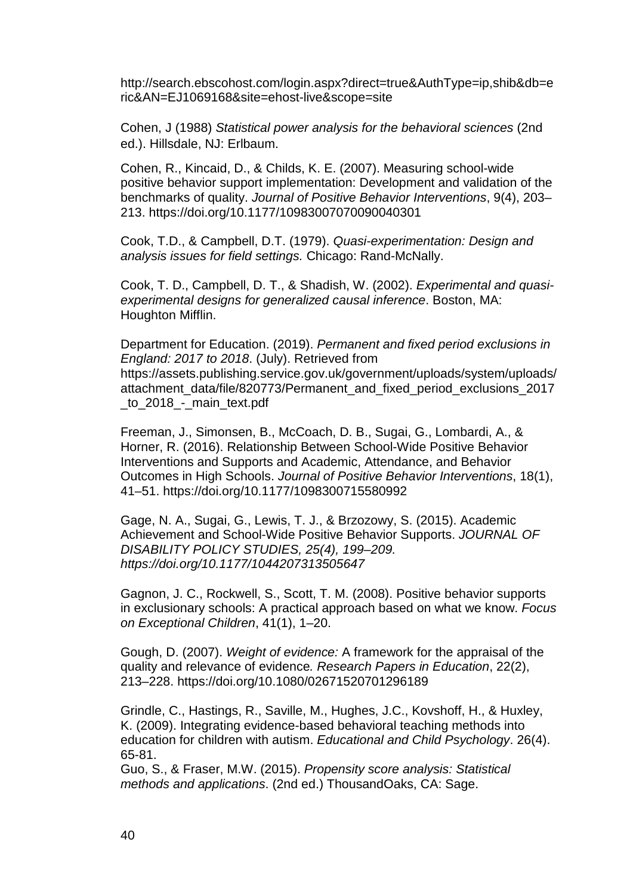http://search.ebscohost.com/login.aspx?direct=true&AuthType=ip,shib&db=e ric&AN=EJ1069168&site=ehost-live&scope=site

Cohen, J (1988) *Statistical power analysis for the behavioral sciences* (2nd ed.). Hillsdale, NJ: Erlbaum.

Cohen, R., Kincaid, D., & Childs, K. E. (2007). Measuring school-wide positive behavior support implementation: Development and validation of the benchmarks of quality. *Journal of Positive Behavior Interventions*, 9(4), 203– 213. https://doi.org/10.1177/10983007070090040301

Cook, T.D., & Campbell, D.T. (1979). *Quasi-experimentation: Design and analysis issues for field settings.* Chicago: Rand-McNally.

Cook, T. D., Campbell, D. T., & Shadish, W. (2002). *Experimental and quasiexperimental designs for generalized causal inference*. Boston, MA: Houghton Mifflin.

Department for Education. (2019). *Permanent and fixed period exclusions in England: 2017 to 2018*. (July). Retrieved from https://assets.publishing.service.gov.uk/government/uploads/system/uploads/ attachment\_data/file/820773/Permanent\_and\_fixed\_period\_exclusions\_2017 \_to\_2018\_-\_main\_text.pdf

Freeman, J., Simonsen, B., McCoach, D. B., Sugai, G., Lombardi, A., & Horner, R. (2016). Relationship Between School-Wide Positive Behavior Interventions and Supports and Academic, Attendance, and Behavior Outcomes in High Schools. *Journal of Positive Behavior Interventions*, 18(1), 41–51. https://doi.org/10.1177/1098300715580992

Gage, N. A., Sugai, G., Lewis, T. J., & Brzozowy, S. (2015). Academic Achievement and School-Wide Positive Behavior Supports. *JOURNAL OF DISABILITY POLICY STUDIES, 25(4), 199–209. https://doi.org/10.1177/1044207313505647*

Gagnon, J. C., Rockwell, S., Scott, T. M. (2008). Positive behavior supports in exclusionary schools: A practical approach based on what we know. *Focus on Exceptional Children*, 41(1), 1–20.

Gough, D. (2007). *Weight of evidence:* A framework for the appraisal of the quality and relevance of evidence*. Research Papers in Education*, 22(2), 213–228. https://doi.org/10.1080/02671520701296189

Grindle, C., Hastings, R., Saville, M., Hughes, J.C., Kovshoff, H., & Huxley, K. (2009). Integrating evidence-based behavioral teaching methods into education for children with autism. *Educational and Child Psychology*. 26(4). 65-81.

Guo, S., & Fraser, M.W. (2015). *Propensity score analysis: Statistical methods and applications*. (2nd ed.) ThousandOaks, CA: Sage.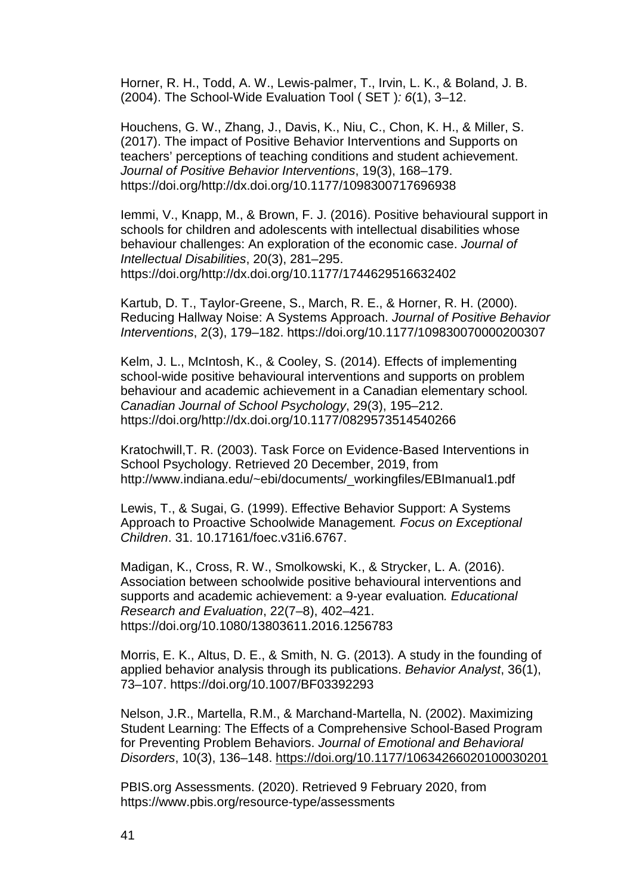Horner, R. H., Todd, A. W., Lewis-palmer, T., Irvin, L. K., & Boland, J. B. (2004). The School-Wide Evaluation Tool ( SET )*: 6*(1), 3–12.

Houchens, G. W., Zhang, J., Davis, K., Niu, C., Chon, K. H., & Miller, S. (2017). The impact of Positive Behavior Interventions and Supports on teachers' perceptions of teaching conditions and student achievement. *Journal of Positive Behavior Interventions*, 19(3), 168–179. https://doi.org/http://dx.doi.org/10.1177/1098300717696938

Iemmi, V., Knapp, M., & Brown, F. J. (2016). Positive behavioural support in schools for children and adolescents with intellectual disabilities whose behaviour challenges: An exploration of the economic case. *Journal of Intellectual Disabilities*, 20(3), 281–295. https://doi.org/http://dx.doi.org/10.1177/1744629516632402

Kartub, D. T., Taylor-Greene, S., March, R. E., & Horner, R. H. (2000). Reducing Hallway Noise: A Systems Approach. *Journal of Positive Behavior Interventions*, 2(3), 179–182. https://doi.org/10.1177/109830070000200307

Kelm, J. L., McIntosh, K., & Cooley, S. (2014). Effects of implementing school-wide positive behavioural interventions and supports on problem behaviour and academic achievement in a Canadian elementary school*. Canadian Journal of School Psychology*, 29(3), 195–212. https://doi.org/http://dx.doi.org/10.1177/0829573514540266

Kratochwill,T. R. (2003). Task Force on Evidence-Based Interventions in School Psychology. Retrieved 20 December, 2019, from http://www.indiana.edu/~ebi/documents/\_workingfiles/EBImanual1.pdf

Lewis, T., & Sugai, G. (1999). Effective Behavior Support: A Systems Approach to Proactive Schoolwide Management*. Focus on Exceptional Children*. 31. 10.17161/foec.v31i6.6767.

Madigan, K., Cross, R. W., Smolkowski, K., & Strycker, L. A. (2016). Association between schoolwide positive behavioural interventions and supports and academic achievement: a 9-year evaluation*. Educational Research and Evaluation*, 22(7–8), 402–421. https://doi.org/10.1080/13803611.2016.1256783

Morris, E. K., Altus, D. E., & Smith, N. G. (2013). A study in the founding of applied behavior analysis through its publications. *Behavior Analyst*, 36(1), 73–107. https://doi.org/10.1007/BF03392293

Nelson, J.R., Martella, R.M., & Marchand-Martella, N. (2002). Maximizing Student Learning: The Effects of a Comprehensive School-Based Program for Preventing Problem Behaviors. *Journal of Emotional and Behavioral Disorders*, 10(3), 136–148.<https://doi.org/10.1177/10634266020100030201>

PBIS.org Assessments. (2020). Retrieved 9 February 2020, from https://www.pbis.org/resource-type/assessments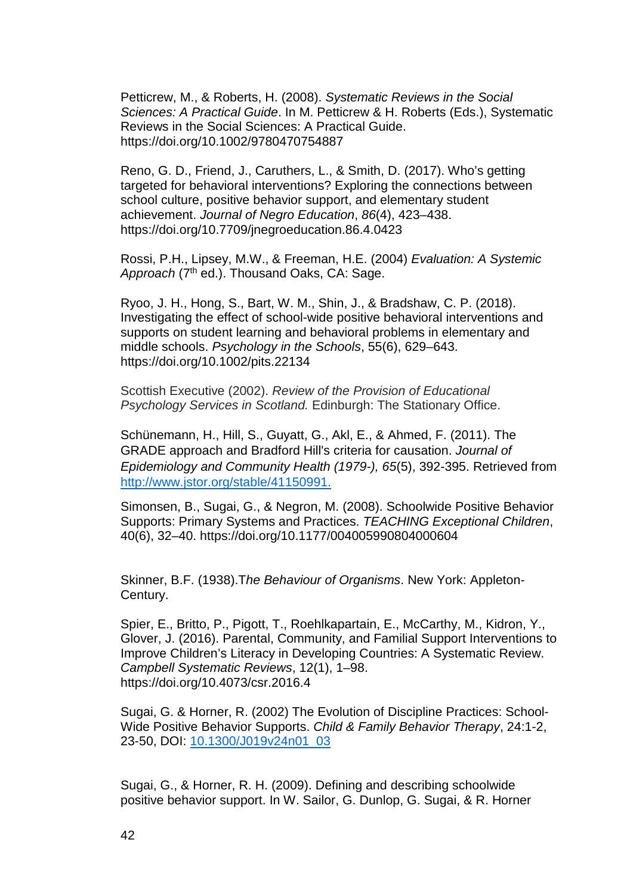Petticrew, M., & Roberts, H. (2008). *Systematic Reviews in the Social Sciences: A Practical Guide*. In M. Petticrew & H. Roberts (Eds.), Systematic Reviews in the Social Sciences: A Practical Guide. https://doi.org/10.1002/9780470754887

Reno, G. D., Friend, J., Caruthers, L., & Smith, D. (2017). Who's getting targeted for behavioral interventions? Exploring the connections between school culture, positive behavior support, and elementary student achievement. *Journal of Negro Education*, *86*(4), 423–438. https://doi.org/10.7709/jnegroeducation.86.4.0423

Rossi, P.H., Lipsey, M.W., & Freeman, H.E. (2004) *Evaluation: A Systemic*  Approach (7<sup>th</sup> ed.). Thousand Oaks, CA: Sage.

Ryoo, J. H., Hong, S., Bart, W. M., Shin, J., & Bradshaw, C. P. (2018). Investigating the effect of school-wide positive behavioral interventions and supports on student learning and behavioral problems in elementary and middle schools. *Psychology in the Schools*, 55(6), 629–643. https://doi.org/10.1002/pits.22134

Scottish Executive (2002). *Review of the Provision of Educational Psychology Services in Scotland.* Edinburgh: The Stationary Office.

Schünemann, H., Hill, S., Guyatt, G., Akl, E., & Ahmed, F. (2011). The GRADE approach and Bradford Hill's criteria for causation. *Journal of Epidemiology and Community Health (1979-), 65*(5), 392-395. Retrieved from [http://www.jstor.org/stable/41150991.](http://www.jstor.org/stable/41150991)

Simonsen, B., Sugai, G., & Negron, M. (2008). Schoolwide Positive Behavior Supports: Primary Systems and Practices. *TEACHING Exceptional Children*, 40(6), 32–40. https://doi.org/10.1177/004005990804000604

Skinner, B.F. (1938).T*he Behaviour of Organisms*. New York: Appleton-Century.

Spier, E., Britto, P., Pigott, T., Roehlkapartain, E., McCarthy, M., Kidron, Y., Glover, J. (2016). Parental, Community, and Familial Support Interventions to Improve Children's Literacy in Developing Countries: A Systematic Review. *Campbell Systematic Reviews*, 12(1), 1–98. https://doi.org/10.4073/csr.2016.4

Sugai, G. & Horner, R. (2002) The Evolution of Discipline Practices: School-Wide Positive Behavior Supports. *Child & Family Behavior Therapy*, 24:1-2, 23-50, DOI: [10.1300/J019v24n01\\_03](https://doi.org/10.1300/J019v24n01_03)

Sugai, G., & Horner, R. H. (2009). Defining and describing schoolwide positive behavior support. In W. Sailor, G. Dunlop, G. Sugai, & R. Horner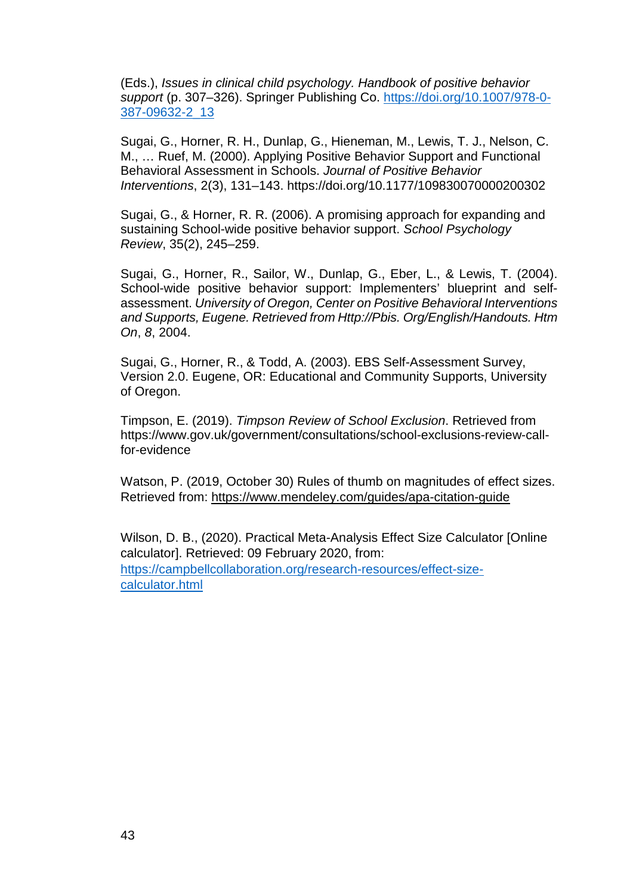(Eds.), *Issues in clinical child psychology. Handbook of positive behavior support* (p. 307–326). Springer Publishing Co. [https://doi.org/10.1007/978-0-](https://psycnet.apa.org/doi/10.1007/978-0-387-09632-2_13) [387-09632-2\\_13](https://psycnet.apa.org/doi/10.1007/978-0-387-09632-2_13)

Sugai, G., Horner, R. H., Dunlap, G., Hieneman, M., Lewis, T. J., Nelson, C. M., … Ruef, M. (2000). Applying Positive Behavior Support and Functional Behavioral Assessment in Schools. *Journal of Positive Behavior Interventions*, 2(3), 131–143. https://doi.org/10.1177/109830070000200302

Sugai, G., & Horner, R. R. (2006). A promising approach for expanding and sustaining School-wide positive behavior support. *School Psychology Review*, 35(2), 245–259.

Sugai, G., Horner, R., Sailor, W., Dunlap, G., Eber, L., & Lewis, T. (2004). School-wide positive behavior support: Implementers' blueprint and selfassessment. *University of Oregon, Center on Positive Behavioral Interventions and Supports, Eugene. Retrieved from Http://Pbis. Org/English/Handouts. Htm On*, *8*, 2004.

Sugai, G., Horner, R., & Todd, A. (2003). EBS Self-Assessment Survey, Version 2.0. Eugene, OR: Educational and Community Supports, University of Oregon.

Timpson, E. (2019). *Timpson Review of School Exclusion*. Retrieved from https://www.gov.uk/government/consultations/school-exclusions-review-callfor-evidence

Watson, P. (2019, October 30) Rules of thumb on magnitudes of effect sizes. Retrieved from: <https://www.mendeley.com/guides/apa-citation-guide>

Wilson, D. B., (2020). Practical Meta-Analysis Effect Size Calculator [Online calculator]. Retrieved: 09 February 2020, from: [https://campbellcollaboration.org/research-resources/effect-size](https://campbellcollaboration.org/research-resources/effect-size-calculator.html)[calculator.html](https://campbellcollaboration.org/research-resources/effect-size-calculator.html)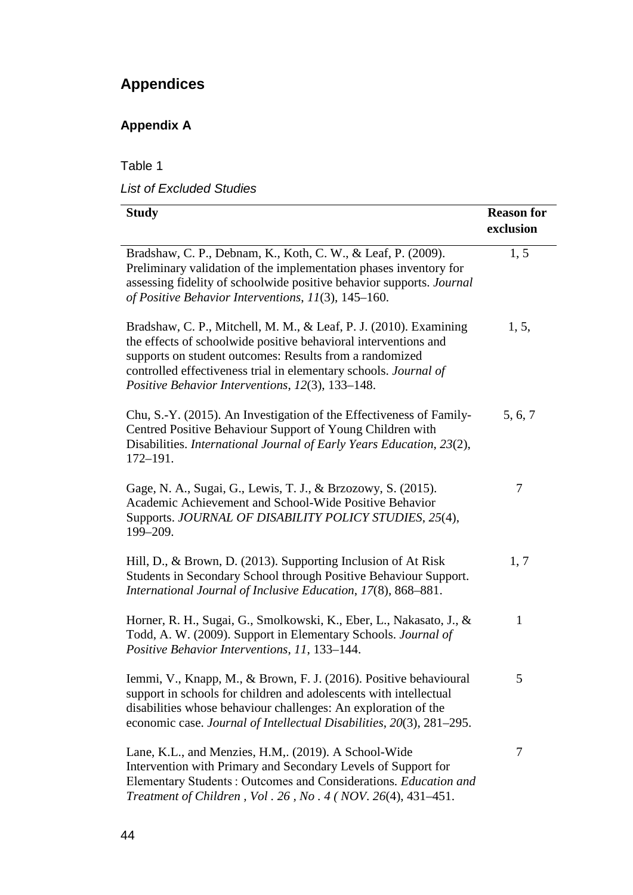# **Appendices**

# **Appendix A**

| <b>List of Excluded Studies</b> |
|---------------------------------|
| Table 1                         |

| <b>Study</b>                                                                                                                                                                                                                                                                                                            | <b>Reason for</b><br>exclusion |
|-------------------------------------------------------------------------------------------------------------------------------------------------------------------------------------------------------------------------------------------------------------------------------------------------------------------------|--------------------------------|
| Bradshaw, C. P., Debnam, K., Koth, C. W., & Leaf, P. (2009).<br>Preliminary validation of the implementation phases inventory for<br>assessing fidelity of schoolwide positive behavior supports. Journal<br>of Positive Behavior Interventions, 11(3), 145-160.                                                        | 1, 5                           |
| Bradshaw, C. P., Mitchell, M. M., & Leaf, P. J. (2010). Examining<br>the effects of schoolwide positive behavioral interventions and<br>supports on student outcomes: Results from a randomized<br>controlled effectiveness trial in elementary schools. Journal of<br>Positive Behavior Interventions, 12(3), 133-148. | 1, 5,                          |
| Chu, S.-Y. (2015). An Investigation of the Effectiveness of Family-<br>Centred Positive Behaviour Support of Young Children with<br>Disabilities. International Journal of Early Years Education, 23(2),<br>$172 - 191.$                                                                                                | 5, 6, 7                        |
| Gage, N. A., Sugai, G., Lewis, T. J., & Brzozowy, S. (2015).<br>Academic Achievement and School-Wide Positive Behavior<br>Supports. JOURNAL OF DISABILITY POLICY STUDIES, 25(4),<br>199-209.                                                                                                                            | 7                              |
| Hill, D., & Brown, D. (2013). Supporting Inclusion of At Risk<br>Students in Secondary School through Positive Behaviour Support.<br>International Journal of Inclusive Education, 17(8), 868-881.                                                                                                                      | 1, 7                           |
| Horner, R. H., Sugai, G., Smolkowski, K., Eber, L., Nakasato, J., &<br>Todd, A. W. (2009). Support in Elementary Schools. Journal of<br>Positive Behavior Interventions, 11, 133-144.                                                                                                                                   | $\mathbf{1}$                   |
| Iemmi, V., Knapp, M., & Brown, F. J. (2016). Positive behavioural<br>support in schools for children and adolescents with intellectual<br>disabilities whose behaviour challenges: An exploration of the<br>economic case. Journal of Intellectual Disabilities, 20(3), 281-295.                                        | 5                              |
| Lane, K.L., and Menzies, H.M., (2019). A School-Wide<br>Intervention with Primary and Secondary Levels of Support for<br>Elementary Students: Outcomes and Considerations. Education and<br><i>Treatment of Children, Vol. 26, No. 4 (NOV. 26(4), 431–451.</i>                                                          | 7                              |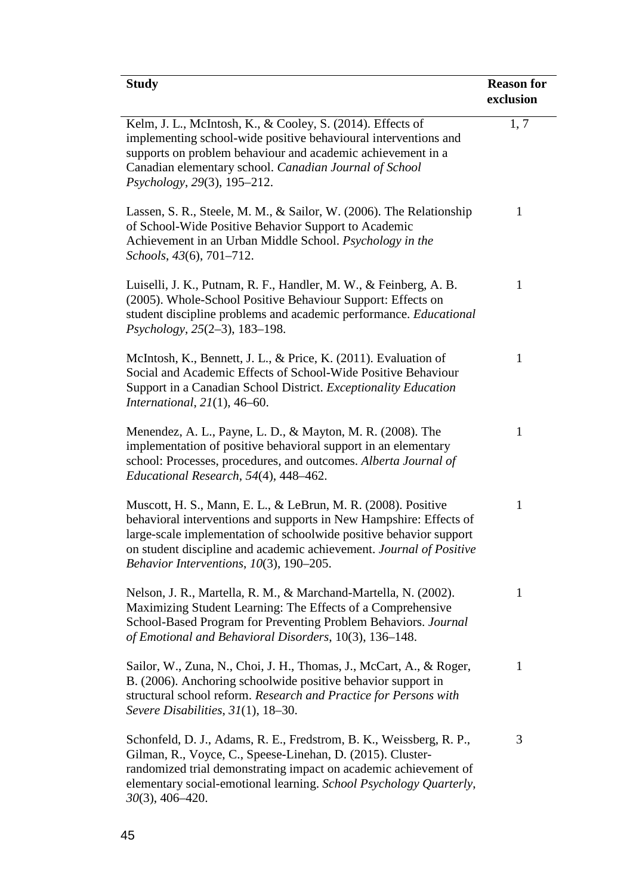| <b>Study</b>                                                                                                                                                                                                                                                                                                                   | <b>Reason for</b><br>exclusion |
|--------------------------------------------------------------------------------------------------------------------------------------------------------------------------------------------------------------------------------------------------------------------------------------------------------------------------------|--------------------------------|
| Kelm, J. L., McIntosh, K., & Cooley, S. (2014). Effects of<br>implementing school-wide positive behavioural interventions and<br>supports on problem behaviour and academic achievement in a<br>Canadian elementary school. Canadian Journal of School<br>Psychology, 29(3), 195-212.                                          | 1, 7                           |
| Lassen, S. R., Steele, M. M., & Sailor, W. (2006). The Relationship<br>of School-Wide Positive Behavior Support to Academic<br>Achievement in an Urban Middle School. Psychology in the<br>Schools, 43(6), 701–712.                                                                                                            | 1                              |
| Luiselli, J. K., Putnam, R. F., Handler, M. W., & Feinberg, A. B.<br>(2005). Whole-School Positive Behaviour Support: Effects on<br>student discipline problems and academic performance. Educational<br>Psychology, 25(2-3), 183-198.                                                                                         | $\mathbf{1}$                   |
| McIntosh, K., Bennett, J. L., & Price, K. (2011). Evaluation of<br>Social and Academic Effects of School-Wide Positive Behaviour<br>Support in a Canadian School District. Exceptionality Education<br>International, $21(1)$ , 46-60.                                                                                         | $\mathbf{1}$                   |
| Menendez, A. L., Payne, L. D., & Mayton, M. R. (2008). The<br>implementation of positive behavioral support in an elementary<br>school: Processes, procedures, and outcomes. Alberta Journal of<br>Educational Research, 54(4), 448-462.                                                                                       | $\mathbf{1}$                   |
| Muscott, H. S., Mann, E. L., & LeBrun, M. R. (2008). Positive<br>behavioral interventions and supports in New Hampshire: Effects of<br>large-scale implementation of schoolwide positive behavior support<br>on student discipline and academic achievement. Journal of Positive<br>Behavior Interventions, $10(3)$ , 190-205. | $\mathbf{1}$                   |
| Nelson, J. R., Martella, R. M., & Marchand-Martella, N. (2002).<br>Maximizing Student Learning: The Effects of a Comprehensive<br>School-Based Program for Preventing Problem Behaviors. Journal<br>of Emotional and Behavioral Disorders, 10(3), 136–148.                                                                     | 1                              |
| Sailor, W., Zuna, N., Choi, J. H., Thomas, J., McCart, A., & Roger,<br>B. (2006). Anchoring schoolwide positive behavior support in<br>structural school reform. Research and Practice for Persons with<br>Severe Disabilities, $31(1)$ , $18-30$ .                                                                            | 1                              |
| Schonfeld, D. J., Adams, R. E., Fredstrom, B. K., Weissberg, R. P.,<br>Gilman, R., Voyce, C., Speese-Linehan, D. (2015). Cluster-<br>randomized trial demonstrating impact on academic achievement of<br>elementary social-emotional learning. School Psychology Quarterly,<br>$30(3)$ , 406-420.                              | 3                              |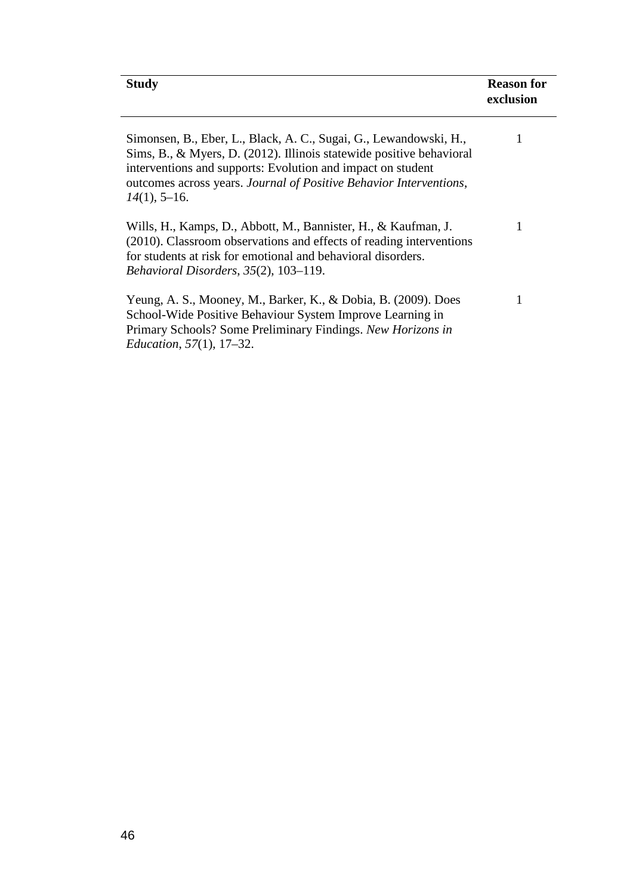| <b>Study</b>                                                                                                                                                                                                                                                                                      | <b>Reason for</b><br>exclusion |
|---------------------------------------------------------------------------------------------------------------------------------------------------------------------------------------------------------------------------------------------------------------------------------------------------|--------------------------------|
| Simonsen, B., Eber, L., Black, A. C., Sugai, G., Lewandowski, H.,<br>Sims, B., & Myers, D. (2012). Illinois statewide positive behavioral<br>interventions and supports: Evolution and impact on student<br>outcomes across years. Journal of Positive Behavior Interventions,<br>$14(1)$ , 5-16. |                                |

| Wills, H., Kamps, D., Abbott, M., Bannister, H., & Kaufman, J.      |  |
|---------------------------------------------------------------------|--|
| (2010). Classroom observations and effects of reading interventions |  |
| for students at risk for emotional and behavioral disorders.        |  |
| Behavioral Disorders, 35(2), 103–119.                               |  |
|                                                                     |  |
| Yeung, A. S., Mooney, M., Barker, K., & Dobia, B. (2009). Does      |  |

| Yeung, A. S., Mooney, M., Barker, K., & Dobia, B. (2009). Does |
|----------------------------------------------------------------|
| School-Wide Positive Behaviour System Improve Learning in      |
| Primary Schools? Some Preliminary Findings. New Horizons in    |
| <i>Education,</i> $57(1)$ <i>,</i> $17-32$ <i>.</i>            |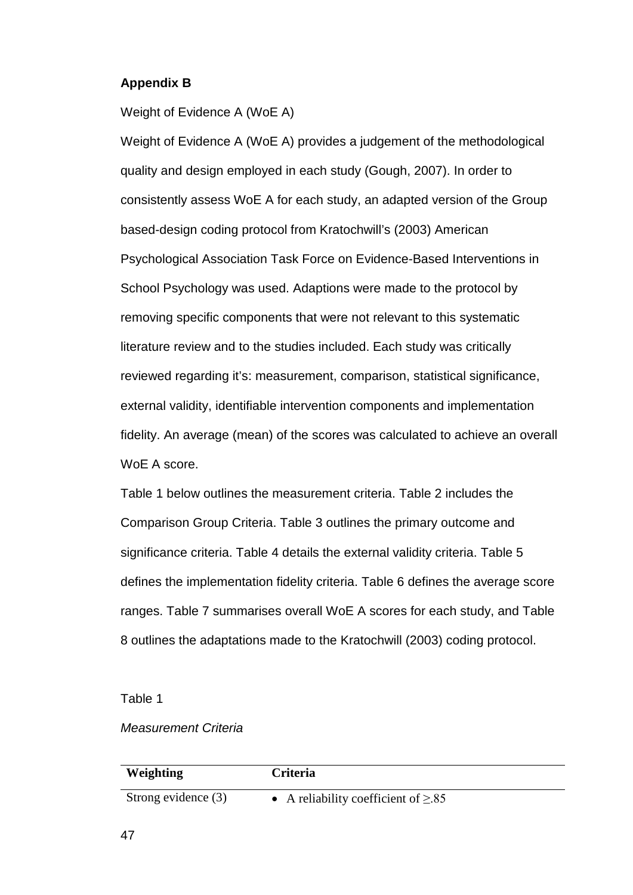#### **Appendix B**

Weight of Evidence A (WoE A)

Weight of Evidence A (WoE A) provides a judgement of the methodological quality and design employed in each study (Gough, 2007). In order to consistently assess WoE A for each study, an adapted version of the Group based-design coding protocol from Kratochwill's (2003) American Psychological Association Task Force on Evidence-Based Interventions in School Psychology was used. Adaptions were made to the protocol by removing specific components that were not relevant to this systematic literature review and to the studies included. Each study was critically reviewed regarding it's: measurement, comparison, statistical significance, external validity, identifiable intervention components and implementation fidelity. An average (mean) of the scores was calculated to achieve an overall WoE A score.

Table 1 below outlines the measurement criteria. Table 2 includes the Comparison Group Criteria. Table 3 outlines the primary outcome and significance criteria. Table 4 details the external validity criteria. Table 5 defines the implementation fidelity criteria. Table 6 defines the average score ranges. Table 7 summarises overall WoE A scores for each study, and Table 8 outlines the adaptations made to the Kratochwill (2003) coding protocol.

Table 1

#### *Measurement Criteria*

| Weighting           | <b>Criteria</b>                          |
|---------------------|------------------------------------------|
| Strong evidence (3) | • A reliability coefficient of $\geq 85$ |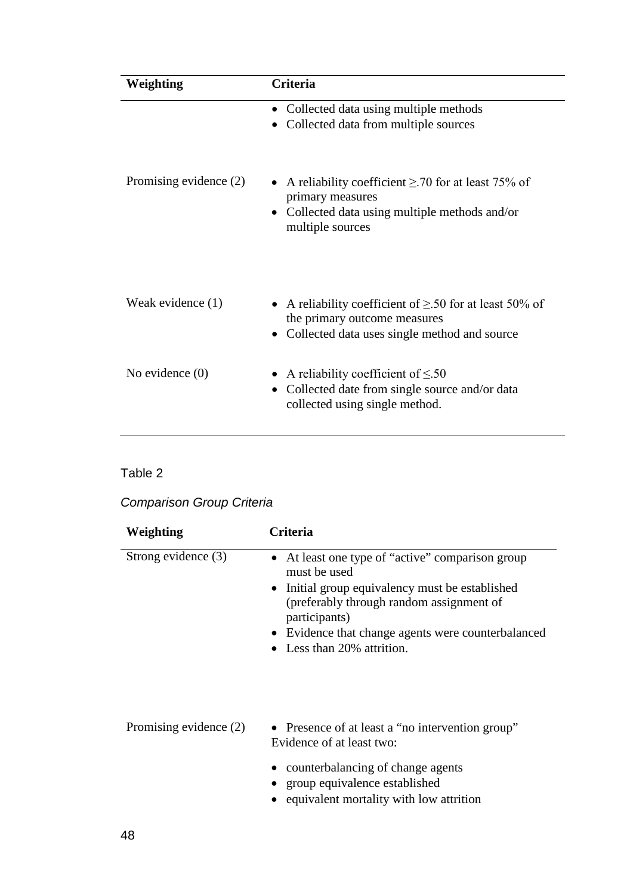| Weighting              | Criteria                                                                                                                                            |
|------------------------|-----------------------------------------------------------------------------------------------------------------------------------------------------|
|                        | • Collected data using multiple methods<br>Collected data from multiple sources                                                                     |
| Promising evidence (2) | A reliability coefficient $\geq$ .70 for at least 75% of<br>primary measures<br>• Collected data using multiple methods and/or<br>multiple sources  |
| Weak evidence (1)      | A reliability coefficient of $\geq$ 50 for at least 50% of<br>the primary outcome measures<br>Collected data uses single method and source          |
| No evidence $(0)$      | A reliability coefficient of $\leq 50$<br>$\bullet$<br>Collected date from single source and/or data<br>$\bullet$<br>collected using single method. |

# *Comparison Group Criteria*

| Weighting              | Criteria                                                                                                                                                                                                                                                         |
|------------------------|------------------------------------------------------------------------------------------------------------------------------------------------------------------------------------------------------------------------------------------------------------------|
| Strong evidence (3)    | At least one type of "active" comparison group<br>must be used<br>• Initial group equivalency must be established<br>(preferably through random assignment of<br>participants)<br>• Evidence that change agents were counterbalanced<br>Less than 20% attrition. |
| Promising evidence (2) | • Presence of at least a "no intervention group"<br>Evidence of at least two:<br>counterbalancing of change agents<br>group equivalence established<br>equivalent mortality with low attrition                                                                   |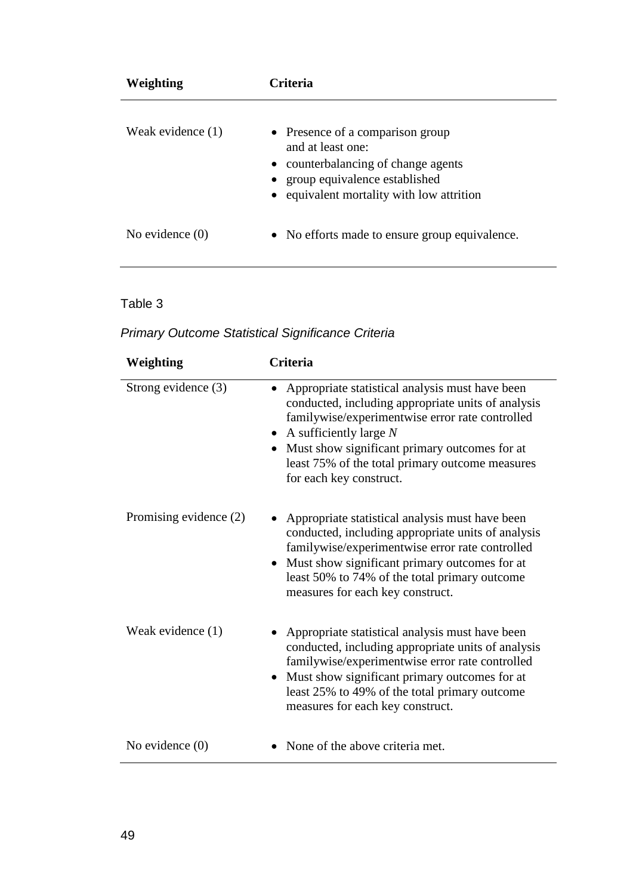| Weighting           | Criteria                                                                                                                                                                     |
|---------------------|------------------------------------------------------------------------------------------------------------------------------------------------------------------------------|
| Weak evidence $(1)$ | • Presence of a comparison group<br>and at least one:<br>• counterbalancing of change agents<br>• group equivalence established<br>• equivalent mortality with low attrition |
| No evidence $(0)$   | • No efforts made to ensure group equivalence.                                                                                                                               |

| Weighting              | Criteria                                                                                                                                                                                                                                                                                                              |
|------------------------|-----------------------------------------------------------------------------------------------------------------------------------------------------------------------------------------------------------------------------------------------------------------------------------------------------------------------|
| Strong evidence (3)    | Appropriate statistical analysis must have been<br>conducted, including appropriate units of analysis<br>familywise/experimentwise error rate controlled<br>• A sufficiently large $N$<br>Must show significant primary outcomes for at<br>least 75% of the total primary outcome measures<br>for each key construct. |
| Promising evidence (2) | Appropriate statistical analysis must have been<br>conducted, including appropriate units of analysis<br>familywise/experimentwise error rate controlled<br>• Must show significant primary outcomes for at<br>least 50% to 74% of the total primary outcome<br>measures for each key construct.                      |
| Weak evidence (1)      | Appropriate statistical analysis must have been<br>conducted, including appropriate units of analysis<br>familywise/experimentwise error rate controlled<br>Must show significant primary outcomes for at<br>$\bullet$<br>least 25% to 49% of the total primary outcome<br>measures for each key construct.           |
| No evidence $(0)$      | None of the above criteria met.                                                                                                                                                                                                                                                                                       |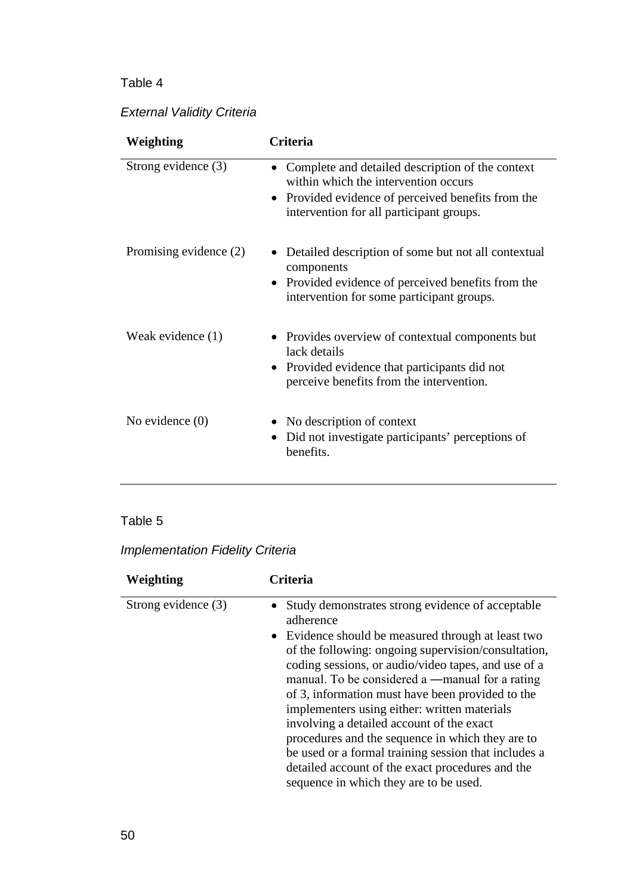# *External Validity Criteria*

| Weighting              | Criteria                                                                                                                                                                                 |
|------------------------|------------------------------------------------------------------------------------------------------------------------------------------------------------------------------------------|
| Strong evidence (3)    | Complete and detailed description of the context<br>within which the intervention occurs<br>Provided evidence of perceived benefits from the<br>intervention for all participant groups. |
| Promising evidence (2) | Detailed description of some but not all contextual<br>components<br>Provided evidence of perceived benefits from the<br>intervention for some participant groups.                       |
| Weak evidence (1)      | Provides overview of contextual components but<br>lack details<br>Provided evidence that participants did not<br>perceive benefits from the intervention.                                |
| No evidence $(0)$      | • No description of context<br>Did not investigate participants' perceptions of<br>benefits.                                                                                             |

## Table 5

# *Implementation Fidelity Criteria*

| Weighting           | Criteria                                                                                                                                                                                                                                                                                                                                                                                                                   |
|---------------------|----------------------------------------------------------------------------------------------------------------------------------------------------------------------------------------------------------------------------------------------------------------------------------------------------------------------------------------------------------------------------------------------------------------------------|
| Strong evidence (3) | Study demonstrates strong evidence of acceptable<br>adherence                                                                                                                                                                                                                                                                                                                                                              |
|                     | • Evidence should be measured through at least two                                                                                                                                                                                                                                                                                                                                                                         |
|                     | of the following: ongoing supervision/consultation,<br>coding sessions, or audio/video tapes, and use of a<br>manual. To be considered a —manual for a rating<br>of 3, information must have been provided to the<br>implementers using either: written materials<br>involving a detailed account of the exact<br>procedures and the sequence in which they are to<br>be used or a formal training session that includes a |
|                     | detailed account of the exact procedures and the<br>sequence in which they are to be used.                                                                                                                                                                                                                                                                                                                                 |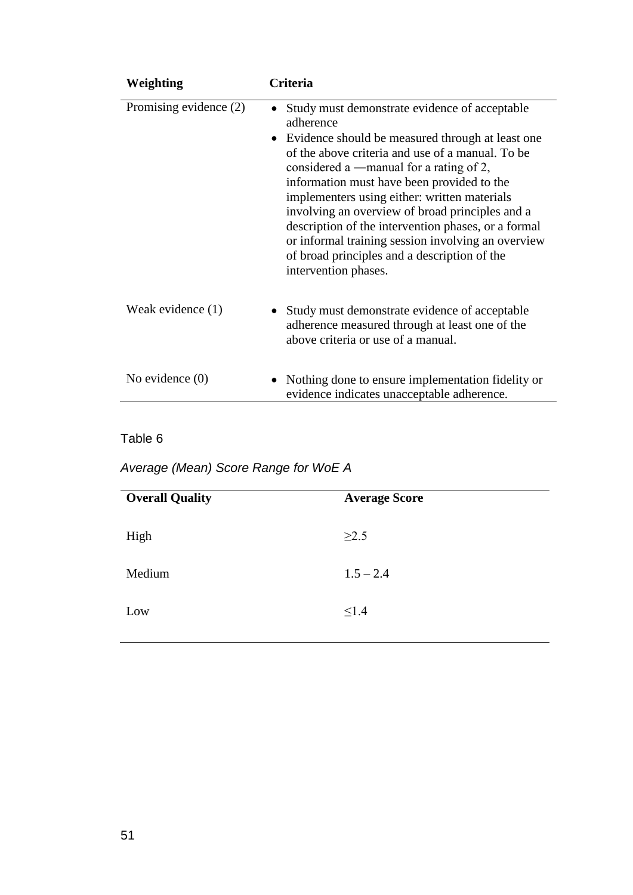| Weighting              | Criteria                                                                                                                                                                                                                                                                                                                                                                                                                                                                                                                                                            |
|------------------------|---------------------------------------------------------------------------------------------------------------------------------------------------------------------------------------------------------------------------------------------------------------------------------------------------------------------------------------------------------------------------------------------------------------------------------------------------------------------------------------------------------------------------------------------------------------------|
| Promising evidence (2) | Study must demonstrate evidence of acceptable<br>adherence<br>Evidence should be measured through at least one<br>$\bullet$<br>of the above criteria and use of a manual. To be<br>considered a $-$ manual for a rating of 2,<br>information must have been provided to the<br>implementers using either: written materials<br>involving an overview of broad principles and a<br>description of the intervention phases, or a formal<br>or informal training session involving an overview<br>of broad principles and a description of the<br>intervention phases. |
| Weak evidence (1)      | Study must demonstrate evidence of acceptable<br>adherence measured through at least one of the<br>above criteria or use of a manual.                                                                                                                                                                                                                                                                                                                                                                                                                               |
| No evidence $(0)$      | • Nothing done to ensure implementation fidelity or<br>evidence indicates unacceptable adherence.                                                                                                                                                                                                                                                                                                                                                                                                                                                                   |

*Average (Mean) Score Range for WoE A*

| <b>Overall Quality</b> | <b>Average Score</b> |
|------------------------|----------------------|
| High                   | $\geq$ 2.5           |
| Medium                 | $1.5 - 2.4$          |
| Low                    | $\leq$ 1.4           |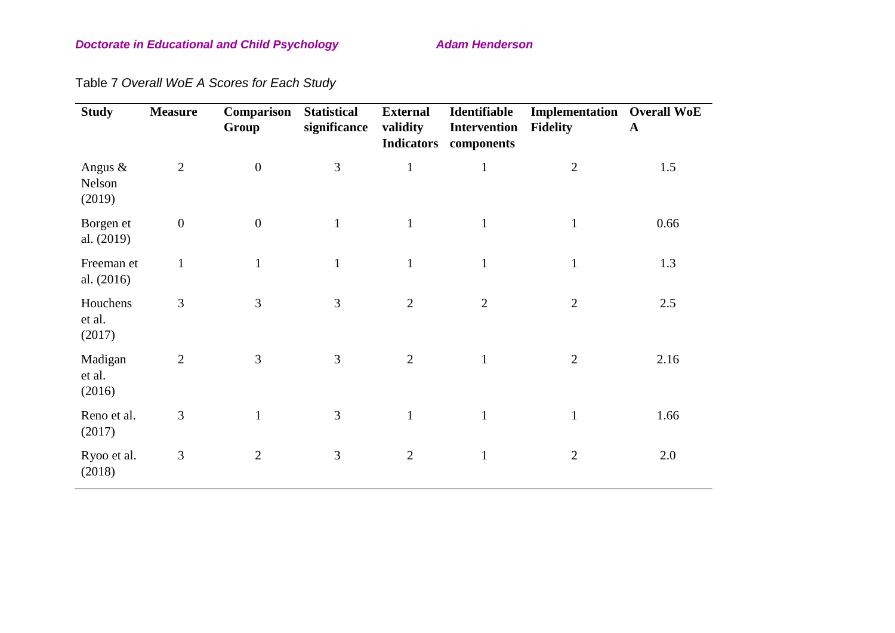## **Doctorate in Educational and Child Psychology Manual Adam Henderson**

Table 7 *Overall WoE A Scores for Each Study*

| <b>Study</b>                   | <b>Measure</b>   | Comparison<br>Group | <b>Statistical</b><br>significance | <b>External</b><br>validity<br><b>Indicators</b> | Identifiable<br>Intervention<br>components | <b>Implementation</b> Overall WoE<br><b>Fidelity</b> | $\mathbf{A}$ |
|--------------------------------|------------------|---------------------|------------------------------------|--------------------------------------------------|--------------------------------------------|------------------------------------------------------|--------------|
| Angus $\&$<br>Nelson<br>(2019) | $\overline{2}$   | $\boldsymbol{0}$    | $\mathfrak{Z}$                     | $\mathbf{1}$                                     | $\mathbf{1}$                               | $\overline{2}$                                       | 1.5          |
| Borgen et<br>al. (2019)        | $\boldsymbol{0}$ | $\boldsymbol{0}$    | $\mathbf{1}$                       | $\mathbf{1}$                                     | $\mathbf{1}$                               | $\mathbf{1}$                                         | 0.66         |
| Freeman et<br>al. (2016)       | $\mathbf{1}$     | $\mathbf{1}$        | $\mathbf{1}$                       | $\mathbf{1}$                                     | $\mathbf{1}$                               | $\mathbf{1}$                                         | 1.3          |
| Houchens<br>et al.<br>(2017)   | 3                | 3                   | 3                                  | $\overline{2}$                                   | $\overline{2}$                             | $\overline{2}$                                       | 2.5          |
| Madigan<br>et al.<br>(2016)    | $\overline{2}$   | 3                   | 3                                  | $\overline{2}$                                   | $\mathbf{1}$                               | $\overline{2}$                                       | 2.16         |
| Reno et al.<br>(2017)          | $\mathfrak{Z}$   | $\mathbf{1}$        | 3                                  |                                                  | $\mathbf{1}$                               |                                                      | 1.66         |
| Ryoo et al.<br>(2018)          | $\mathfrak{Z}$   | $\overline{2}$      | 3                                  | $\overline{2}$                                   | $\mathbf{1}$                               | $\overline{2}$                                       | 2.0          |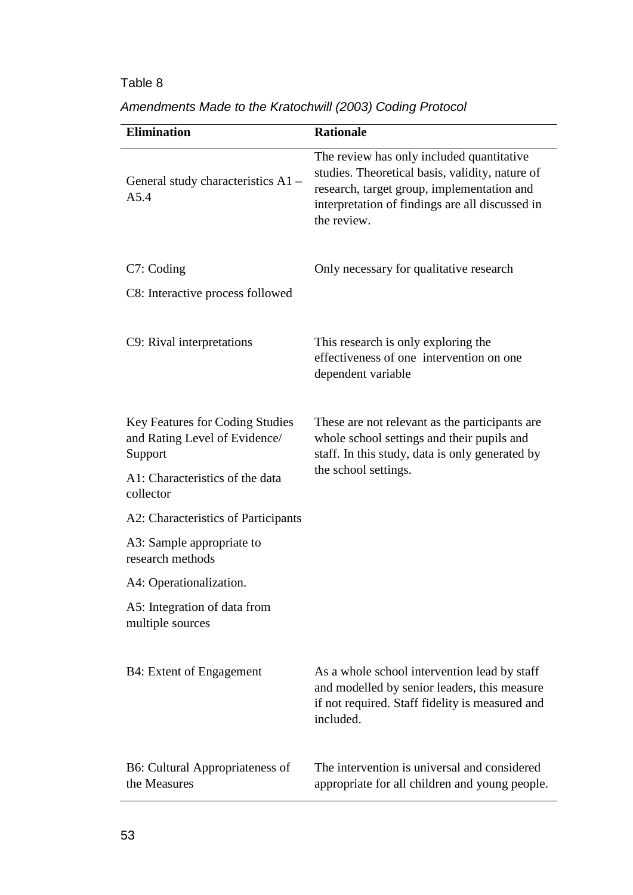| <b>Elimination</b>                                                                 | <b>Rationale</b>                                                                                                                                                                                             |
|------------------------------------------------------------------------------------|--------------------------------------------------------------------------------------------------------------------------------------------------------------------------------------------------------------|
| General study characteristics A1 -<br>A5.4                                         | The review has only included quantitative<br>studies. Theoretical basis, validity, nature of<br>research, target group, implementation and<br>interpretation of findings are all discussed in<br>the review. |
| C7: Coding                                                                         | Only necessary for qualitative research                                                                                                                                                                      |
| C8: Interactive process followed                                                   |                                                                                                                                                                                                              |
| C9: Rival interpretations                                                          | This research is only exploring the<br>effectiveness of one intervention on one<br>dependent variable                                                                                                        |
| <b>Key Features for Coding Studies</b><br>and Rating Level of Evidence/<br>Support | These are not relevant as the participants are<br>whole school settings and their pupils and<br>staff. In this study, data is only generated by                                                              |
| A1: Characteristics of the data<br>collector                                       | the school settings.                                                                                                                                                                                         |
| A2: Characteristics of Participants                                                |                                                                                                                                                                                                              |
| A3: Sample appropriate to<br>research methods                                      |                                                                                                                                                                                                              |
| A4: Operationalization.                                                            |                                                                                                                                                                                                              |
| A5: Integration of data from<br>multiple sources                                   |                                                                                                                                                                                                              |
| B4: Extent of Engagement                                                           | As a whole school intervention lead by staff<br>and modelled by senior leaders, this measure<br>if not required. Staff fidelity is measured and<br>included.                                                 |
| <b>B6:</b> Cultural Appropriateness of<br>the Measures                             | The intervention is universal and considered<br>appropriate for all children and young people.                                                                                                               |

*Amendments Made to the Kratochwill (2003) Coding Protocol*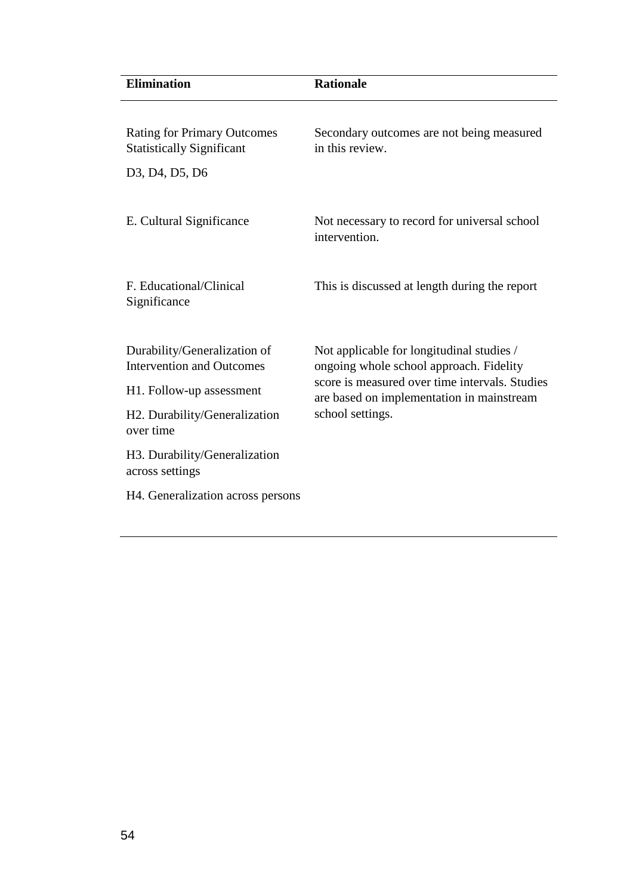| <b>Elimination</b>                                                                                                                                                                                                                               | <b>Rationale</b>                                                                                                                                                                                        |
|--------------------------------------------------------------------------------------------------------------------------------------------------------------------------------------------------------------------------------------------------|---------------------------------------------------------------------------------------------------------------------------------------------------------------------------------------------------------|
| <b>Rating for Primary Outcomes</b><br><b>Statistically Significant</b><br>D <sub>3</sub> , D <sub>4</sub> , D <sub>5</sub> , D <sub>6</sub>                                                                                                      | Secondary outcomes are not being measured<br>in this review.                                                                                                                                            |
| E. Cultural Significance                                                                                                                                                                                                                         | Not necessary to record for universal school<br>intervention.                                                                                                                                           |
| F. Educational/Clinical<br>Significance                                                                                                                                                                                                          | This is discussed at length during the report                                                                                                                                                           |
| Durability/Generalization of<br><b>Intervention and Outcomes</b><br>H <sub>1</sub> . Follow-up assessment<br>H2. Durability/Generalization<br>over time<br>H3. Durability/Generalization<br>across settings<br>H4. Generalization across persons | Not applicable for longitudinal studies /<br>ongoing whole school approach. Fidelity<br>score is measured over time intervals. Studies<br>are based on implementation in mainstream<br>school settings. |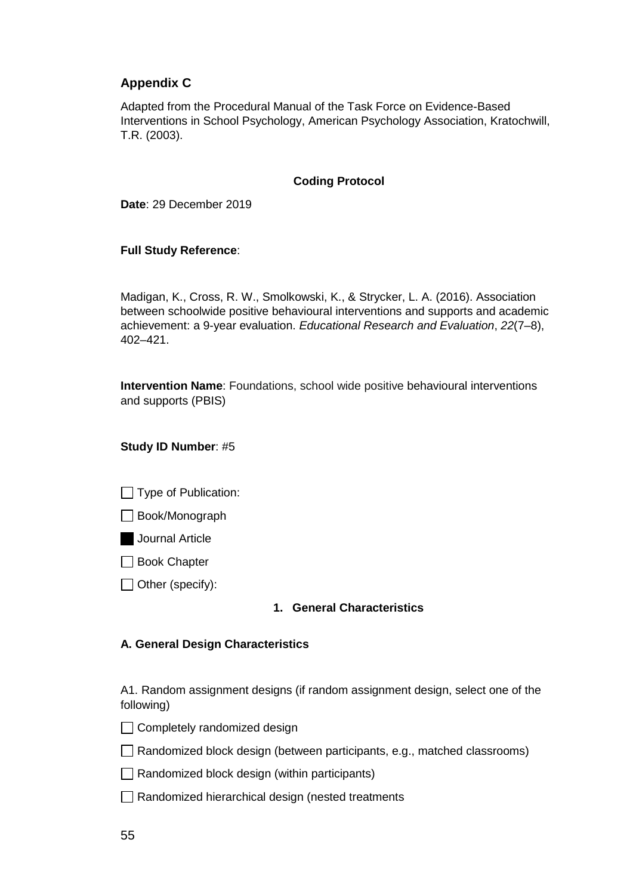### **Appendix C**

Adapted from the Procedural Manual of the Task Force on Evidence-Based Interventions in School Psychology, American Psychology Association, Kratochwill, T.R. (2003).

#### **Coding Protocol**

**Date**: 29 December 2019

#### **Full Study Reference**:

Madigan, K., Cross, R. W., Smolkowski, K., & Strycker, L. A. (2016). Association between schoolwide positive behavioural interventions and supports and academic achievement: a 9-year evaluation. *Educational Research and Evaluation*, *22*(7–8), 402–421.

**Intervention Name**: Foundations, school wide positive behavioural interventions and supports (PBIS)

#### **Study ID Number**: #5

- $\Box$  Type of Publication:
- Book/Monograph

Journal Article

- □ Book Chapter
- $\Box$  Other (specify):

#### **1. General Characteristics**

#### **A. General Design Characteristics**

A1. Random assignment designs (if random assignment design, select one of the following)

- $\Box$  Completely randomized design
- $\Box$  Randomized block design (between participants, e.g., matched classrooms)
- $\Box$  Randomized block design (within participants)
- $\Box$  Randomized hierarchical design (nested treatments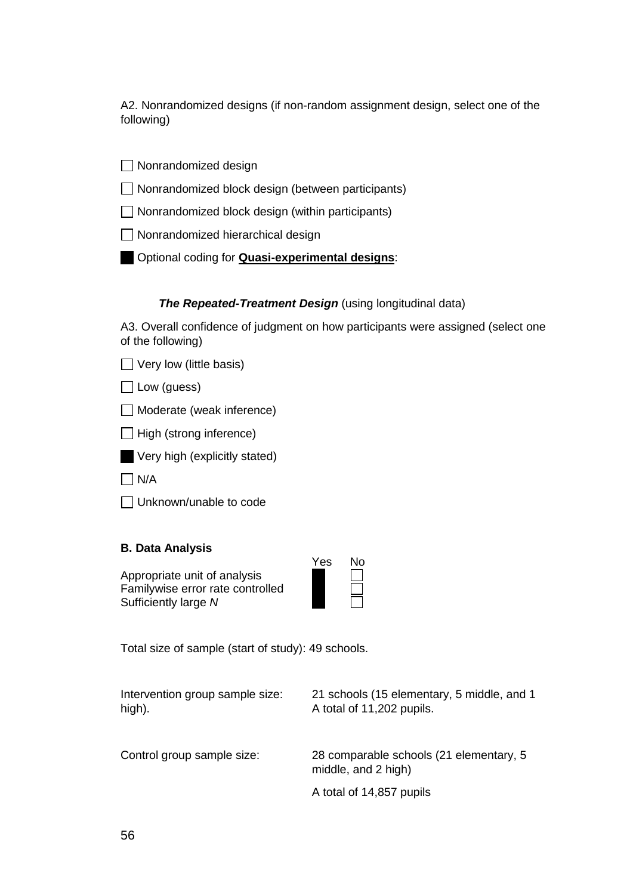A2. Nonrandomized designs (if non-random assignment design, select one of the following)

□ Nonrandomized design

- $\Box$  Nonrandomized block design (between participants)
- $\Box$  Nonrandomized block design (within participants)
- Nonrandomized hierarchical design
- Optional coding for **Quasi-experimental designs**:

#### **The Repeated-Treatment Design** (using longitudinal data)

A3. Overall confidence of judgment on how participants were assigned (select one of the following)

- $\Box$  Very low (little basis)
- $\Box$  Low (guess)
- □ Moderate (weak inference)
- $\Box$  High (strong inference)
- Very high (explicitly stated)
- $\Box$  N/A
- Unknown/unable to code

#### **B. Data Analysis**

Appropriate unit of analysis Familywise error rate controlled Sufficiently large *N* 

| es | Nο |
|----|----|
|    |    |
|    |    |
|    |    |

Total size of sample (start of study): 49 schools.

| Intervention group sample size:<br>high). | 21 schools (15 elementary, 5 middle, and 1<br>A total of 11,202 pupils. |  |  |
|-------------------------------------------|-------------------------------------------------------------------------|--|--|
| Control group sample size:                | 28 comparable schools (21 elementary, 5<br>middle, and 2 high)          |  |  |
|                                           | A total of 14,857 pupils                                                |  |  |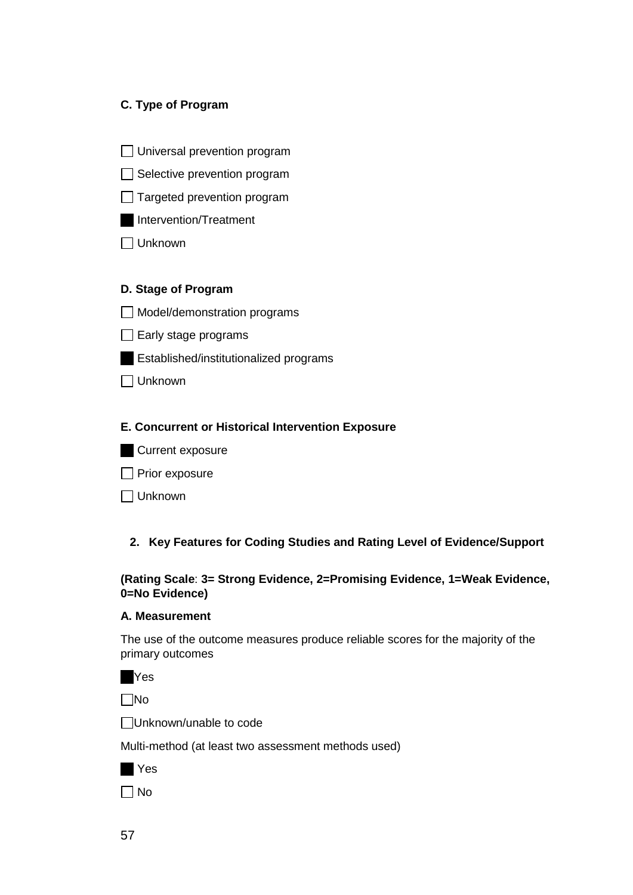#### **C. Type of Program**

- □ Universal prevention program
- $\Box$  Selective prevention program
- $\Box$  Targeted prevention program
- Intervention/Treatment
- Unknown

#### **D. Stage of Program**

- Model/demonstration programs
- $\Box$  Early stage programs
- Established/institutionalized programs
- Unknown

#### **E. Concurrent or Historical Intervention Exposure**

- Current exposure
- $\Box$  Prior exposure
- Unknown

#### **2. Key Features for Coding Studies and Rating Level of Evidence/Support**

#### **(Rating Scale**: **3= Strong Evidence, 2=Promising Evidence, 1=Weak Evidence, 0=No Evidence)**

#### **A. Measurement**

The use of the outcome measures produce reliable scores for the majority of the primary outcomes

|  | ۰.<br>× |
|--|---------|
|--|---------|

No

Unknown/unable to code

Multi-method (at least two assessment methods used)

|--|--|

 $\Box$  No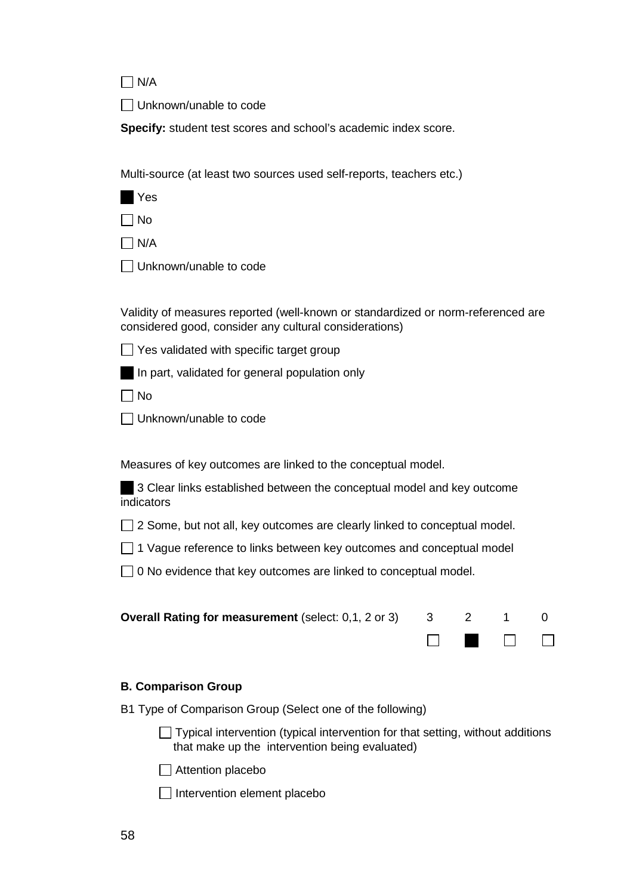$\Box$  N/A

Unknown/unable to code

**Specify:** student test scores and school's academic index score.

Multi-source (at least two sources used self-reports, teachers etc.)

**N**Yes

 $\Box$  No

 $\Box$  N/A

Unknown/unable to code

Validity of measures reported (well-known or standardized or norm-referenced are considered good, consider any cultural considerations)

 $\Box$  Yes validated with specific target group

In part, validated for general population only

 $\Box$  No

□ Unknown/unable to code

Measures of key outcomes are linked to the conceptual model.

3 Clear links established between the conceptual model and key outcome indicators

 $\Box$  2 Some, but not all, key outcomes are clearly linked to conceptual model.

 $\Box$  1 Vague reference to links between key outcomes and conceptual model

 $\Box$  0 No evidence that key outcomes are linked to conceptual model.

| <b>Overall Rating for measurement</b> (select: $0.1$ , $2$ or $3$ $3$ $3$ $2$ $1$ $0$ |  |                                                                                                                           |  |
|---------------------------------------------------------------------------------------|--|---------------------------------------------------------------------------------------------------------------------------|--|
|                                                                                       |  | $\begin{array}{ccccccccccccccccc} \Box & \blacksquare & \blacksquare & \square & \square & \square & \square \end{array}$ |  |

#### **B. Comparison Group**

B1 Type of Comparison Group (Select one of the following)

 $\Box$  Typical intervention (typical intervention for that setting, without additions that make up the intervention being evaluated)

Attention placebo

 $\Box$  Intervention element placebo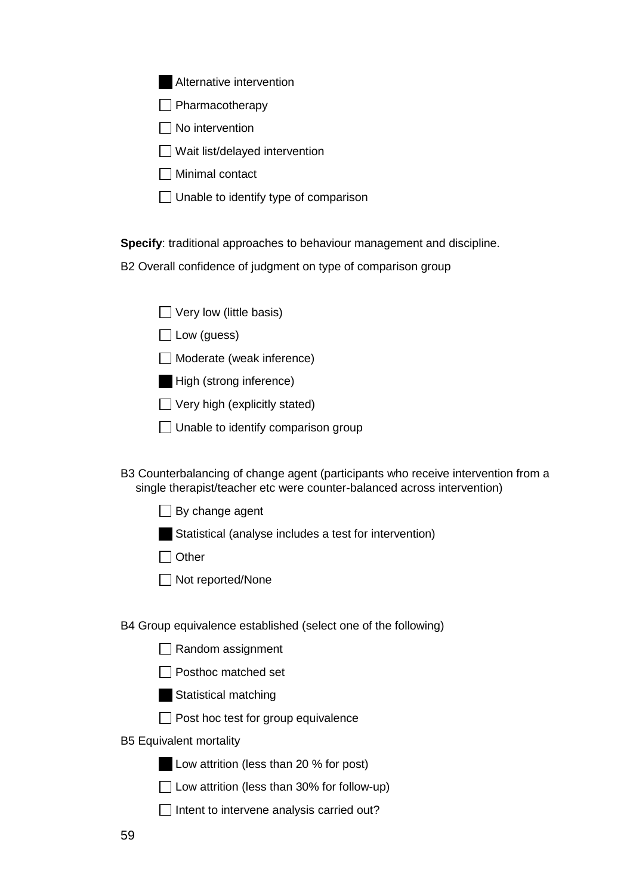Alternative intervention

 $\Box$  Pharmacotherapy

 $\Box$  No intervention

 $\Box$  Wait list/delayed intervention

Minimal contact

 $\Box$  Unable to identify type of comparison

**Specify**: traditional approaches to behaviour management and discipline.

B2 Overall confidence of judgment on type of comparison group

| $\Box$ Very low (little basis) |  |  |
|--------------------------------|--|--|
|--------------------------------|--|--|

 $\Box$  Low (guess)

□ Moderate (weak inference)

High (strong inference)

 $\Box$  Very high (explicitly stated)

 $\Box$  Unable to identify comparison group

B3 Counterbalancing of change agent (participants who receive intervention from a single therapist/teacher etc were counter-balanced across intervention)

 $\Box$  By change agent

Statistical (analyse includes a test for intervention)

 $\Box$  Other

□ Not reported/None

B4 Group equivalence established (select one of the following)

| $\Box$ Random assignment |  |
|--------------------------|--|
|--------------------------|--|

 $\Box$  Posthoc matched set

Statistical matching

**Post hoc test for group equivalence** 

B5 Equivalent mortality

Low attrition (less than 20 % for post)

 $\Box$  Low attrition (less than 30% for follow-up)

 $\Box$  Intent to intervene analysis carried out?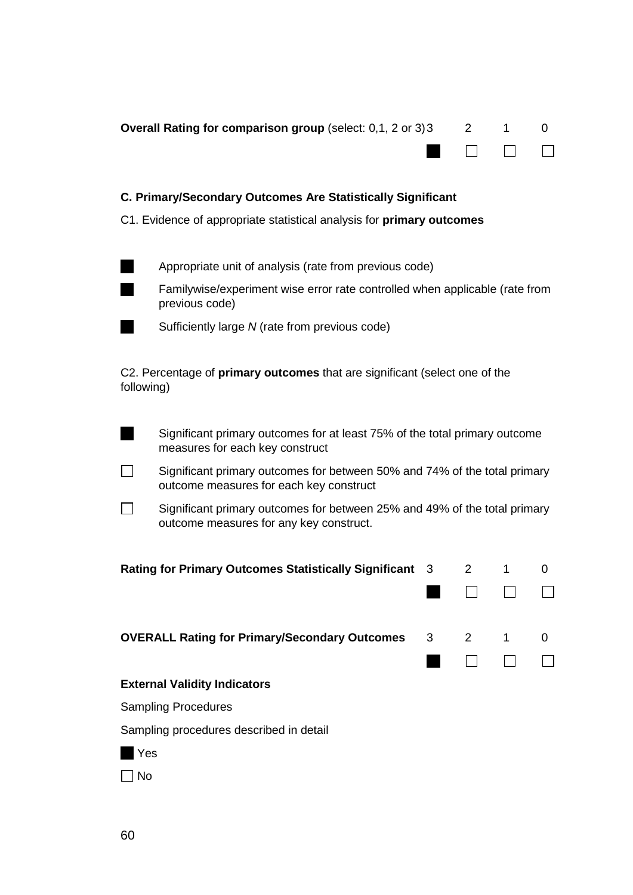|                                                                                                                      | Overall Rating for comparison group (select: 0,1, 2 or 3) 3                                                   |             | 2              | 1. | 0 |
|----------------------------------------------------------------------------------------------------------------------|---------------------------------------------------------------------------------------------------------------|-------------|----------------|----|---|
|                                                                                                                      | C. Primary/Secondary Outcomes Are Statistically Significant                                                   |             |                |    |   |
|                                                                                                                      | C1. Evidence of appropriate statistical analysis for <b>primary outcomes</b>                                  |             |                |    |   |
|                                                                                                                      | Appropriate unit of analysis (rate from previous code)                                                        |             |                |    |   |
|                                                                                                                      | Familywise/experiment wise error rate controlled when applicable (rate from<br>previous code)                 |             |                |    |   |
|                                                                                                                      | Sufficiently large N (rate from previous code)                                                                |             |                |    |   |
| following)                                                                                                           | C2. Percentage of primary outcomes that are significant (select one of the                                    |             |                |    |   |
|                                                                                                                      | Significant primary outcomes for at least 75% of the total primary outcome<br>measures for each key construct |             |                |    |   |
| Significant primary outcomes for between 50% and 74% of the total primary<br>outcome measures for each key construct |                                                                                                               |             |                |    |   |
| Significant primary outcomes for between 25% and 49% of the total primary<br>outcome measures for any key construct. |                                                                                                               |             |                |    |   |
|                                                                                                                      | <b>Rating for Primary Outcomes Statistically Significant</b>                                                  | 3           | $\overline{2}$ | 1  | 0 |
|                                                                                                                      | <b>OVERALL Rating for Primary/Secondary Outcomes</b>                                                          | $3^{\circ}$ | $2^{\circ}$    | 1  | 0 |
|                                                                                                                      | <b>External Validity Indicators</b>                                                                           |             |                |    |   |
|                                                                                                                      | <b>Sampling Procedures</b>                                                                                    |             |                |    |   |
|                                                                                                                      | Sampling procedures described in detail                                                                       |             |                |    |   |
| Yes                                                                                                                  |                                                                                                               |             |                |    |   |
| No                                                                                                                   |                                                                                                               |             |                |    |   |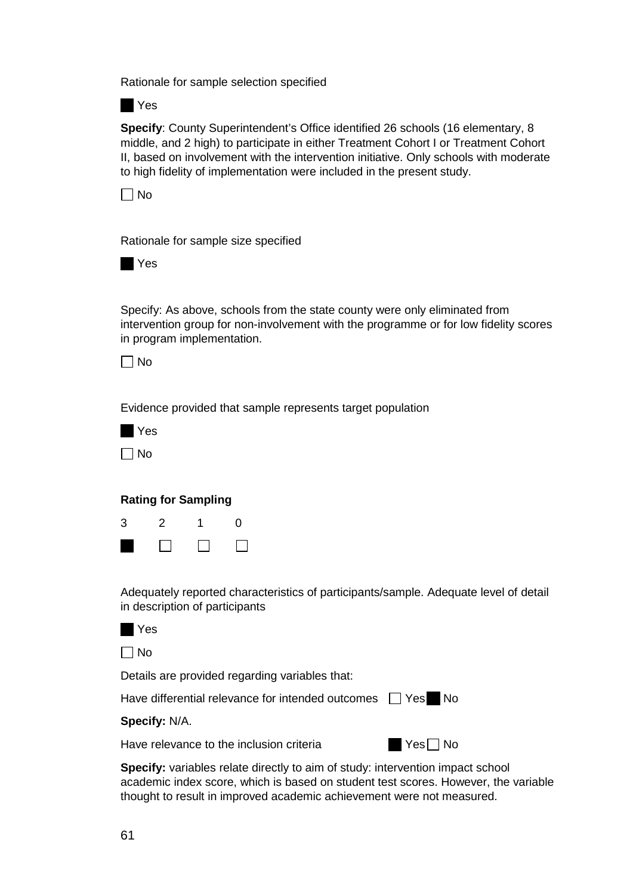Rationale for sample selection specified

**N**Yes

**Specify**: County Superintendent's Office identified 26 schools (16 elementary, 8 middle, and 2 high) to participate in either Treatment Cohort I or Treatment Cohort II, based on involvement with the intervention initiative. Only schools with moderate to high fidelity of implementation were included in the present study.



Rationale for sample size specified



Specify: As above, schools from the state county were only eliminated from intervention group for non-involvement with the programme or for low fidelity scores in program implementation.

 $\Box$  No

Evidence provided that sample represents target population

|   | Yes |
|---|-----|
| L | No  |

#### **Rating for Sampling**



Adequately reported characteristics of participants/sample. Adequate level of detail in description of participants

| ٠<br>۰. |
|---------|
|---------|

 $\Box$  No

Details are provided regarding variables that:

Have differential relevance for intended outcomes  $\Box$  Yes No

#### **Specify:** N/A.

Have relevance to the inclusion criteria

**Specify:** variables relate directly to aim of study: intervention impact school academic index score, which is based on student test scores. However, the variable thought to result in improved academic achievement were not measured.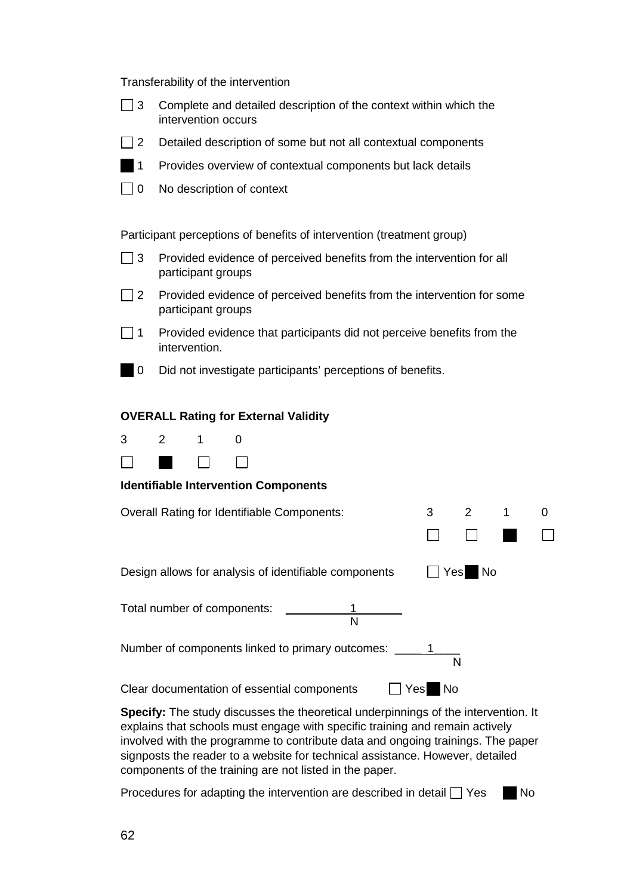Transferability of the intervention

| $\Box$ 3 Complete and detailed description of the context within which the |
|----------------------------------------------------------------------------|
| intervention occurs                                                        |

- $\Box$  2 Detailed description of some but not all contextual components
- **1** Provides overview of contextual components but lack details
- □ 0 No description of context

Participant perceptions of benefits of intervention (treatment group)

- $\Box$  3 Provided evidence of perceived benefits from the intervention for all participant groups
- $\Box$  2 Provided evidence of perceived benefits from the intervention for some participant groups
- $\Box$  1 Provided evidence that participants did not perceive benefits from the intervention.
	- 0 Did not investigate participants' perceptions of benefits.

#### **OVERALL Rating for External Validity**



#### **Identifiable Intervention Components**

| Overall Rating for Identifiable Components:           |     | 2         |  |  |
|-------------------------------------------------------|-----|-----------|--|--|
|                                                       |     |           |  |  |
| Design allows for analysis of identifiable components | Yes | <b>No</b> |  |  |
| Total number of components:<br>N                      |     |           |  |  |
| Number of components linked to primary outcomes:<br>N |     |           |  |  |
| Clear documentation of essential components<br>Yesl   | No. |           |  |  |

**Specify:** The study discusses the theoretical underpinnings of the intervention. It explains that schools must engage with specific training and remain actively involved with the programme to contribute data and ongoing trainings. The paper signposts the reader to a website for technical assistance. However, detailed components of the training are not listed in the paper.

Procedures for adapting the intervention are described in detail  $\Box$  Yes  $\Box$  No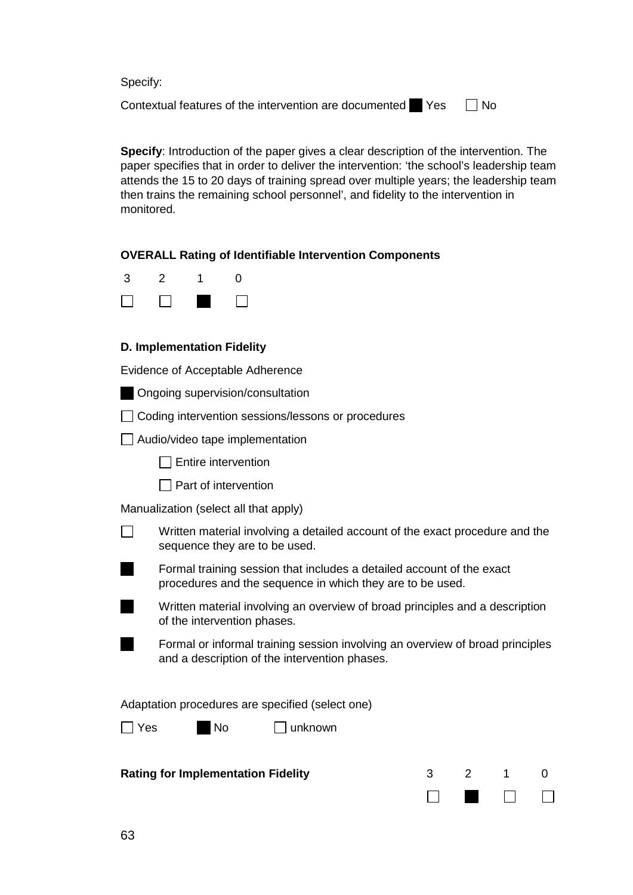Specify:

Contextual features of the intervention are documented  $\blacksquare$  Yes  $\blacksquare$  No

**Specify**: Introduction of the paper gives a clear description of the intervention. The paper specifies that in order to deliver the intervention: 'the school's leadership team attends the 15 to 20 days of training spread over multiple years; the leadership team then trains the remaining school personnel', and fidelity to the intervention in monitored.

#### **OVERALL Rating of Identifiable Intervention Components**

| 3 | 2 | 0 |
|---|---|---|
|   |   |   |

#### **D. Implementation Fidelity**

Evidence of Acceptable Adherence

- **Ongoing supervision/consultation**
- Coding intervention sessions/lessons or procedures
- $\Box$  Audio/video tape implementation
	- $\Box$  Entire intervention
	- $\Box$  Part of intervention

Manualization (select all that apply)

- П Written material involving a detailed account of the exact procedure and the sequence they are to be used.
	- Formal training session that includes a detailed account of the exact procedures and the sequence in which they are to be used.
		- Written material involving an overview of broad principles and a description of the intervention phases.
	- Formal or informal training session involving an overview of broad principles and a description of the intervention phases.

Adaptation procedures are specified (select one)

 $\Box$  Yes  $\Box$  No  $\Box$  unknown

| <b>Rating for Implementation Fidelity</b> |  |  |  |  |
|-------------------------------------------|--|--|--|--|
|-------------------------------------------|--|--|--|--|

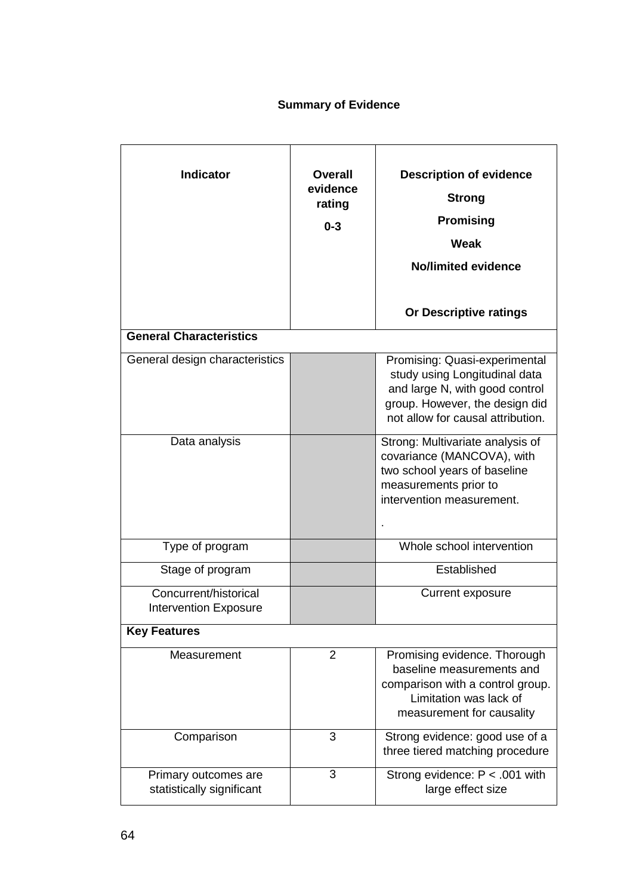# **Summary of Evidence**

| <b>Indicator</b>                                      | <b>Overall</b><br>evidence<br>rating<br>$0 - 3$ | <b>Description of evidence</b><br><b>Strong</b><br><b>Promising</b><br>Weak<br>No/limited evidence<br>Or Descriptive ratings                                            |
|-------------------------------------------------------|-------------------------------------------------|-------------------------------------------------------------------------------------------------------------------------------------------------------------------------|
| <b>General Characteristics</b>                        |                                                 |                                                                                                                                                                         |
| General design characteristics                        |                                                 | Promising: Quasi-experimental<br>study using Longitudinal data<br>and large N, with good control<br>group. However, the design did<br>not allow for causal attribution. |
| Data analysis                                         |                                                 | Strong: Multivariate analysis of<br>covariance (MANCOVA), with<br>two school years of baseline<br>measurements prior to<br>intervention measurement.                    |
| Type of program                                       |                                                 | Whole school intervention                                                                                                                                               |
| Stage of program                                      |                                                 | Established                                                                                                                                                             |
| Concurrent/historical<br><b>Intervention Exposure</b> |                                                 | Current exposure                                                                                                                                                        |
| <b>Key Features</b>                                   |                                                 |                                                                                                                                                                         |
| Measurement                                           | $\overline{2}$                                  | Promising evidence. Thorough<br>baseline measurements and<br>comparison with a control group.<br>Limitation was lack of<br>measurement for causality                    |
| Comparison                                            | 3                                               | Strong evidence: good use of a<br>three tiered matching procedure                                                                                                       |
| Primary outcomes are<br>statistically significant     | 3                                               | Strong evidence: P < .001 with<br>large effect size                                                                                                                     |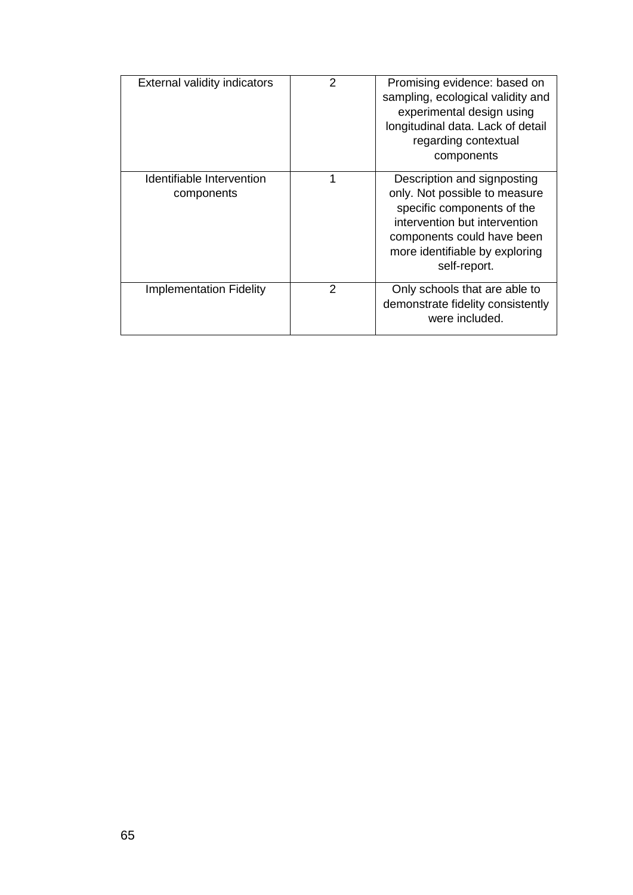| <b>External validity indicators</b>     | 2 | Promising evidence: based on<br>sampling, ecological validity and<br>experimental design using<br>longitudinal data. Lack of detail<br>regarding contextual<br>components                                   |
|-----------------------------------------|---|-------------------------------------------------------------------------------------------------------------------------------------------------------------------------------------------------------------|
| Identifiable Intervention<br>components |   | Description and signposting<br>only. Not possible to measure<br>specific components of the<br>intervention but intervention<br>components could have been<br>more identifiable by exploring<br>self-report. |
| <b>Implementation Fidelity</b>          | 2 | Only schools that are able to<br>demonstrate fidelity consistently<br>were included.                                                                                                                        |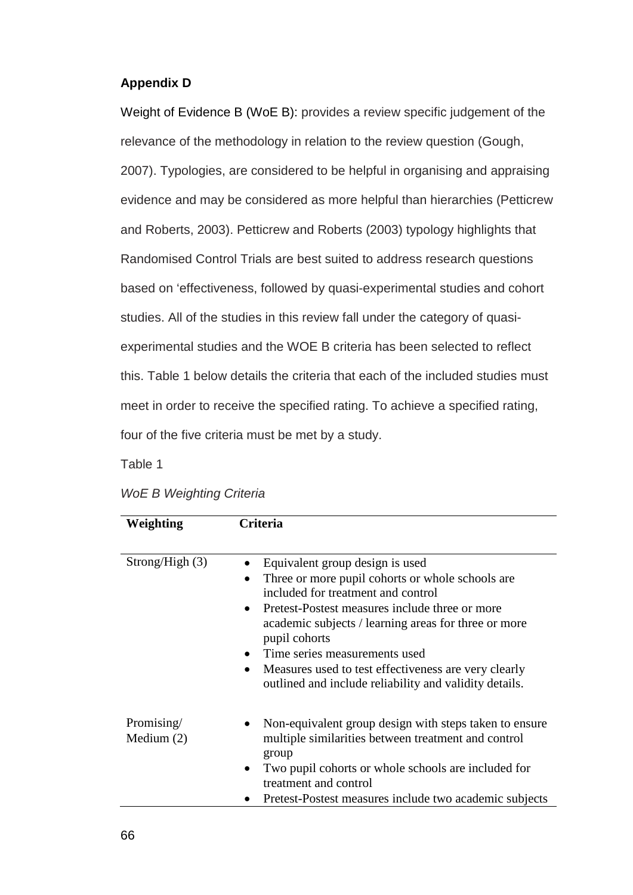#### **Appendix D**

Weight of Evidence B (WoE B): provides a review specific judgement of the relevance of the methodology in relation to the review question (Gough, 2007). Typologies, are considered to be helpful in organising and appraising evidence and may be considered as more helpful than hierarchies (Petticrew and Roberts, 2003). Petticrew and Roberts (2003) typology highlights that Randomised Control Trials are best suited to address research questions based on 'effectiveness, followed by quasi-experimental studies and cohort studies. All of the studies in this review fall under the category of quasiexperimental studies and the WOE B criteria has been selected to reflect this. Table 1 below details the criteria that each of the included studies must meet in order to receive the specified rating. To achieve a specified rating, four of the five criteria must be met by a study.

Table 1

| Weighting                  | Criteria                                                                                                                                                                                                                                                                                                                                                                                                                                       |  |  |  |  |
|----------------------------|------------------------------------------------------------------------------------------------------------------------------------------------------------------------------------------------------------------------------------------------------------------------------------------------------------------------------------------------------------------------------------------------------------------------------------------------|--|--|--|--|
|                            |                                                                                                                                                                                                                                                                                                                                                                                                                                                |  |  |  |  |
| Strong/High(3)             | Equivalent group design is used<br>Three or more pupil cohorts or whole schools are<br>$\bullet$<br>included for treatment and control<br>Pretest-Postest measures include three or more<br>$\bullet$<br>academic subjects / learning areas for three or more<br>pupil cohorts<br>Time series measurements used<br>Measures used to test effectiveness are very clearly<br>$\bullet$<br>outlined and include reliability and validity details. |  |  |  |  |
| Promising/<br>Medium $(2)$ | Non-equivalent group design with steps taken to ensure<br>multiple similarities between treatment and control<br>group<br>Two pupil cohorts or whole schools are included for<br>$\bullet$<br>treatment and control<br>Pretest-Postest measures include two academic subjects                                                                                                                                                                  |  |  |  |  |

*WoE B Weighting Criteria*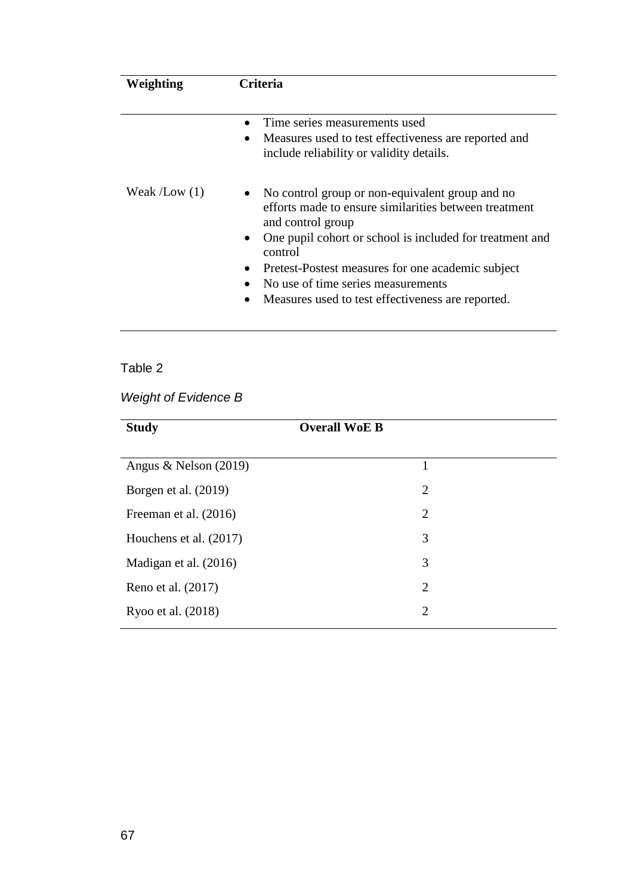| Weighting      | Criteria                                                                                                                                                                                                                                                                                                                                                                                                 |  |  |  |
|----------------|----------------------------------------------------------------------------------------------------------------------------------------------------------------------------------------------------------------------------------------------------------------------------------------------------------------------------------------------------------------------------------------------------------|--|--|--|
|                | Time series measurements used<br>Measures used to test effectiveness are reported and<br>$\bullet$<br>include reliability or validity details.                                                                                                                                                                                                                                                           |  |  |  |
| Weak $/Low(1)$ | No control group or non-equivalent group and no<br>$\bullet$<br>efforts made to ensure similarities between treatment<br>and control group<br>One pupil cohort or school is included for treatment and<br>$\bullet$<br>control<br>Pretest-Postest measures for one academic subject<br>$\bullet$<br>No use of time series measurements<br>Measures used to test effectiveness are reported.<br>$\bullet$ |  |  |  |

*Weight of Evidence B*

| <b>Study</b>            | <b>Overall WoE B</b> |  |  |
|-------------------------|----------------------|--|--|
|                         |                      |  |  |
| Angus & Nelson $(2019)$ | 1                    |  |  |
| Borgen et al. (2019)    | $\overline{2}$       |  |  |
| Freeman et al. (2016)   | $\overline{2}$       |  |  |
| Houchens et al. (2017)  | 3                    |  |  |
| Madigan et al. (2016)   | 3                    |  |  |
| Reno et al. (2017)      | $\overline{2}$       |  |  |
| Ryoo et al. (2018)      | $\overline{2}$       |  |  |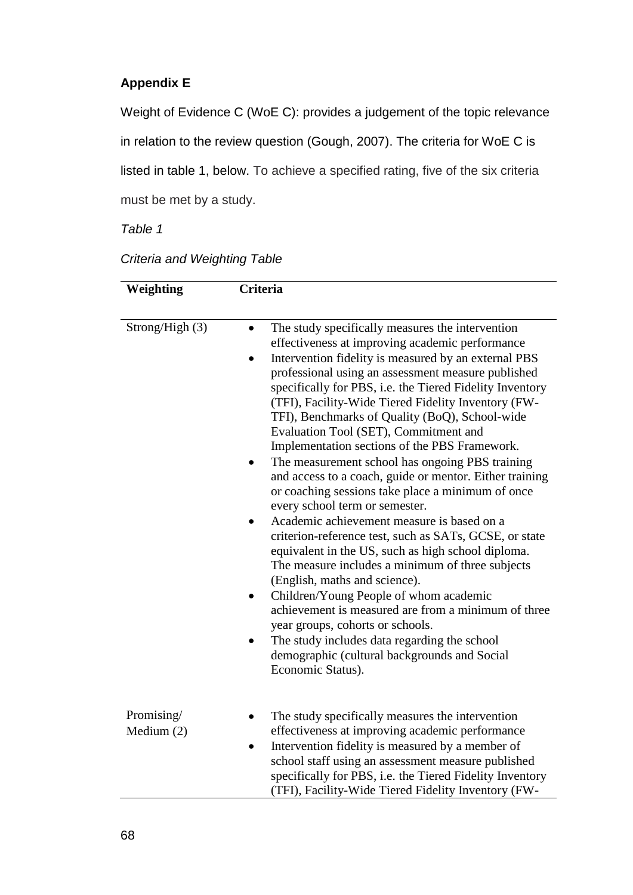## **Appendix E**

Weight of Evidence C (WoE C): provides a judgement of the topic relevance in relation to the review question (Gough, 2007). The criteria for WoE C is listed in table 1, below. To achieve a specified rating, five of the six criteria must be met by a study.

*Table 1*

| <b>Criteria and Weighting Table</b> |  |  |
|-------------------------------------|--|--|
|-------------------------------------|--|--|

| Weighting                  | <b>Criteria</b>                                                                                                                                                                                                                                                                                                                                                                                                                                                                                                                                                                                                                                                                                                                                                                                                                                                                                                                                                                                                                                                                                                                                                                                                                           |  |  |  |
|----------------------------|-------------------------------------------------------------------------------------------------------------------------------------------------------------------------------------------------------------------------------------------------------------------------------------------------------------------------------------------------------------------------------------------------------------------------------------------------------------------------------------------------------------------------------------------------------------------------------------------------------------------------------------------------------------------------------------------------------------------------------------------------------------------------------------------------------------------------------------------------------------------------------------------------------------------------------------------------------------------------------------------------------------------------------------------------------------------------------------------------------------------------------------------------------------------------------------------------------------------------------------------|--|--|--|
| Strong/High (3)            | The study specifically measures the intervention<br>$\bullet$<br>effectiveness at improving academic performance<br>Intervention fidelity is measured by an external PBS<br>$\bullet$<br>professional using an assessment measure published<br>specifically for PBS, i.e. the Tiered Fidelity Inventory<br>(TFI), Facility-Wide Tiered Fidelity Inventory (FW-<br>TFI), Benchmarks of Quality (BoQ), School-wide<br>Evaluation Tool (SET), Commitment and<br>Implementation sections of the PBS Framework.<br>The measurement school has ongoing PBS training<br>and access to a coach, guide or mentor. Either training<br>or coaching sessions take place a minimum of once<br>every school term or semester.<br>Academic achievement measure is based on a<br>criterion-reference test, such as SATs, GCSE, or state<br>equivalent in the US, such as high school diploma.<br>The measure includes a minimum of three subjects<br>(English, maths and science).<br>Children/Young People of whom academic<br>$\bullet$<br>achievement is measured are from a minimum of three<br>year groups, cohorts or schools.<br>The study includes data regarding the school<br>demographic (cultural backgrounds and Social<br>Economic Status). |  |  |  |
| Promising/<br>Medium $(2)$ | The study specifically measures the intervention<br>effectiveness at improving academic performance<br>Intervention fidelity is measured by a member of<br>$\bullet$<br>school staff using an assessment measure published<br>specifically for PBS, i.e. the Tiered Fidelity Inventory<br>(TFI), Facility-Wide Tiered Fidelity Inventory (FW-                                                                                                                                                                                                                                                                                                                                                                                                                                                                                                                                                                                                                                                                                                                                                                                                                                                                                             |  |  |  |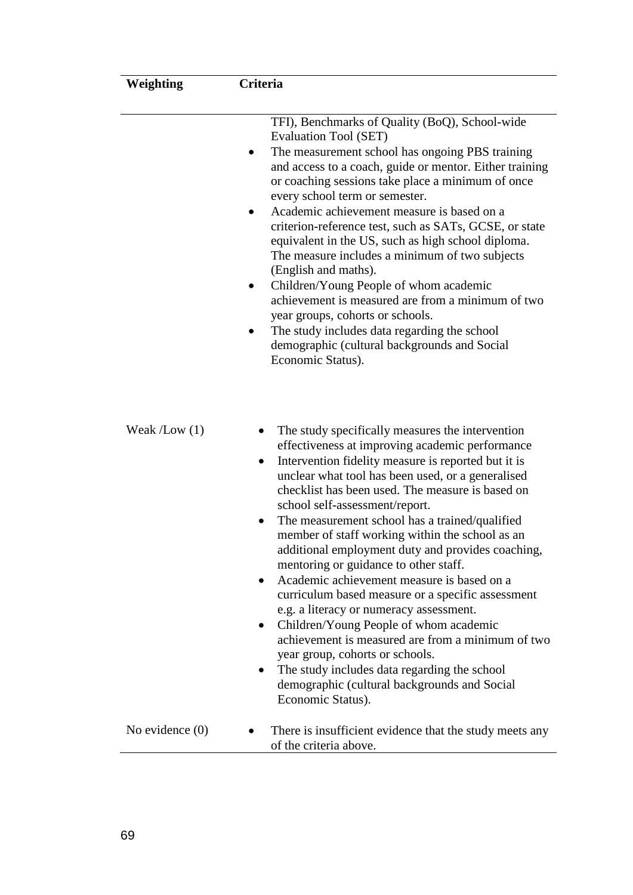| Weighting         | Criteria<br>TFI), Benchmarks of Quality (BoQ), School-wide<br><b>Evaluation Tool (SET)</b><br>The measurement school has ongoing PBS training<br>and access to a coach, guide or mentor. Either training<br>or coaching sessions take place a minimum of once<br>every school term or semester.<br>Academic achievement measure is based on a<br>criterion-reference test, such as SATs, GCSE, or state<br>equivalent in the US, such as high school diploma.<br>The measure includes a minimum of two subjects<br>(English and maths).<br>Children/Young People of whom academic<br>achievement is measured are from a minimum of two<br>year groups, cohorts or schools.<br>The study includes data regarding the school<br>demographic (cultural backgrounds and Social<br>Economic Status).                                                                                                                                                      |  |  |  |
|-------------------|------------------------------------------------------------------------------------------------------------------------------------------------------------------------------------------------------------------------------------------------------------------------------------------------------------------------------------------------------------------------------------------------------------------------------------------------------------------------------------------------------------------------------------------------------------------------------------------------------------------------------------------------------------------------------------------------------------------------------------------------------------------------------------------------------------------------------------------------------------------------------------------------------------------------------------------------------|--|--|--|
|                   |                                                                                                                                                                                                                                                                                                                                                                                                                                                                                                                                                                                                                                                                                                                                                                                                                                                                                                                                                      |  |  |  |
| Weak $/Low(1)$    | The study specifically measures the intervention<br>effectiveness at improving academic performance<br>Intervention fidelity measure is reported but it is<br>$\bullet$<br>unclear what tool has been used, or a generalised<br>checklist has been used. The measure is based on<br>school self-assessment/report.<br>The measurement school has a trained/qualified<br>member of staff working within the school as an<br>additional employment duty and provides coaching,<br>mentoring or guidance to other staff.<br>Academic achievement measure is based on a<br>curriculum based measure or a specific assessment<br>e.g. a literacy or numeracy assessment.<br>Children/Young People of whom academic<br>$\bullet$<br>achievement is measured are from a minimum of two<br>year group, cohorts or schools.<br>The study includes data regarding the school<br>$\bullet$<br>demographic (cultural backgrounds and Social<br>Economic Status). |  |  |  |
| No evidence $(0)$ | There is insufficient evidence that the study meets any<br>of the criteria above.                                                                                                                                                                                                                                                                                                                                                                                                                                                                                                                                                                                                                                                                                                                                                                                                                                                                    |  |  |  |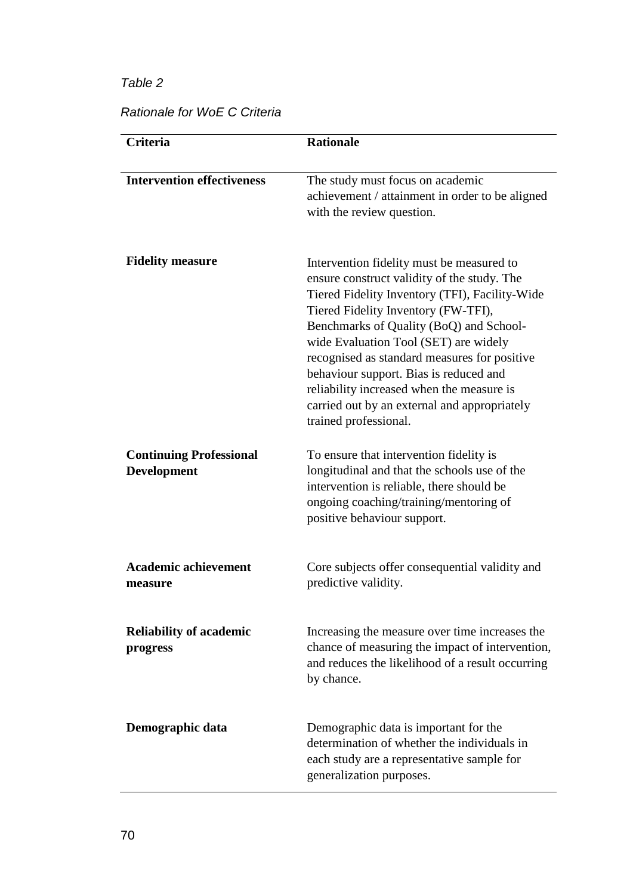|  | Rationale for WoE C Criteria |
|--|------------------------------|
|--|------------------------------|

| <b>Criteria</b>                                      | <b>Rationale</b>                                                                                                                                                                                                                                                                                                                                                                                                                                                                      |  |  |  |
|------------------------------------------------------|---------------------------------------------------------------------------------------------------------------------------------------------------------------------------------------------------------------------------------------------------------------------------------------------------------------------------------------------------------------------------------------------------------------------------------------------------------------------------------------|--|--|--|
| <b>Intervention effectiveness</b>                    | The study must focus on academic<br>achievement / attainment in order to be aligned<br>with the review question.                                                                                                                                                                                                                                                                                                                                                                      |  |  |  |
| <b>Fidelity measure</b>                              | Intervention fidelity must be measured to<br>ensure construct validity of the study. The<br>Tiered Fidelity Inventory (TFI), Facility-Wide<br>Tiered Fidelity Inventory (FW-TFI),<br>Benchmarks of Quality (BoQ) and School-<br>wide Evaluation Tool (SET) are widely<br>recognised as standard measures for positive<br>behaviour support. Bias is reduced and<br>reliability increased when the measure is<br>carried out by an external and appropriately<br>trained professional. |  |  |  |
| <b>Continuing Professional</b><br><b>Development</b> | To ensure that intervention fidelity is<br>longitudinal and that the schools use of the<br>intervention is reliable, there should be<br>ongoing coaching/training/mentoring of<br>positive behaviour support.                                                                                                                                                                                                                                                                         |  |  |  |
| <b>Academic achievement</b><br>measure               | Core subjects offer consequential validity and<br>predictive validity.                                                                                                                                                                                                                                                                                                                                                                                                                |  |  |  |
| <b>Reliability of academic</b><br>progress           | Increasing the measure over time increases the<br>chance of measuring the impact of intervention,<br>and reduces the likelihood of a result occurring<br>by chance.                                                                                                                                                                                                                                                                                                                   |  |  |  |
| Demographic data                                     | Demographic data is important for the<br>determination of whether the individuals in<br>each study are a representative sample for<br>generalization purposes.                                                                                                                                                                                                                                                                                                                        |  |  |  |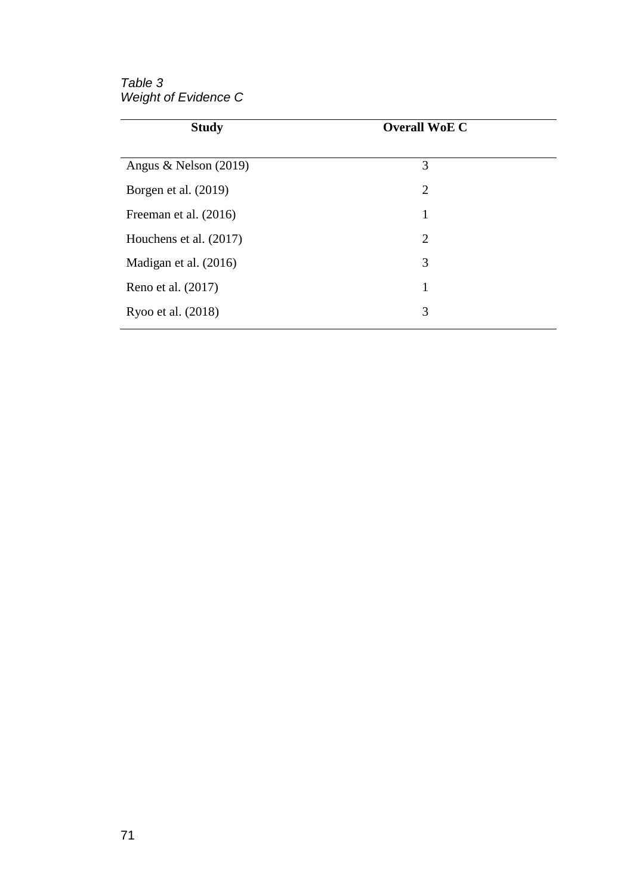*Table 3 Weight of Evidence C*

| <b>Study</b>            | <b>Overall WoE C</b> |  |  |
|-------------------------|----------------------|--|--|
|                         |                      |  |  |
| Angus & Nelson $(2019)$ | 3                    |  |  |
| Borgen et al. (2019)    | $\overline{2}$       |  |  |
| Freeman et al. (2016)   | 1                    |  |  |
| Houchens et al. (2017)  | $\overline{2}$       |  |  |
| Madigan et al. (2016)   | 3                    |  |  |
| Reno et al. (2017)      | 1                    |  |  |
| Ryoo et al. (2018)      | 3                    |  |  |